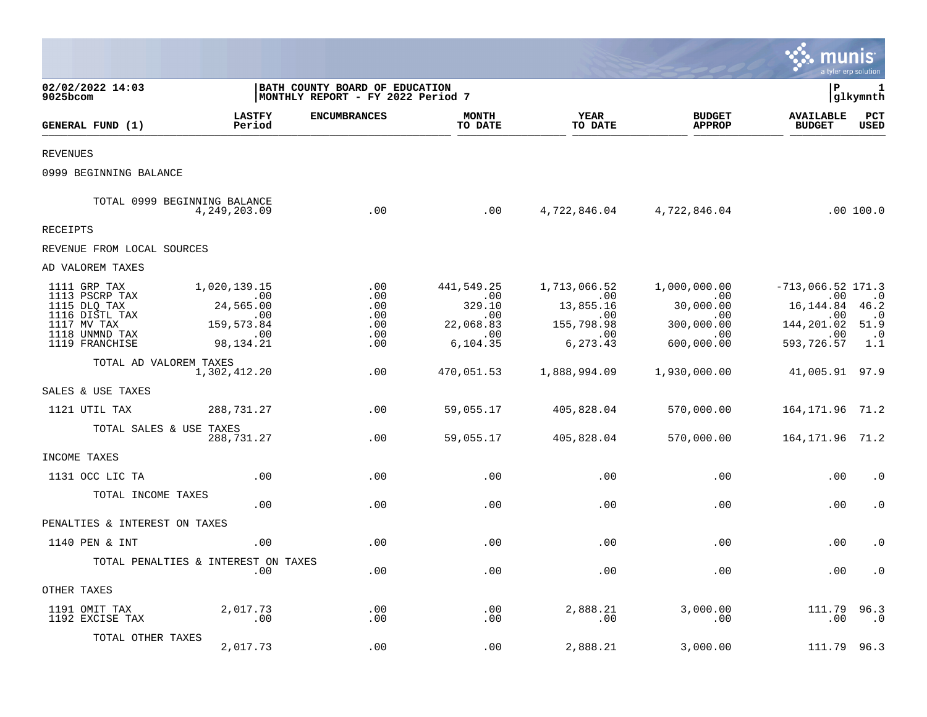|                                                                                                                     |                                                                                             |                                                                     |                                                                                |                                                                                                 |                                                                                  | munis                                                                                               | a tyler erp solution                                         |
|---------------------------------------------------------------------------------------------------------------------|---------------------------------------------------------------------------------------------|---------------------------------------------------------------------|--------------------------------------------------------------------------------|-------------------------------------------------------------------------------------------------|----------------------------------------------------------------------------------|-----------------------------------------------------------------------------------------------------|--------------------------------------------------------------|
| 02/02/2022 14:03<br>9025bcom                                                                                        |                                                                                             | BATH COUNTY BOARD OF EDUCATION<br>MONTHLY REPORT - FY 2022 Period 7 |                                                                                |                                                                                                 |                                                                                  | l P                                                                                                 | 1<br> glkymnth                                               |
| GENERAL FUND (1)                                                                                                    | <b>LASTFY</b><br>Period                                                                     | <b>ENCUMBRANCES</b>                                                 | MONTH<br>TO DATE                                                               | YEAR<br>TO DATE                                                                                 | <b>BUDGET</b><br><b>APPROP</b>                                                   | <b>AVAILABLE</b><br><b>BUDGET</b>                                                                   | PCT<br><b>USED</b>                                           |
| <b>REVENUES</b>                                                                                                     |                                                                                             |                                                                     |                                                                                |                                                                                                 |                                                                                  |                                                                                                     |                                                              |
| 0999 BEGINNING BALANCE                                                                                              |                                                                                             |                                                                     |                                                                                |                                                                                                 |                                                                                  |                                                                                                     |                                                              |
|                                                                                                                     | TOTAL 0999 BEGINNING BALANCE<br>4,249,203.09                                                | .00                                                                 | .00                                                                            |                                                                                                 | 4,722,846.04 4,722,846.04                                                        |                                                                                                     | .00 100.0                                                    |
| RECEIPTS                                                                                                            |                                                                                             |                                                                     |                                                                                |                                                                                                 |                                                                                  |                                                                                                     |                                                              |
| REVENUE FROM LOCAL SOURCES                                                                                          |                                                                                             |                                                                     |                                                                                |                                                                                                 |                                                                                  |                                                                                                     |                                                              |
| AD VALOREM TAXES                                                                                                    |                                                                                             |                                                                     |                                                                                |                                                                                                 |                                                                                  |                                                                                                     |                                                              |
| 1111 GRP TAX<br>1113 PSCRP TAX<br>1115 DLQ TAX<br>1116 DISTL TAX<br>1117 MV TAX<br>1118 UNMND TAX<br>1119 FRANCHISE | 1,020,139.15<br>$\sim$ 00<br>24,565.00<br>$\sim 00$<br>159,573.84<br>$\sim 00$<br>98,134.21 | .00<br>.00<br>.00<br>.00<br>.00<br>.00<br>.00                       | 441,549.25<br>.00<br>329.10<br>.00<br>22,068.83<br>$\overline{00}$<br>6,104.35 | 1,713,066.52<br>$\overline{00}$<br>13,855.16<br>$.00 \,$<br>155,798.98<br>$\sim 00$<br>6,273.43 | 1,000,000.00<br>$\sim$ 00<br>30,000.00<br>.00<br>300,000.00<br>.00<br>600,000.00 | $-713,066.52$ 171.3<br>.00<br>16, 144.84 46.2<br>.00<br>144, 201.02 51.9<br>$\sim$ 00<br>593,726.57 | $\overline{\phantom{0}}$ .0<br>$\cdot$ 0<br>$\cdot$ 0<br>1.1 |
| TOTAL AD VALOREM TAXES                                                                                              | 1,302,412.20                                                                                | .00                                                                 | 470,051.53                                                                     | 1,888,994.09                                                                                    | 1,930,000.00                                                                     | 41,005.91 97.9                                                                                      |                                                              |
| SALES & USE TAXES                                                                                                   |                                                                                             |                                                                     |                                                                                |                                                                                                 |                                                                                  |                                                                                                     |                                                              |
| 1121 UTIL TAX                                                                                                       | 288,731.27                                                                                  | .00                                                                 | 59,055.17                                                                      | 405,828.04                                                                                      | 570,000.00                                                                       | 164, 171. 96 71. 2                                                                                  |                                                              |
| TOTAL SALES & USE TAXES                                                                                             | 288,731.27                                                                                  | .00                                                                 | 59,055.17                                                                      | 405,828.04                                                                                      | 570,000.00                                                                       | 164, 171.96 71.2                                                                                    |                                                              |
| INCOME TAXES                                                                                                        |                                                                                             |                                                                     |                                                                                |                                                                                                 |                                                                                  |                                                                                                     |                                                              |
| 1131 OCC LIC TA                                                                                                     | .00                                                                                         | .00                                                                 | .00                                                                            | .00                                                                                             | .00                                                                              | .00                                                                                                 | $\cdot$ 0                                                    |
| TOTAL INCOME TAXES                                                                                                  | .00                                                                                         | .00                                                                 | .00                                                                            | .00                                                                                             | .00                                                                              | .00                                                                                                 | $\cdot$ 0                                                    |
| PENALTIES & INTEREST ON TAXES                                                                                       |                                                                                             |                                                                     |                                                                                |                                                                                                 |                                                                                  |                                                                                                     |                                                              |
| 1140 PEN & INT                                                                                                      | .00                                                                                         | .00                                                                 | .00                                                                            | .00                                                                                             | .00                                                                              | .00                                                                                                 | $\cdot$ 0                                                    |
|                                                                                                                     | TOTAL PENALTIES & INTEREST ON TAXES<br>.00                                                  | .00                                                                 | .00                                                                            | .00                                                                                             | .00                                                                              | .00                                                                                                 | $\cdot$ 0                                                    |
| OTHER TAXES                                                                                                         |                                                                                             |                                                                     |                                                                                |                                                                                                 |                                                                                  |                                                                                                     |                                                              |
| 1191 OMIT TAX<br>1192 EXCISE TAX                                                                                    | 2,017.73<br>$\overline{\phantom{0}}$ .00                                                    | .00<br>$.00 \ \,$                                                   | .00<br>.00                                                                     | 2,888.21<br>$.00 \,$                                                                            | 3,000.00<br>.00                                                                  | 111.79<br>.00                                                                                       | 96.3<br>. 0                                                  |
| TOTAL OTHER TAXES                                                                                                   | 2,017.73                                                                                    | .00                                                                 | .00                                                                            | 2,888.21                                                                                        | 3,000.00                                                                         | 111.79 96.3                                                                                         |                                                              |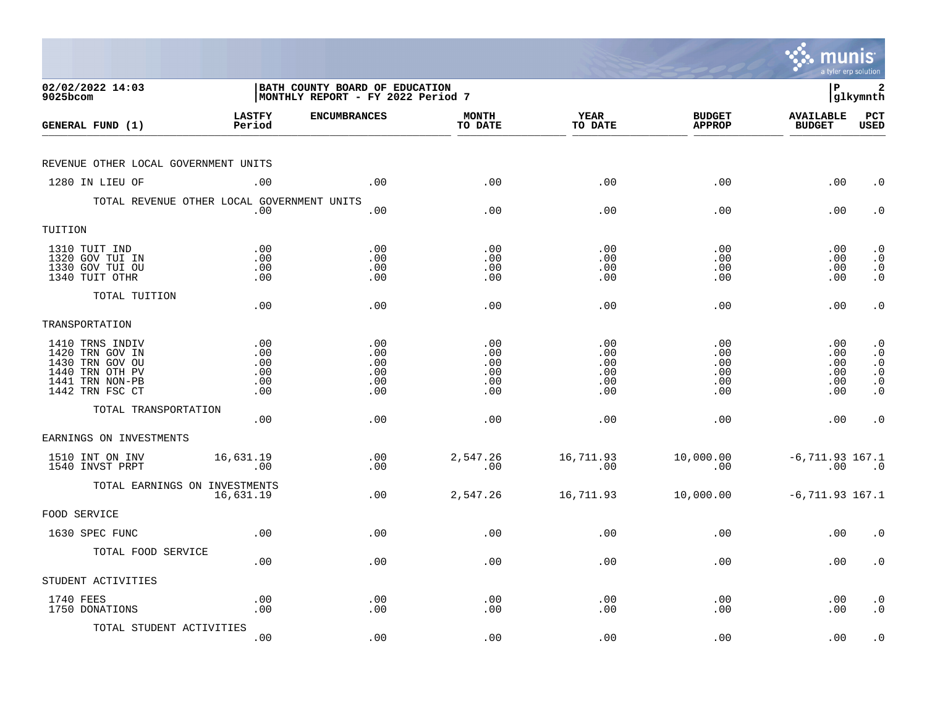|                                                                                                                |                                        |                                                                            |                                        |                                        |                                        | munis                                   | a tyler erp solution                                                              |
|----------------------------------------------------------------------------------------------------------------|----------------------------------------|----------------------------------------------------------------------------|----------------------------------------|----------------------------------------|----------------------------------------|-----------------------------------------|-----------------------------------------------------------------------------------|
| 02/02/2022 14:03<br>9025bcom                                                                                   |                                        | <b>BATH COUNTY BOARD OF EDUCATION</b><br>MONTHLY REPORT - FY 2022 Period 7 |                                        |                                        |                                        | l P                                     | 2<br> glkymnth                                                                    |
| GENERAL FUND (1)                                                                                               | <b>LASTFY</b><br>Period                | <b>ENCUMBRANCES</b>                                                        | <b>MONTH</b><br>TO DATE                | <b>YEAR</b><br>TO DATE                 | <b>BUDGET</b><br><b>APPROP</b>         | <b>AVAILABLE</b><br><b>BUDGET</b>       | PCT<br><b>USED</b>                                                                |
| REVENUE OTHER LOCAL GOVERNMENT UNITS                                                                           |                                        |                                                                            |                                        |                                        |                                        |                                         |                                                                                   |
| 1280 IN LIEU OF                                                                                                | .00                                    | .00                                                                        | .00                                    | .00                                    | .00                                    | .00                                     | $\cdot$ 0                                                                         |
| TOTAL REVENUE OTHER LOCAL GOVERNMENT UNITS                                                                     | .00                                    | .00                                                                        | .00                                    | .00                                    | .00                                    | .00                                     | $\cdot$ 0                                                                         |
| TUITION                                                                                                        |                                        |                                                                            |                                        |                                        |                                        |                                         |                                                                                   |
| 1310 TUIT IND<br>1320 GOV TUI IN<br>1330 GOV TUI OU<br>1340 TUIT OTHR                                          | .00<br>.00<br>.00<br>.00               | .00<br>.00<br>.00<br>.00                                                   | .00<br>.00<br>.00<br>.00               | .00<br>.00<br>.00<br>.00               | .00<br>.00<br>.00<br>.00               | $.00 \,$<br>$.00 \,$<br>.00<br>$.00 \,$ | $\cdot$ 0<br>$\cdot$ 0<br>$\begin{smallmatrix} 0 \\ 0 \\ 0 \end{smallmatrix}$     |
| TOTAL TUITION                                                                                                  | .00                                    | .00                                                                        | .00                                    | .00                                    | .00                                    | .00                                     | $\cdot$ 0                                                                         |
| TRANSPORTATION                                                                                                 |                                        |                                                                            |                                        |                                        |                                        |                                         |                                                                                   |
| 1410 TRNS INDIV<br>1420 TRN GOV IN<br>1430 TRN GOV OU<br>1440 TRN OTH PV<br>1441 TRN NON-PB<br>1442 TRN FSC CT | .00<br>.00<br>.00<br>.00<br>.00<br>.00 | .00<br>.00<br>.00<br>.00<br>.00<br>.00                                     | .00<br>.00<br>.00<br>.00<br>.00<br>.00 | .00<br>.00<br>.00<br>.00<br>.00<br>.00 | .00<br>.00<br>.00<br>.00<br>.00<br>.00 | .00<br>.00<br>.00<br>.00<br>.00<br>.00  | $\cdot$ 0<br>$\cdot$ 0<br>$\cdot$ 0<br>$\overline{0}$ .<br>$\cdot$ 0<br>$\cdot$ 0 |
| TOTAL TRANSPORTATION                                                                                           | .00                                    | .00                                                                        | .00                                    | .00                                    | .00                                    | .00                                     | $\cdot$ 0                                                                         |
| EARNINGS ON INVESTMENTS                                                                                        |                                        |                                                                            |                                        |                                        |                                        |                                         |                                                                                   |
| 1510 INT ON INV<br>1540 INVST PRPT                                                                             | 16,631.19<br>.00                       | .00<br>.00                                                                 | 2,547.26<br>.00                        | 16,711.93<br>.00                       | 10,000.00<br>.00                       | $-6, 711.93$ 167.1<br>.00               | $\overline{\phantom{0}}$ .0                                                       |
| TOTAL EARNINGS ON INVESTMENTS                                                                                  | 16,631.19                              | .00                                                                        | 2,547.26                               | 16,711.93                              | 10,000.00                              | $-6, 711.93$ 167.1                      |                                                                                   |
| FOOD SERVICE                                                                                                   |                                        |                                                                            |                                        |                                        |                                        |                                         |                                                                                   |
| 1630 SPEC FUNC                                                                                                 | .00                                    | .00                                                                        | .00                                    | .00                                    | .00                                    | .00                                     | $\cdot$ 0                                                                         |
| TOTAL FOOD SERVICE                                                                                             | .00                                    | .00                                                                        | .00                                    | .00                                    | .00                                    | $.00 \,$                                | $\cdot$ 0                                                                         |
| STUDENT ACTIVITIES                                                                                             |                                        |                                                                            |                                        |                                        |                                        |                                         |                                                                                   |
| 1740 FEES<br>1750 DONATIONS                                                                                    | .00<br>.00                             | .00<br>.00                                                                 | .00<br>.00                             | .00<br>.00                             | .00<br>.00                             | $.00 \,$<br>.00                         | $\cdot$ 0<br>$\cdot$ 0                                                            |
| TOTAL STUDENT ACTIVITIES                                                                                       | .00                                    | .00                                                                        | .00                                    | .00                                    | .00                                    | .00                                     | $\cdot$ 0                                                                         |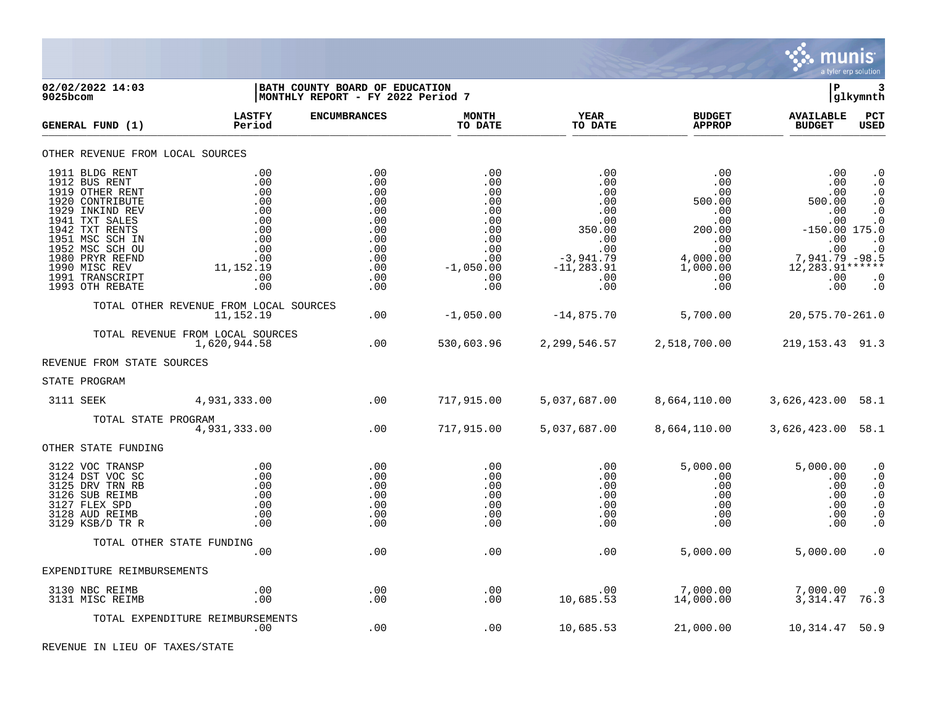

| 9025bcom | 02/02/2022 14:03                                                                                                                                                                                                                             |                                                                                                 | <b>BATH COUNTY BOARD OF EDUCATION</b><br> MONTHLY REPORT - FY 2022 Period 7             |                                                                                                 |                                                                                                                   |                                                                                                                        | P                                                                                                                                 | 3<br> glkymnth                                                                                                                 |
|----------|----------------------------------------------------------------------------------------------------------------------------------------------------------------------------------------------------------------------------------------------|-------------------------------------------------------------------------------------------------|-----------------------------------------------------------------------------------------|-------------------------------------------------------------------------------------------------|-------------------------------------------------------------------------------------------------------------------|------------------------------------------------------------------------------------------------------------------------|-----------------------------------------------------------------------------------------------------------------------------------|--------------------------------------------------------------------------------------------------------------------------------|
|          | GENERAL FUND (1)                                                                                                                                                                                                                             | <b>LASTFY</b><br>Period                                                                         | <b>ENCUMBRANCES</b>                                                                     | <b>MONTH</b><br>TO DATE                                                                         | <b>YEAR</b><br>TO DATE                                                                                            | <b>BUDGET</b><br><b>APPROP</b>                                                                                         | <b>AVAILABLE</b><br><b>BUDGET</b>                                                                                                 | PCT<br><b>USED</b>                                                                                                             |
|          | OTHER REVENUE FROM LOCAL SOURCES                                                                                                                                                                                                             |                                                                                                 |                                                                                         |                                                                                                 |                                                                                                                   |                                                                                                                        |                                                                                                                                   |                                                                                                                                |
|          | 1911 BLDG RENT<br>1912 BUS RENT<br>1919 OTHER RENT<br>1920 CONTRIBUTE<br>1929 INKIND REV<br>1941 TXT SALES<br>1942 TXT RENTS<br>1951 MSC SCH IN<br>1952 MSC SCH OU<br>1980 PRYR REFND<br>1990 MISC REV<br>1991 TRANSCRIPT<br>1993 OTH REBATE | .00<br>.00<br>.00<br>.00<br>.00<br>.00<br>.00<br>.00<br>.00<br>.00<br>11, 152. 19<br>.00<br>.00 | .00<br>.00<br>.00<br>.00<br>.00<br>.00<br>.00<br>.00<br>.00<br>.00<br>.00<br>.00<br>.00 | .00<br>.00<br>.00<br>.00<br>.00<br>.00<br>.00<br>.00<br>.00<br>.00<br>$-1,050.00$<br>.00<br>.00 | .00<br>.00<br>.00<br>.00<br>.00<br>.00<br>350.00<br>.00<br>.00<br>$-3,941.79$<br>$-11, 283.91$<br>$.00 \,$<br>.00 | $.00 \,$<br>.00<br>.00<br>500.00<br>.00<br>.00<br>200.00<br>.00<br>.00<br>4,000.00<br>1,000.00<br>$.00 \,$<br>$.00 \,$ | $.00 \,$<br>.00<br>.00<br>500.00<br>.00<br>.00<br>$-150.00$ 175.0<br>.00<br>.00<br>7,941.79 -98.5<br>$12,283.91***$<br>.00<br>.00 | $\cdot$ 0<br>$\cdot$ 0<br>$\cdot$ 0<br>$\cdot$ 0<br>$\cdot$ 0<br>$\cdot$ 0<br>$\cdot$ 0<br>$\cdot$ 0<br>$\cdot$ 0<br>$\cdot$ 0 |
|          |                                                                                                                                                                                                                                              | TOTAL OTHER REVENUE FROM LOCAL SOURCES<br>11,152.19                                             | .00                                                                                     | $-1,050.00$                                                                                     | $-14,875.70$                                                                                                      | 5,700.00                                                                                                               | 20,575.70-261.0                                                                                                                   |                                                                                                                                |
|          |                                                                                                                                                                                                                                              | TOTAL REVENUE FROM LOCAL SOURCES<br>1,620,944.58                                                | .00                                                                                     | 530,603.96                                                                                      |                                                                                                                   | 2, 299, 546. 57 2, 518, 700. 00                                                                                        | 219, 153. 43 91. 3                                                                                                                |                                                                                                                                |
|          | REVENUE FROM STATE SOURCES                                                                                                                                                                                                                   |                                                                                                 |                                                                                         |                                                                                                 |                                                                                                                   |                                                                                                                        |                                                                                                                                   |                                                                                                                                |
|          | STATE PROGRAM                                                                                                                                                                                                                                |                                                                                                 |                                                                                         |                                                                                                 |                                                                                                                   |                                                                                                                        |                                                                                                                                   |                                                                                                                                |
|          | 3111 SEEK                                                                                                                                                                                                                                    | 4,931,333.00                                                                                    | .00                                                                                     | 717,915.00                                                                                      | 5,037,687.00                                                                                                      | 8,664,110.00                                                                                                           | 3,626,423.00 58.1                                                                                                                 |                                                                                                                                |
|          | TOTAL STATE PROGRAM                                                                                                                                                                                                                          | 4,931,333.00                                                                                    | .00                                                                                     | 717,915.00                                                                                      | 5,037,687.00                                                                                                      | 8,664,110.00                                                                                                           | 3,626,423.00 58.1                                                                                                                 |                                                                                                                                |
|          | OTHER STATE FUNDING                                                                                                                                                                                                                          |                                                                                                 |                                                                                         |                                                                                                 |                                                                                                                   |                                                                                                                        |                                                                                                                                   |                                                                                                                                |
|          | 3122 VOC TRANSP<br>3124 DST VOC SC<br>3125 DRV TRN RB<br>3126 SUB REIMB<br>3127 FLEX SPD<br>3128 AUD REIMB<br>3129 KSB/D TR R                                                                                                                | .00<br>.00<br>.00<br>.00<br>.00<br>.00<br>.00                                                   | .00<br>.00<br>.00<br>.00<br>.00<br>.00<br>.00                                           | .00<br>.00<br>.00<br>.00<br>.00<br>.00<br>.00                                                   | .00<br>.00.<br>.00<br>.00<br>.00<br>.00<br>.00                                                                    | 5,000.00<br>$.00 \,$<br>$.00 \,$<br>$.00 \,$<br>$.00 \ \rm$<br>$.00 \,$<br>.00                                         | 5,000.00<br>$.00 \,$<br>.00<br>.00<br>.00<br>.00<br>.00                                                                           | $\cdot$ 0<br>$\cdot$ 0<br>$\cdot$ 0<br>$\cdot$ 0<br>$\cdot$ 0<br>$\cdot$ 0<br>$\cdot$ 0                                        |
|          | TOTAL OTHER STATE FUNDING                                                                                                                                                                                                                    |                                                                                                 |                                                                                         |                                                                                                 |                                                                                                                   |                                                                                                                        |                                                                                                                                   |                                                                                                                                |
|          |                                                                                                                                                                                                                                              | .00                                                                                             | .00                                                                                     | .00                                                                                             | .00                                                                                                               | 5,000.00                                                                                                               | 5,000.00                                                                                                                          | $\cdot$ 0                                                                                                                      |
|          | EXPENDITURE REIMBURSEMENTS                                                                                                                                                                                                                   |                                                                                                 |                                                                                         |                                                                                                 |                                                                                                                   |                                                                                                                        |                                                                                                                                   |                                                                                                                                |
|          | 3130 NBC REIMB<br>3131 MISC REIMB                                                                                                                                                                                                            | .00<br>.00                                                                                      | .00<br>.00                                                                              | .00<br>.00                                                                                      | .00<br>10,685.53                                                                                                  | 7,000.00<br>14,000.00                                                                                                  | 7,000.00<br>3,314.47                                                                                                              | $\cdot$ 0<br>76.3                                                                                                              |
|          |                                                                                                                                                                                                                                              | TOTAL EXPENDITURE REIMBURSEMENTS<br>.00                                                         | .00                                                                                     | .00                                                                                             | 10,685.53                                                                                                         | 21,000.00                                                                                                              | 10,314.47                                                                                                                         | 50.9                                                                                                                           |

REVENUE IN LIEU OF TAXES/STATE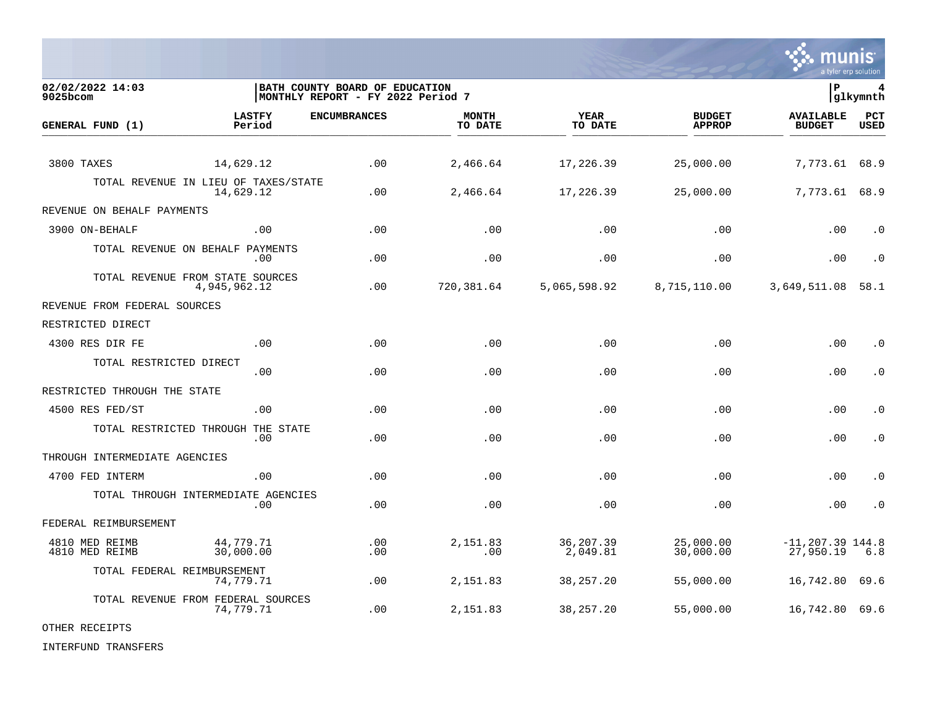

**02/02/2022 14:03 |BATH COUNTY BOARD OF EDUCATION |P 4** MONTHLY REPORT - FY 2022 Period 7 **LASTFY ENCUMBRANCES MONTH YEAR BUDGET AVAILABLE PCT GENERAL FUND (1)** TO DATE THE RELIGION CONDUCT TO DATE THE RELIGION CONDUCT TO DATE THE RELIGION OF THE RELIGION OF THE RELIGION OF THE RELIGION OF THE RELIGION OF THE RELIGION OF THE RELIGION OF THE RELIGION OF THE RELIGION OF THE RELIGION 3800 TAXES 14,629.12 .00 2,466.64 17,226.39 25,000.00 7,773.61 68.9 TOTAL REVENUE IN LIEU OF TAXES/STATE<br>14.629.12 14,629.12 .00 2,466.64 17,226.39 25,000.00 7,773.61 68.9 REVENUE ON BEHALF PAYMENTS 3900 ON-BEHALF .00 .00 .00 .00 .00 .00 .0 TOTAL REVENUE ON BEHALF PAYMENTS .00 .00 .00 .00 .00 .00 .0 TOTAL REVENUE FROM STATE SOURCES 4,945,962.12 .00 720,381.64 5,065,598.92 8,715,110.00 3,649,511.08 58.1 REVENUE FROM FEDERAL SOURCES RESTRICTED DIRECT 4300 RES DIR FE .00 .00 .00 .00 .00 .00 .0 TOTAL RESTRICTED DIRECT .00 .00 .00 .00 .00 .00 .0 RESTRICTED THROUGH THE STATE 4500 RES FED/ST .00 .00 .00 .00 .00 .00 .0 TOTAL RESTRICTED THROUGH THE STATE .00 .00 .00 .00 .00 .00 .0 THROUGH INTERMEDIATE AGENCIES 4700 FED INTERM .00 .00 .00 .00 .00 .00 .0 TOTAL THROUGH INTERMEDIATE AGENCIES .00 .00 .00 .00 .00 .00 .0 FEDERAL REIMBURSEMENT 4810 MED REIMB 44,779.71 .00 2,151.83 36,207.39 25,000.00 -11,207.39 144.8 4810 MED REIMB 30,000.00 .00 .00 2,049.81 30,000.00 27,950.19 6.8 TOTAL FEDERAL REIMBURSEMENT 74,779.71 .00 2,151.83 38,257.20 55,000.00 16,742.80 69.6 TOTAL REVENUE FROM FEDERAL SOURCES 74,779.71 .00 2,151.83 38,257.20 55,000.00 16,742.80 69.6

OTHER RECEIPTS

INTERFUND TRANSFERS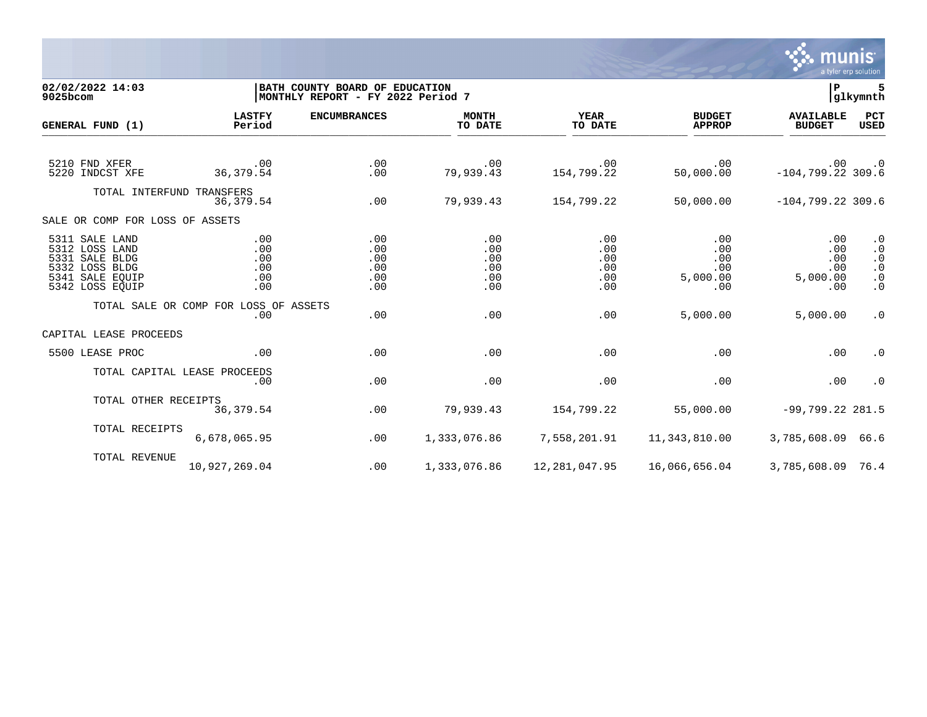

02/02/2022 14:03 **| BATH COUNTY BOARD OF EDUCATION**<br> **02/02/2022 14:03 | P 5**<br> **MONTHLY REPORT - FY 2022 Period 7 | SOLUTION |MONTHLY REPORT - FY 2022 Period 7 LASTFY ENCUMBRANCES MONTH YEAR BUDGET AVAILABLE PCT GENERAL FUND (1)** TO DATE THE RELIGION CONDUCT TO DATE THE RELIGION CONDUCT TO DATE THE RELIGION OF THE RELIGION OF THE RELIGION OF THE RELIGION OF THE RELIGION OF THE RELIGION OF THE RELIGION OF THE RELIGION OF THE RELIGION OF THE RELIGION 5210 FND XFER .00 .00 .00 .00 .00 .00 .0 5220 INDCST XFE 36,379.54 .00 79,939.43 154,799.22 50,000.00 -104,799.22 309.6 TOTAL INTERFUND TRANSFERS 36,379.54 .00 79,939.43 154,799.22 50,000.00 -104,799.22 309.6 SALE OR COMP FOR LOSS OF ASSETS 5311 SALE LAND .00 .00 .00 .00 .00 .00 .0 5312 LOSS LAND .00 .00 .00 .00 .00 .00 .0 5331 SALE BLDG .00 .00 .00 .00 .00 .00 .0 5332 LOSS BLDG .00 .00 .00 .00 .00 .00 .0 5341 SALE EQUIP .00 .00 .00 .00 5,000.00 5,000.00 .0 5342 LOSS EQUIP .00 .00 .00 .00 .00 .00 .0 TOTAL SALE OR COMP FOR LOSS OF ASSETS<br>.00 .00 .00 .00 .00 5,000.00 5,000.00 .0 CAPITAL LEASE PROCEEDS 5500 LEASE PROC .00 .00 .00 .00 .00 .00 .0 TOTAL CAPITAL LEASE PROCEEDS .00 .00 .00 .00 .00 .00 .0 TOTAL OTHER RECEIPTS<br>36.379.54 36,379.54 .00 79,939.43 154,799.22 55,000.00 -99,799.22 281.5 TOTAL RECEIPTS 6,678,065.95 .00 1,333,076.86 7,558,201.91 11,343,810.00 3,785,608.09 66.6 TOTAL REVENUE 10,927,269.04 .00 1,333,076.86 12,281,047.95 16,066,656.04 3,785,608.09 76.4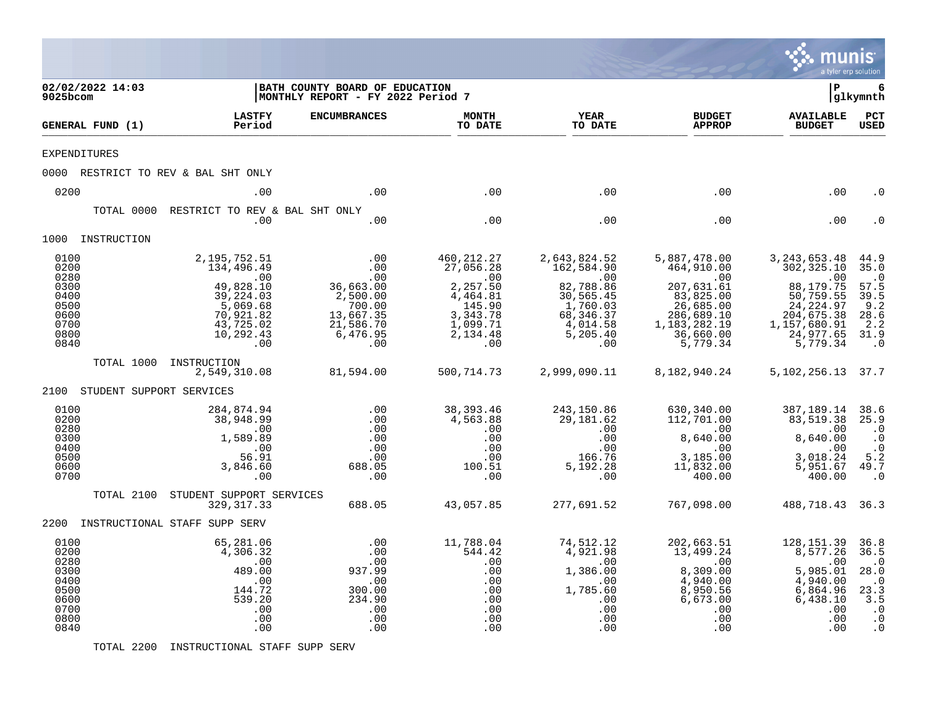|                                                                              |                                             |                                                                                                                                                            |                                                                                                                |                                                                                                                             |                                                                                                                                                  |                                                                                                                                                             | munis<br>a tyler erp solution                                                                                                                             |                                                                                                      |
|------------------------------------------------------------------------------|---------------------------------------------|------------------------------------------------------------------------------------------------------------------------------------------------------------|----------------------------------------------------------------------------------------------------------------|-----------------------------------------------------------------------------------------------------------------------------|--------------------------------------------------------------------------------------------------------------------------------------------------|-------------------------------------------------------------------------------------------------------------------------------------------------------------|-----------------------------------------------------------------------------------------------------------------------------------------------------------|------------------------------------------------------------------------------------------------------|
| 9025bcom                                                                     | 02/02/2022 14:03                            |                                                                                                                                                            | BATH COUNTY BOARD OF EDUCATION<br>MONTHLY REPORT - FY 2022 Period 7                                            |                                                                                                                             |                                                                                                                                                  |                                                                                                                                                             | l P                                                                                                                                                       | 6<br> glkymnth                                                                                       |
|                                                                              | GENERAL FUND (1)                            | <b>LASTFY</b><br>Period                                                                                                                                    | <b>ENCUMBRANCES</b>                                                                                            | <b>MONTH</b><br>TO DATE                                                                                                     | <b>YEAR</b><br>TO DATE                                                                                                                           | <b>BUDGET</b><br><b>APPROP</b>                                                                                                                              | <b>AVAILABLE</b><br><b>BUDGET</b>                                                                                                                         | $_{\rm PCT}$<br><b>USED</b>                                                                          |
| <b>EXPENDITURES</b>                                                          |                                             |                                                                                                                                                            |                                                                                                                |                                                                                                                             |                                                                                                                                                  |                                                                                                                                                             |                                                                                                                                                           |                                                                                                      |
|                                                                              |                                             | 0000 RESTRICT TO REV & BAL SHT ONLY                                                                                                                        |                                                                                                                |                                                                                                                             |                                                                                                                                                  |                                                                                                                                                             |                                                                                                                                                           |                                                                                                      |
| 0200                                                                         |                                             | .00                                                                                                                                                        | .00                                                                                                            | .00                                                                                                                         | .00                                                                                                                                              | .00                                                                                                                                                         | .00                                                                                                                                                       | . 0                                                                                                  |
|                                                                              | TOTAL 0000                                  | RESTRICT TO REV & BAL SHT ONLY<br>.00                                                                                                                      | .00                                                                                                            | .00                                                                                                                         | .00                                                                                                                                              | .00                                                                                                                                                         | .00                                                                                                                                                       |                                                                                                      |
|                                                                              | 1000 INSTRUCTION                            |                                                                                                                                                            |                                                                                                                |                                                                                                                             |                                                                                                                                                  |                                                                                                                                                             |                                                                                                                                                           |                                                                                                      |
| 0100<br>0200<br>0280<br>0300<br>0400<br>0500<br>0600<br>0700<br>0800<br>0840 | TOTAL 1000<br>2100 STUDENT SUPPORT SERVICES | 2,195,752.51<br>134,496.49<br>$\sim$ 00<br>49,828.10<br>39,224.03<br>5,069.68<br>70,921.82<br>43,725.02<br>10,292.43<br>.00<br>INSTRUCTION<br>2,549,310.08 | .00<br>.00<br>.00<br>36,663.00<br>2,500.00<br>700.00<br>13,667.35<br>21,586.70<br>6,476.95<br>.00<br>81,594.00 | 460, 212. 27<br>27,056.28<br>.00<br>2,257.50<br>4,464.81<br>145.90<br>3,343.78<br>1,099.71<br>2,134.48<br>.00<br>500,714.73 | 2,643,824.52<br>162,584.90<br>$\overline{00}$<br>82,788.86<br>30,565.45<br>1,760.03<br>68, 346.37<br>4,014.58<br>5,205.40<br>.00<br>2,999,090.11 | 5,887,478.00<br>464,910.00<br>$\sim 00$<br>207,631.61<br>$83,825.00$<br>26,685.00<br>286,689.10<br>1, 183, 282. 19<br>36,660.00<br>5,779.34<br>8,182,940.24 | 3, 243, 653. 48<br>302,325.10<br>88,179.75<br>$50, 759.55$<br>24, 224.97<br>204, 675.38<br>1,157,680.91<br>24,977.65<br>5,779.34<br>5, 102, 256. 13 37. 7 | 44.9<br>35.0<br>$\cdot$ 0<br>57.5<br>39.5<br>9.2<br>28.6<br>2.2<br>31.9<br>$\cdot$ 0                 |
| 0100<br>0200<br>0280<br>0300<br>0400<br>0500<br>0600<br>0700                 | TOTAL 2100                                  | 284,874.94<br>38,948.99<br>.00<br>1,589.89<br>.00<br>56.91<br>3,846.60<br>.00<br>STUDENT SUPPORT SERVICES<br>329, 317.33                                   | .00<br>.00<br>.00<br>.00<br>.00<br>.00<br>688.05<br>.00<br>688.05                                              | 38,393.46<br>4,563.88<br>.00<br>.00<br>.00<br>.00<br>100.51<br>.00<br>43,057.85                                             | 243,150.86<br>29,181.62<br>.00<br>.00<br>.00<br>166.76<br>5,192.28<br>.00<br>277,691.52                                                          | 630,340.00<br>112,701.00<br>.00<br>8,640.00<br>.00<br>3,185.00<br>11,832.00<br>400.00<br>767,098.00                                                         | 387,189.14<br>83, 519. 38 25. 9<br>.00<br>8,640.00<br>.00<br>3,018.24<br>5,951.67<br>400.00<br>488,718.43 36.3                                            | 38.6<br>$\cdot$ 0<br>$\cdot$ 0<br>$\cdot$ 0<br>5.2<br>49.7<br>$\cdot$ 0                              |
|                                                                              |                                             | 2200 INSTRUCTIONAL STAFF SUPP SERV                                                                                                                         |                                                                                                                |                                                                                                                             |                                                                                                                                                  |                                                                                                                                                             |                                                                                                                                                           |                                                                                                      |
| 0100<br>0200<br>0280<br>0300<br>0400<br>0500<br>0600<br>0700<br>0800<br>0840 |                                             | 65,281.06<br>4,306.32<br>.00<br>489.00<br>.00<br>144.72<br>539.20<br>.00<br>.00<br>.00                                                                     | .00<br>.00<br>.00<br>937.99<br>.00<br>300.00<br>234.90<br>.00<br>.00<br>.00                                    | 11,788.04<br>544.42<br>.00<br>.00<br>.00<br>.00<br>.00<br>.00<br>.00<br>.00                                                 | 74,512.12<br>4,921.98<br>.00<br>1,386.00<br>$\overline{00}$<br>1,785.60<br>.00<br>.00<br>.00<br>.00                                              | 202,663.51<br>13,499.24<br>.00<br>8,309.00<br>4,940.00<br>8,950.56<br>6,673.00<br>.00<br>.00<br>.00                                                         | 128, 151.39<br>8,577.26<br>$00$ .<br>5,985.01<br>4,940.00<br>6,864.96<br>6,438.10<br>.00<br>.00<br>.00                                                    | 36.8<br>36.5<br>$\cdot$ 0<br>28.0<br>$\cdot$ 0<br>23.3<br>3.5<br>$\cdot$ 0<br>$\cdot$ 0<br>$\cdot$ 0 |

TOTAL 2200 INSTRUCTIONAL STAFF SUPP SERV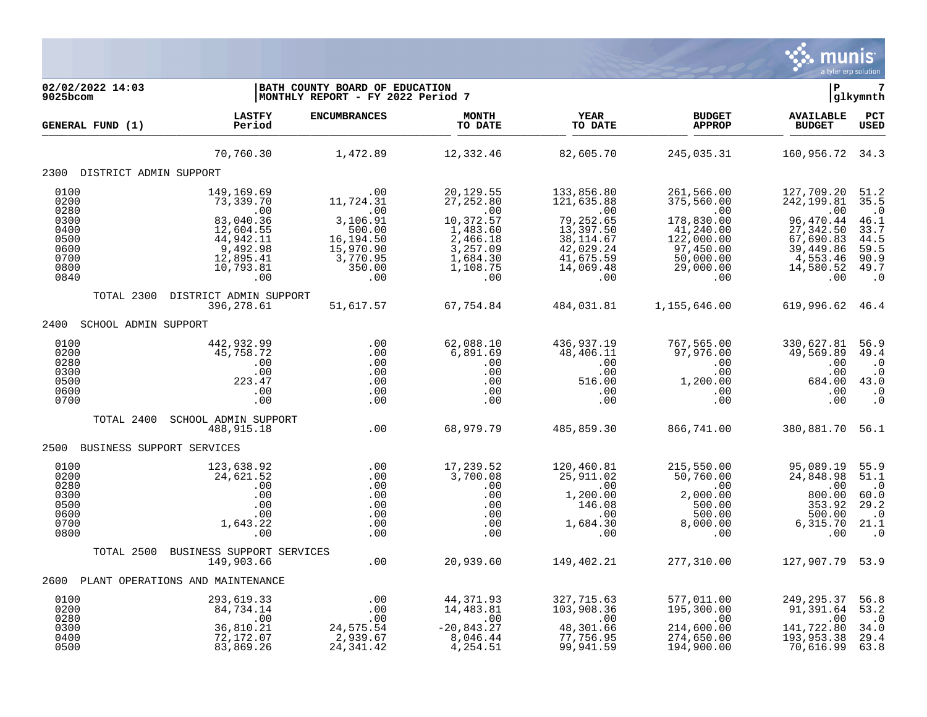

| 02/02/2022 14:03<br>9025bcom                                 |                                                                                                         | BATH COUNTY BOARD OF EDUCATION<br>MONTHLY REPORT - FY 2022 Period 7                                                                                                                                                                                                                                                                     |                                                                              |                                                                                    |                                                                                                                    | l P                                                                               | $7\phantom{.0}$<br> glkymnth                                                |
|--------------------------------------------------------------|---------------------------------------------------------------------------------------------------------|-----------------------------------------------------------------------------------------------------------------------------------------------------------------------------------------------------------------------------------------------------------------------------------------------------------------------------------------|------------------------------------------------------------------------------|------------------------------------------------------------------------------------|--------------------------------------------------------------------------------------------------------------------|-----------------------------------------------------------------------------------|-----------------------------------------------------------------------------|
| GENERAL FUND (1)                                             | <b>LASTFY</b><br>Period                                                                                 | <b>ENCUMBRANCES</b>                                                                                                                                                                                                                                                                                                                     | <b>MONTH</b><br>TO DATE                                                      | <b>YEAR</b><br>TO DATE                                                             | <b>BUDGET</b><br><b>APPROP</b>                                                                                     | <b>AVAILABLE</b><br><b>BUDGET</b>                                                 | PCT<br>USED                                                                 |
|                                                              | 70,760.30                                                                                               | 1,472.89                                                                                                                                                                                                                                                                                                                                | 12,332.46                                                                    | 82,605.70                                                                          | 245,035.31                                                                                                         | 160,956.72 34.3                                                                   |                                                                             |
| 2300 DISTRICT ADMIN SUPPORT                                  |                                                                                                         |                                                                                                                                                                                                                                                                                                                                         |                                                                              |                                                                                    |                                                                                                                    |                                                                                   |                                                                             |
| 0100<br>0200<br>0280                                         | 149,169.69<br>73,339.70                                                                                 | .00<br>11,724.31<br>$\frac{1}{2}$ $\frac{1}{2}$ $\frac{1}{2}$ $\frac{1}{2}$ $\frac{1}{2}$ $\frac{1}{2}$ $\frac{1}{2}$ $\frac{1}{2}$ $\frac{1}{2}$ $\frac{1}{2}$ $\frac{1}{2}$ $\frac{1}{2}$ $\frac{1}{2}$ $\frac{1}{2}$ $\frac{1}{2}$ $\frac{1}{2}$ $\frac{1}{2}$ $\frac{1}{2}$ $\frac{1}{2}$ $\frac{1}{2}$ $\frac{1}{2}$ $\frac{1}{2}$ | 20,129.55<br>27, 252.80<br>$\overline{00}$                                   | 133,856.80<br>121,635.88<br>$\sim 00$                                              | 261,566.00<br>375,560.00<br>$\sim$ 00                                                                              | 127,709.20<br>242,199.81<br>.00                                                   | 51.2<br>35.5<br>$\cdot$ 0                                                   |
| 0300<br>0400<br>0500<br>0600<br>0700<br>0800<br>0840         | $, 3, 339.70$<br>00<br>83,040.36<br>12,604.55<br>44,940.55<br>9,492.98<br>12,895.41<br>10,793.81<br>.00 | 3,106.91<br>500.00<br>16,194.50<br>15,970.90<br>3,770.95<br>350.00<br>.00                                                                                                                                                                                                                                                               | 10,372.57<br>1,483.60<br>2,466.18<br>3,257.09<br>1,684.30<br>1,108.75<br>.00 | 79,252.65<br>13,397.50<br>38, 114.67<br>42,029.24<br>41,675.59<br>14,069.48<br>.00 | 178,830.00<br>41,240.00<br>122,000.00<br>97,450.00<br>50,000.00<br>29,000.00<br>.00                                | 96,470.44<br>27, 342.50<br>67,690.83<br>39,449.86<br>4,553.46<br>14,580.52<br>.00 | 46.1<br>33.7<br>44.5<br>59.5<br>90.9<br>49.7<br>$\cdot$ 0                   |
| TOTAL 2300                                                   | DISTRICT ADMIN SUPPORT<br>396,278.61                                                                    | 51,617.57                                                                                                                                                                                                                                                                                                                               | 67,754.84                                                                    |                                                                                    | 484,031.81    1,155,646.00                                                                                         | 619,996.62 46.4                                                                   |                                                                             |
| 2400 SCHOOL ADMIN SUPPORT                                    |                                                                                                         |                                                                                                                                                                                                                                                                                                                                         |                                                                              |                                                                                    |                                                                                                                    |                                                                                   |                                                                             |
| 0100<br>0200<br>0280<br>0300<br>0500<br>0600<br>0700         | 442,932.99<br>45,758.72<br>.00<br>.00<br>223.47<br>.00<br>.00                                           | .00<br>.00<br>.00<br>.00<br>.00<br>.00<br>.00                                                                                                                                                                                                                                                                                           | 62,088.10<br>6,891.69<br>.00<br>.00<br>.00<br>.00<br>.00                     | 436,937.19<br>48,406.11<br>$\overline{00}$<br>.00<br>516.00<br>.00<br>.00          | 767,565.00<br>97,976.00<br>.00<br>$1,200.00$<br>$0.00$<br>$0.00$<br>.00                                            | 330,627.81<br>49,569.89<br>.00<br>.00<br>684.00<br>.00<br>.00                     | 56.9<br>49.4<br>$\cdot$ 0<br>$\cdot$ 0<br>43.0<br>$\cdot$ 0<br>$\cdot$ 0    |
| TOTAL 2400                                                   | SCHOOL ADMIN SUPPORT<br>488,915.18                                                                      | $\overline{0}$ .                                                                                                                                                                                                                                                                                                                        | 68,979.79                                                                    | 485,859.30                                                                         | 866,741.00                                                                                                         | 380,881.70 56.1                                                                   |                                                                             |
| 2500 BUSINESS SUPPORT SERVICES                               |                                                                                                         |                                                                                                                                                                                                                                                                                                                                         |                                                                              |                                                                                    |                                                                                                                    |                                                                                   |                                                                             |
| 0100<br>0200<br>0280<br>0300<br>0500<br>0600<br>0700<br>0800 | 123,638.92<br>24,621.52<br>.00<br>.00<br>.00<br>.00<br>1,643.22<br>.00                                  | $.00$<br>$.00$<br>.00<br>.00<br>.00<br>.00<br>.00<br>.00                                                                                                                                                                                                                                                                                | 17,239.52<br>3,700.08<br>.00<br>.00<br>$100$<br>$00$<br>$00$<br>$00$<br>$00$ | 120,460.81<br>25,911.02<br>.00<br>1,200.00<br>$+40.08$<br>00<br>1,684.30<br>00     | 215,550.00<br>215,550.00<br>50,760.00<br>00.<br>$\overline{00}$<br>2,000.00<br>500.00<br>500.00<br>8,000.00<br>.00 | 95,089.19<br>24,848.98<br>.00<br>800.00<br>353.92<br>500.00<br>6, 315.70<br>.00   | 55.9<br>51.1<br>$\cdot$ 0<br>60.0<br>29.2<br>$\cdot$ 0<br>21.1<br>$\cdot$ 0 |
|                                                              | TOTAL 2500 BUSINESS SUPPORT SERVICES<br>149,903.66                                                      | .00                                                                                                                                                                                                                                                                                                                                     |                                                                              | 20,939.60 149,402.21                                                               | 277,310.00                                                                                                         | 127,907.79 53.9                                                                   |                                                                             |
| 2600                                                         | PLANT OPERATIONS AND MAINTENANCE                                                                        |                                                                                                                                                                                                                                                                                                                                         |                                                                              |                                                                                    |                                                                                                                    |                                                                                   |                                                                             |
| 0100<br>0200<br>0280                                         | 293,619.33<br>84,734.14<br>.00                                                                          | .00<br>.00<br>.00                                                                                                                                                                                                                                                                                                                       | 44,371.93<br>14,483.81<br>14,483.81<br>00.                                   | 327,715.63<br>103,908.36<br>$\sim 00$                                              | 577,011.00<br>195,300.00<br>.00                                                                                    | 249,295.37<br>91,391.64<br>.00                                                    | 56.8<br>53.2<br>$\cdot$ 0                                                   |
| 0300<br>0400<br>0500                                         | 36,810.21<br>72,172.07<br>83,869.26                                                                     | 24,575.54<br>2,939.67<br>24, 341.42                                                                                                                                                                                                                                                                                                     | $-20,843.27$<br>8,046.44<br>4,254.51                                         | 48,301.66<br>77,756.95<br>99,941.59                                                | 214,600.00<br>274,650.00<br>194,900.00                                                                             | 141,722.80<br>193,953.38<br>70,616.99                                             | 34.0<br>29.4<br>63.8                                                        |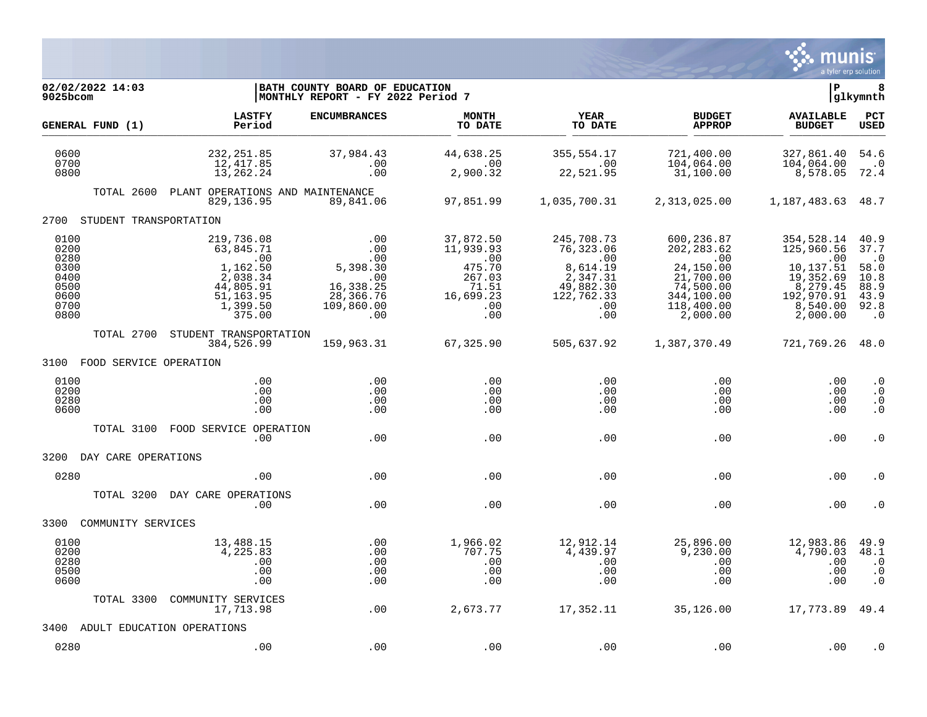

| 02/02/2022 14:03<br>9025bcom                                         |                                                                                                        | BATH COUNTY BOARD OF EDUCATION<br> MONTHLY REPORT - FY 2022 Period 7                      |                                                                                            |                                                                                                 |                                                                                                                       | lР                                                                                                          | 8<br> glkymnth                                                                 |
|----------------------------------------------------------------------|--------------------------------------------------------------------------------------------------------|-------------------------------------------------------------------------------------------|--------------------------------------------------------------------------------------------|-------------------------------------------------------------------------------------------------|-----------------------------------------------------------------------------------------------------------------------|-------------------------------------------------------------------------------------------------------------|--------------------------------------------------------------------------------|
| GENERAL FUND (1)                                                     | <b>LASTFY</b><br>Period                                                                                | <b>ENCUMBRANCES</b>                                                                       | <b>MONTH</b><br>TO DATE                                                                    | YEAR<br>TO DATE                                                                                 | <b>BUDGET</b><br><b>APPROP</b>                                                                                        | <b>AVAILABLE</b><br><b>BUDGET</b>                                                                           | <b>PCT</b><br>USED                                                             |
| 0600<br>0700<br>0800                                                 | 232, 251.85<br>12,417.85<br>13,262.24                                                                  | 37,984.43<br>.00<br>.00                                                                   | 44,638.25<br>.00<br>2,900.32                                                               | 355,554.17<br>.00<br>22,521.95                                                                  | 721,400.00<br>104,064.00<br>31,100.00                                                                                 | 327,861.40<br>104,064.00<br>8,578.05                                                                        | 54.6<br>$\cdot$ 0<br>72.4                                                      |
| TOTAL 2600                                                           | PLANT OPERATIONS AND MAINTENANCE<br>829, 136.95                                                        | 89,841.06                                                                                 | 97,851.99                                                                                  | 1,035,700.31                                                                                    | 2,313,025.00                                                                                                          | 1, 187, 483.63 48.7                                                                                         |                                                                                |
| 2700<br>STUDENT TRANSPORTATION                                       |                                                                                                        |                                                                                           |                                                                                            |                                                                                                 |                                                                                                                       |                                                                                                             |                                                                                |
| 0100<br>0200<br>0280<br>0300<br>0400<br>0500<br>0600<br>0700<br>0800 | 219,736.08<br>63,845.71<br>.00<br>1,162.50<br>2,038.34<br>44,805.91<br>51,163.95<br>1,399.50<br>375.00 | .00<br>.00<br>.00<br>5,398.30<br>$\sim$ 00<br>16,338.25<br>28,366.76<br>109,860.00<br>.00 | 37,872.50<br>11,939.93<br>$\ldots$<br>475.70<br>267.03<br>71.51<br>16,699.23<br>.00<br>.00 | 245,708.73<br>76,323.06<br>.00<br>8,614.19<br>2,347.31<br>49,882.30<br>122,762.33<br>.00<br>.00 | 600,236.87<br>202, 283.62<br>$\,.\,00$<br>24,150.00<br>21,700.00<br>74,500.00<br>344,100.00<br>118,400.00<br>2,000.00 | 354,528.14<br>125,960.56<br>.00<br>10,137.51<br>19,352.69<br>8,279.45<br>192,970.91<br>8,540.00<br>2,000.00 | 40.9<br>37.7<br>$\cdot$ 0<br>58.0<br>10.8<br>88.9<br>43.9<br>92.8<br>$\cdot$ 0 |
| TOTAL 2700                                                           | STUDENT TRANSPORTATION<br>384,526.99                                                                   | 159,963.31                                                                                | 67,325.90                                                                                  | 505,637.92                                                                                      | 1,387,370.49                                                                                                          | 721,769.26 48.0                                                                                             |                                                                                |
| 3100 FOOD SERVICE OPERATION                                          |                                                                                                        |                                                                                           |                                                                                            |                                                                                                 |                                                                                                                       |                                                                                                             |                                                                                |
| 0100<br>0200<br>0280<br>0600                                         | .00<br>.00<br>.00<br>.00                                                                               | .00<br>.00<br>.00<br>.00                                                                  | .00<br>.00<br>.00<br>.00                                                                   | .00<br>$.00 \ \,$<br>.00<br>.00                                                                 | .00<br>.00<br>.00<br>.00                                                                                              | .00<br>.00<br>.00<br>.00                                                                                    | $\cdot$ 0<br>. 0<br>$\cdot$ 0<br>$\cdot$ 0                                     |
| TOTAL 3100                                                           | FOOD SERVICE OPERATION<br>.00                                                                          | .00                                                                                       | .00                                                                                        | .00                                                                                             | .00                                                                                                                   | .00                                                                                                         | $\cdot$ 0                                                                      |
| 3200<br>DAY CARE OPERATIONS                                          |                                                                                                        |                                                                                           |                                                                                            |                                                                                                 |                                                                                                                       |                                                                                                             |                                                                                |
| 0280                                                                 | .00                                                                                                    | .00                                                                                       | .00                                                                                        | .00                                                                                             | .00                                                                                                                   | .00                                                                                                         | . 0                                                                            |
| TOTAL 3200                                                           | DAY CARE OPERATIONS<br>.00                                                                             | .00                                                                                       | .00                                                                                        | .00                                                                                             | .00                                                                                                                   | .00                                                                                                         | . 0                                                                            |
| 3300<br>COMMUNITY SERVICES                                           |                                                                                                        |                                                                                           |                                                                                            |                                                                                                 |                                                                                                                       |                                                                                                             |                                                                                |
| 0100<br>0200<br>0280<br>0500<br>0600                                 | 13,488.15<br>4,225.83<br>.00<br>.00<br>.00                                                             | .00<br>.00<br>.00<br>.00<br>.00                                                           | 1,966.02<br>707.75<br>.00<br>.00<br>.00                                                    | 12,912.14<br>4,439.97<br>.00<br>.00<br>.00                                                      | 25,896.00<br>9,230.00<br>.00<br>.00<br>.00                                                                            | 12,983.86<br>4,790.03<br>.00<br>.00<br>.00                                                                  | 49.9<br>48.1<br>$\cdot$ 0<br>$\cdot$ 0<br>$\cdot$ 0                            |
| TOTAL 3300                                                           | COMMUNITY SERVICES<br>17,713.98                                                                        | .00                                                                                       | 2,673.77                                                                                   | 17,352.11                                                                                       | 35,126.00                                                                                                             | 17,773.89 49.4                                                                                              |                                                                                |
| 3400                                                                 | ADULT EDUCATION OPERATIONS                                                                             |                                                                                           |                                                                                            |                                                                                                 |                                                                                                                       |                                                                                                             |                                                                                |
| 0280                                                                 | .00                                                                                                    | .00                                                                                       | .00                                                                                        | .00                                                                                             | .00                                                                                                                   | .00                                                                                                         | . 0                                                                            |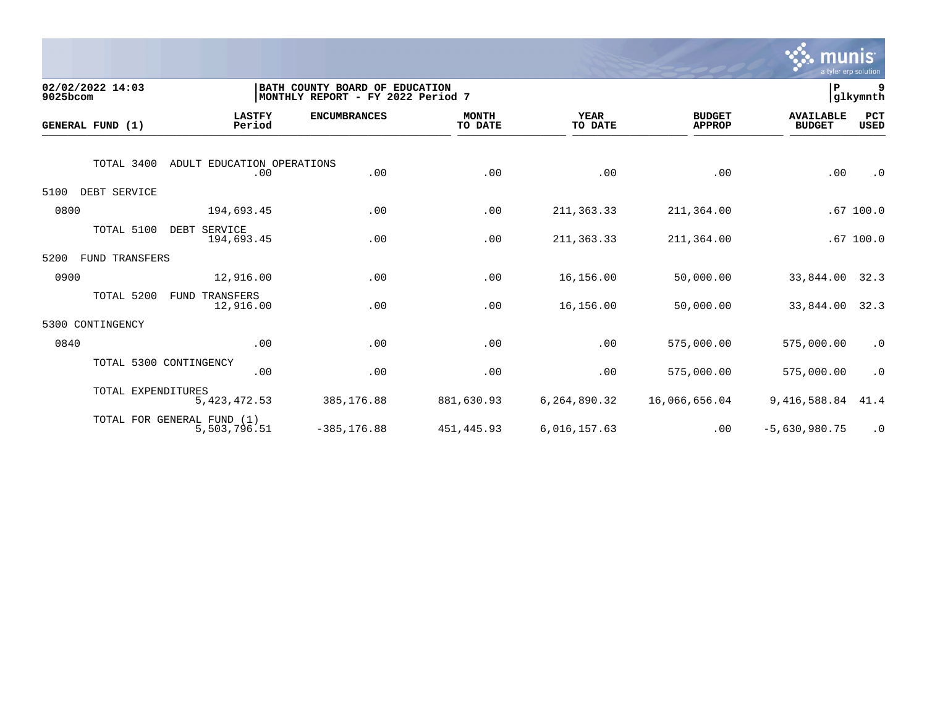

| 9025bcom | 02/02/2022 14:03   |                                            | BATH COUNTY BOARD OF EDUCATION<br> MONTHLY REPORT - FY 2022 Period 7 |                         |                        |                                | P                                 | 9<br>glkymnth |
|----------|--------------------|--------------------------------------------|----------------------------------------------------------------------|-------------------------|------------------------|--------------------------------|-----------------------------------|---------------|
|          | GENERAL FUND (1)   | <b>LASTFY</b><br>Period                    | <b>ENCUMBRANCES</b>                                                  | <b>MONTH</b><br>TO DATE | <b>YEAR</b><br>TO DATE | <b>BUDGET</b><br><b>APPROP</b> | <b>AVAILABLE</b><br><b>BUDGET</b> | PCT<br>USED   |
|          | TOTAL 3400         | ADULT EDUCATION OPERATIONS<br>.00          | .00                                                                  | .00                     | .00                    | .00                            | .00                               | $\cdot$ 0     |
| 5100     | DEBT SERVICE       |                                            |                                                                      |                         |                        |                                |                                   |               |
| 0800     |                    | 194,693.45                                 | .00                                                                  | .00                     | 211, 363.33            | 211,364.00                     |                                   | .67100.0      |
|          | TOTAL 5100         | DEBT<br>SERVICE<br>194,693.45              | .00                                                                  | .00                     | 211, 363.33            | 211,364.00                     |                                   | .67100.0      |
| 5200     | FUND TRANSFERS     |                                            |                                                                      |                         |                        |                                |                                   |               |
| 0900     |                    | 12,916.00                                  | .00                                                                  | .00                     | 16,156.00              | 50,000.00                      | 33,844.00                         | 32.3          |
|          | TOTAL 5200         | TRANSFERS<br>FUND<br>12,916.00             | .00                                                                  | .00                     | 16,156.00              | 50,000.00                      | 33,844.00                         | 32.3          |
| 5300     | CONTINGENCY        |                                            |                                                                      |                         |                        |                                |                                   |               |
| 0840     |                    | .00                                        | .00                                                                  | .00                     | .00                    | 575,000.00                     | 575,000.00                        | $\cdot$ 0     |
|          |                    | TOTAL 5300 CONTINGENCY<br>.00              | .00                                                                  | .00                     | .00                    | 575,000.00                     | 575,000.00                        | $\cdot$ 0     |
|          | TOTAL EXPENDITURES | 5, 423, 472.53                             | 385, 176.88                                                          | 881,630.93              | 6,264,890.32           | 16,066,656.04                  | 9,416,588.84                      | 41.4          |
|          |                    | TOTAL FOR GENERAL FUND (1)<br>5,503,796.51 | $-385, 176.88$                                                       | 451, 445.93             | 6,016,157.63           | .00                            | $-5,630,980.75$                   | $\cdot$ 0     |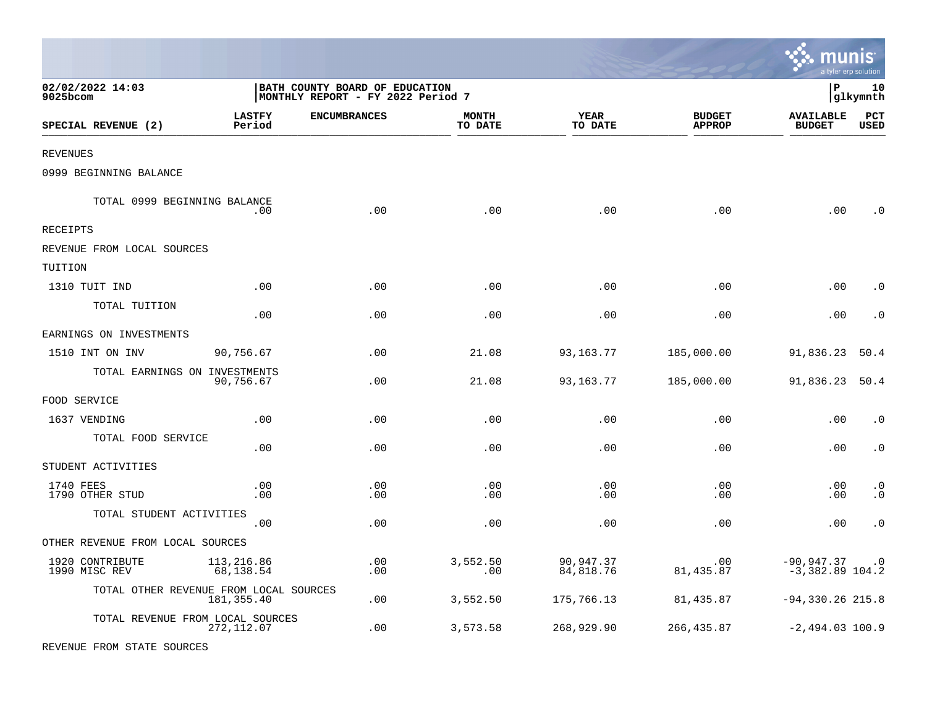|                                        |                         |                                                                     |                         |                        |                                |                                      | a tyler erp solution   |
|----------------------------------------|-------------------------|---------------------------------------------------------------------|-------------------------|------------------------|--------------------------------|--------------------------------------|------------------------|
| 02/02/2022 14:03<br>9025bcom           |                         | BATH COUNTY BOARD OF EDUCATION<br>MONTHLY REPORT - FY 2022 Period 7 |                         |                        |                                | l P                                  | 10<br> glkymnth        |
| SPECIAL REVENUE (2)                    | <b>LASTFY</b><br>Period | <b>ENCUMBRANCES</b>                                                 | <b>MONTH</b><br>TO DATE | <b>YEAR</b><br>TO DATE | <b>BUDGET</b><br><b>APPROP</b> | <b>AVAILABLE</b><br><b>BUDGET</b>    | PCT<br>USED            |
| REVENUES                               |                         |                                                                     |                         |                        |                                |                                      |                        |
| 0999 BEGINNING BALANCE                 |                         |                                                                     |                         |                        |                                |                                      |                        |
| TOTAL 0999 BEGINNING BALANCE           | .00                     | .00                                                                 | .00                     | .00                    | .00                            | .00                                  | . 0                    |
| RECEIPTS                               |                         |                                                                     |                         |                        |                                |                                      |                        |
| REVENUE FROM LOCAL SOURCES             |                         |                                                                     |                         |                        |                                |                                      |                        |
| TUITION                                |                         |                                                                     |                         |                        |                                |                                      |                        |
| 1310 TUIT IND                          | .00                     | .00                                                                 | .00                     | .00                    | .00                            | .00                                  | $\cdot$ 0              |
| TOTAL TUITION                          | .00                     | .00                                                                 | .00                     | .00                    | .00                            | .00                                  | . 0                    |
| EARNINGS ON INVESTMENTS                |                         |                                                                     |                         |                        |                                |                                      |                        |
| 1510 INT ON INV                        | 90,756.67               | .00                                                                 | 21.08                   | 93,163.77              | 185,000.00                     | 91,836.23                            | 50.4                   |
| TOTAL EARNINGS ON INVESTMENTS          | 90,756.67               | .00                                                                 | 21.08                   | 93,163.77              | 185,000.00                     | 91,836.23                            | 50.4                   |
| FOOD SERVICE                           |                         |                                                                     |                         |                        |                                |                                      |                        |
| 1637 VENDING                           | .00                     | .00                                                                 | .00                     | .00                    | .00                            | .00                                  | $\cdot$ 0              |
| TOTAL FOOD SERVICE                     | .00                     | .00                                                                 | .00                     | .00                    | .00                            | .00                                  | $\cdot$ 0              |
| STUDENT ACTIVITIES                     |                         |                                                                     |                         |                        |                                |                                      |                        |
| 1740 FEES<br>1790 OTHER STUD           | .00<br>.00              | .00<br>.00                                                          | .00<br>.00              | .00<br>.00             | .00<br>.00                     | .00<br>.00                           | $\cdot$ 0<br>$\cdot$ 0 |
| TOTAL STUDENT ACTIVITIES               | .00                     | .00                                                                 | .00                     | .00                    | .00                            | .00                                  | $\cdot$ 0              |
| OTHER REVENUE FROM LOCAL SOURCES       |                         |                                                                     |                         |                        |                                |                                      |                        |
| 1920 CONTRIBUTE<br>1990 MISC REV       | 113,216.86<br>68,138.54 | .00<br>.00                                                          | 3,552.50<br>.00         | 90,947.37<br>84,818.76 | .00<br>81,435.87               | $-90,947.37$ .0<br>$-3,382.89$ 104.2 |                        |
| TOTAL OTHER REVENUE FROM LOCAL SOURCES | 181,355.40              | .00                                                                 | 3,552.50                | 175,766.13             | 81,435.87                      | $-94,330.26$ 215.8                   |                        |
| TOTAL REVENUE FROM LOCAL SOURCES       | 272,112.07              | .00                                                                 | 3,573.58                | 268,929.90             | 266, 435.87                    | $-2,494.03$ 100.9                    |                        |
| REVENUE FROM STATE SOURCES             |                         |                                                                     |                         |                        |                                |                                      |                        |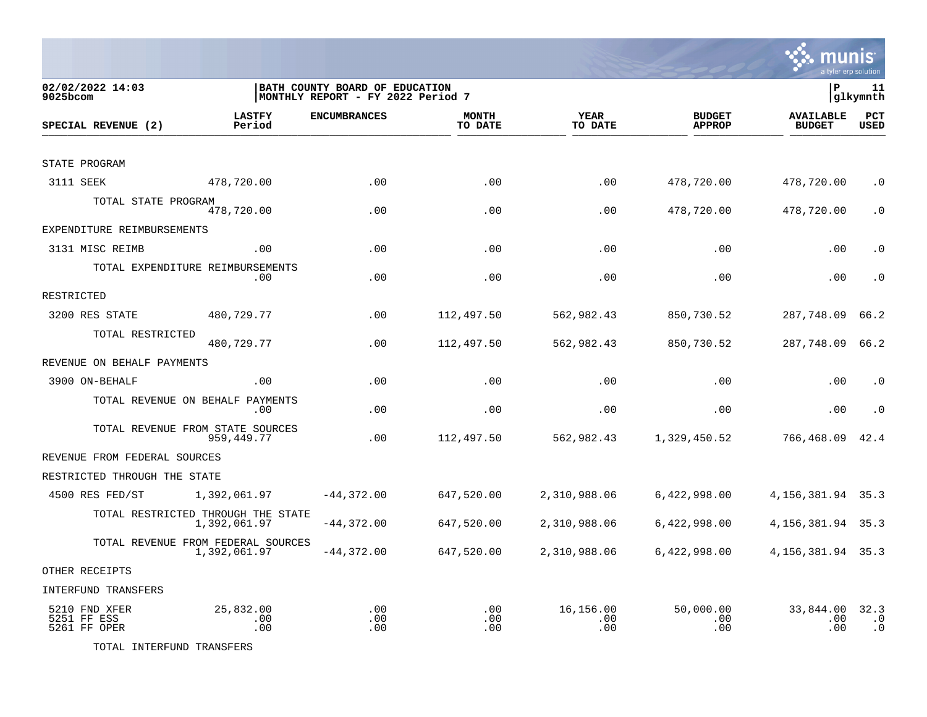

munis

TOTAL INTERFUND TRANSFERS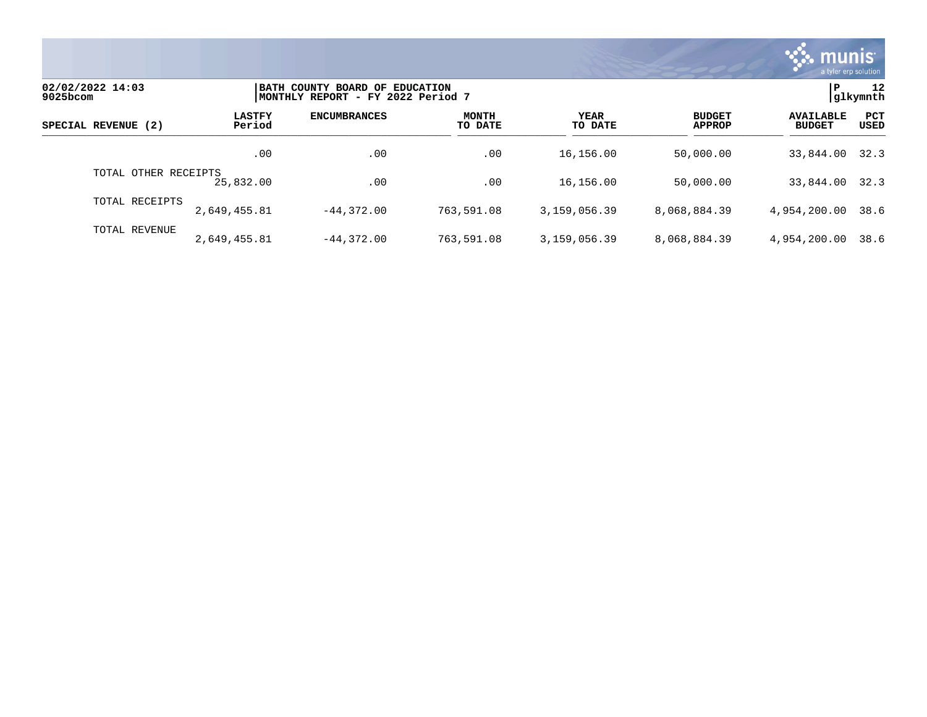

| 02/02/2022 14:03<br>9025bcom |                         | BATH COUNTY BOARD OF EDUCATION<br>MONTHLY REPORT - FY 2022 Period 7 |                         |                 |                                |                                   |                    |  |
|------------------------------|-------------------------|---------------------------------------------------------------------|-------------------------|-----------------|--------------------------------|-----------------------------------|--------------------|--|
| SPECIAL REVENUE (2)          | <b>LASTFY</b><br>Period | <b>ENCUMBRANCES</b>                                                 | <b>MONTH</b><br>TO DATE | YEAR<br>TO DATE | <b>BUDGET</b><br><b>APPROP</b> | <b>AVAILABLE</b><br><b>BUDGET</b> | PCT<br><b>USED</b> |  |
|                              | .00                     | .00                                                                 | .00                     | 16,156.00       | 50,000.00                      | 33,844.00                         | 32.3               |  |
| OTHER RECEIPTS<br>TOTAL      | 25,832.00               | .00                                                                 | .00                     | 16,156.00       | 50,000.00                      | 33,844.00                         | 32.3               |  |
| TOTAL RECEIPTS               | 2,649,455.81            | $-44.372.00$                                                        | 763,591.08              | 3,159,056.39    | 8,068,884.39                   | 4,954,200.00                      | 38.6               |  |
| TOTAL REVENUE                | 2,649,455.81            | $-44.372.00$                                                        | 763,591.08              | 3,159,056.39    | 8,068,884.39                   | 4,954,200.00                      | 38.6               |  |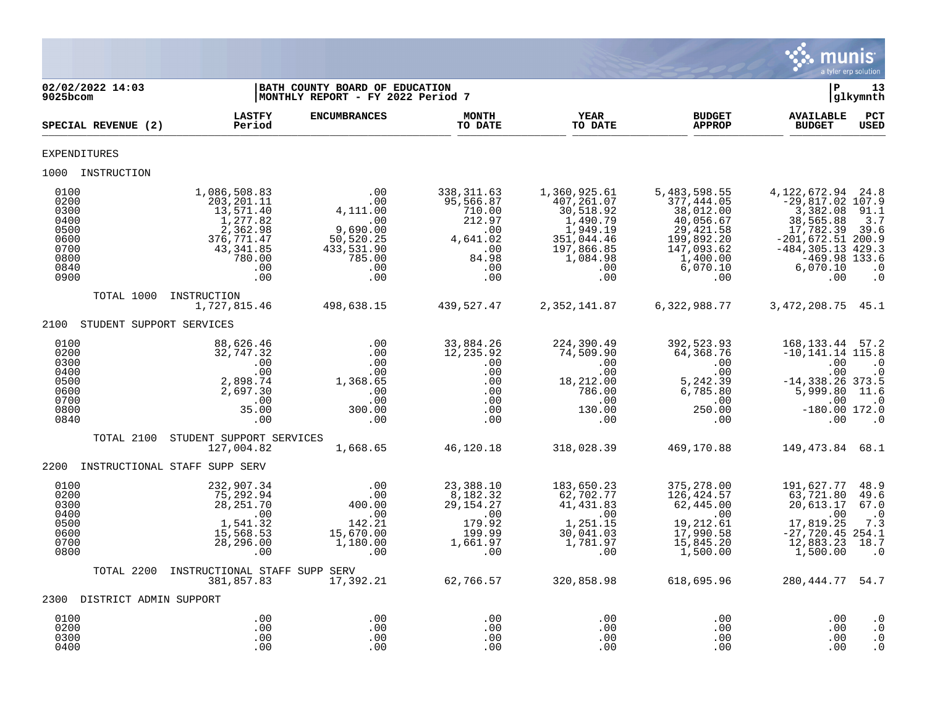

| 02/02/2022 14:03<br>$9025$ bcom                                              |                                                                                                                       | BATH COUNTY BOARD OF EDUCATION<br> MONTHLY REPORT - FY 2022 Period 7                          |                                                                                                |                                                                                                                       |                                                                                                                              | ∣P                                                                                                                                                                     | 13<br>glkymnth                                                 |
|------------------------------------------------------------------------------|-----------------------------------------------------------------------------------------------------------------------|-----------------------------------------------------------------------------------------------|------------------------------------------------------------------------------------------------|-----------------------------------------------------------------------------------------------------------------------|------------------------------------------------------------------------------------------------------------------------------|------------------------------------------------------------------------------------------------------------------------------------------------------------------------|----------------------------------------------------------------|
| SPECIAL REVENUE (2)                                                          | <b>LASTFY</b><br>Period                                                                                               | <b>ENCUMBRANCES</b>                                                                           | <b>MONTH</b><br>TO DATE                                                                        | YEAR<br>TO DATE                                                                                                       | <b>BUDGET</b><br><b>APPROP</b>                                                                                               | <b>AVAILABLE</b><br><b>BUDGET</b>                                                                                                                                      | PCT<br><b>USED</b>                                             |
| <b>EXPENDITURES</b>                                                          |                                                                                                                       |                                                                                               |                                                                                                |                                                                                                                       |                                                                                                                              |                                                                                                                                                                        |                                                                |
| 1000 INSTRUCTION                                                             |                                                                                                                       |                                                                                               |                                                                                                |                                                                                                                       |                                                                                                                              |                                                                                                                                                                        |                                                                |
| 0100<br>0200<br>0300<br>0400<br>0500<br>0600<br>0700<br>0800<br>0840<br>0900 | 1,086,508.83<br>203, 201. 11<br>13,571.40<br>1,277.82<br>2,362.98<br>376,771.47<br>43, 341.85<br>780.00<br>.00<br>.00 | .00<br>.00<br>4,111.00<br>.00<br>9,690.00<br>50, 520.25<br>433,531.90<br>785.00<br>.00<br>.00 | 338, 311.63<br>95,566.87<br>710.00<br>212.97<br>.00<br>4,641.02<br>.00<br>84.98<br>.00<br>.00  | 1,360,925.61<br>407,261.07<br>30,518.92<br>1,490.79<br>1,949.19<br>351,044.46<br>197,866.85<br>1,084.98<br>.00<br>.00 | 5,483,598.55<br>377,444.05<br>38,012.00<br>40,056.67<br>29,421.58<br>199,892.20<br>147,093.62<br>1,400.00<br>6,070.10<br>.00 | 4, 122, 672. 94 24. 8<br>$-29,817.02$ 107.9<br>3,382.08<br>38,565.88<br>17,782.39<br>$-201,672.51$ 200.9<br>$-484, 305.13$ 429.3<br>$-469.98$ 133.6<br>6,070.10<br>.00 | 91.1<br>3.7<br>39.6<br>$\cdot$ 0<br>$\cdot$ 0                  |
| TOTAL 1000                                                                   | INSTRUCTION<br>1,727,815.46                                                                                           | 498,638.15                                                                                    | 439,527.47                                                                                     | 2,352,141.87                                                                                                          | 6,322,988.77                                                                                                                 | 3, 472, 208. 75 45. 1                                                                                                                                                  |                                                                |
| 2100                                                                         | STUDENT SUPPORT SERVICES                                                                                              |                                                                                               |                                                                                                |                                                                                                                       |                                                                                                                              |                                                                                                                                                                        |                                                                |
| 0100<br>0200<br>0300<br>0400<br>0500<br>0600<br>0700<br>0800<br>0840         | 88,626.46<br>32,747.32<br>.00<br>.00<br>2,898.74<br>2,697.30<br>.00<br>35.00<br>.00                                   | .00<br>.00<br>.00<br>.00<br>1,368.65<br>.00<br>.00<br>300.00<br>.00                           | 33,884.26<br>12,235.92<br>.00<br>.00<br>.00<br>.00<br>.00<br>.00<br>.00                        | 224,390.49<br>74,509.90<br>.00<br>.00<br>18,212.00<br>786.00<br>$.00 \,$<br>130.00<br>.00                             | 392,523.93<br>64,368.76<br>.00<br>.00<br>5,242.39<br>6,785.80<br>$\,$ .00 $\,$<br>250.00<br>.00                              | 168, 133. 44 57. 2<br>$-10, 141.14$ 115.8<br>.00<br>.00<br>$-14, 338.26$ 373.5<br>5,999.80<br>.00<br>$-180.00$ 172.0<br>.00                                            | $\cdot$ 0<br>$\cdot$ 0<br>11.6<br>$\cdot$ 0<br>$\cdot$ 0       |
| TOTAL 2100                                                                   | STUDENT SUPPORT SERVICES<br>127,004.82                                                                                | 1,668.65                                                                                      | 46,120.18                                                                                      | 318,028.39                                                                                                            | 469,170.88                                                                                                                   | 149, 473.84 68.1                                                                                                                                                       |                                                                |
| 2200                                                                         | INSTRUCTIONAL STAFF SUPP SERV                                                                                         |                                                                                               |                                                                                                |                                                                                                                       |                                                                                                                              |                                                                                                                                                                        |                                                                |
| 0100<br>0200<br>0300<br>0400<br>0500<br>0600<br>0700<br>0800                 | 232,907.34<br>75,292.94<br>28, 251.70<br>.00<br>1,541.32<br>15,568.53<br>28, 296.00<br>.00                            | .00<br>.00<br>400.00<br>.00<br>142.21<br>15,670.00<br>1,180.00<br>.00                         | 23,388.10<br>8,182.32<br>29, 154. 27<br>.00<br>179.92<br>199.99<br>1,661.97<br>$\overline{00}$ | 183,650.23<br>62,702.77<br>41, 431.83<br>.00<br>1,251.15<br>30,041.03<br>1,781.97<br>.00                              | 375,278.00<br>126,424.57<br>62,445.00<br>.00<br>19,212.61<br>17,990.58<br>15,845.20<br>1,500.00                              | 191,627.77<br>63,721.80<br>20,613.17<br>.00<br>17,819.25<br>$-27,720.45$ 254.1<br>12,883.23<br>1,500.00                                                                | 48.9<br>49.6<br>67.0<br>$\cdot$ .0<br>7.3<br>18.7<br>$\cdot$ 0 |
| TOTAL 2200                                                                   | INSTRUCTIONAL STAFF SUPP SERV<br>381,857.83                                                                           | 17,392.21                                                                                     | 62,766.57                                                                                      | 320,858.98                                                                                                            | 618,695.96                                                                                                                   | 280, 444. 77 54. 7                                                                                                                                                     |                                                                |
| 2300 DISTRICT ADMIN SUPPORT                                                  |                                                                                                                       |                                                                                               |                                                                                                |                                                                                                                       |                                                                                                                              |                                                                                                                                                                        |                                                                |
| 0100<br>0200<br>0300<br>0400                                                 | .00<br>.00<br>.00<br>.00                                                                                              | .00<br>.00<br>.00<br>.00                                                                      | .00<br>.00<br>.00<br>.00                                                                       | .00<br>.00<br>.00<br>.00                                                                                              | .00<br>.00<br>.00<br>.00                                                                                                     | .00<br>.00<br>.00<br>.00                                                                                                                                               | $\cdot$ 0<br>$\cdot$ 0<br>$\cdot$ 0<br>$\cdot$ 0               |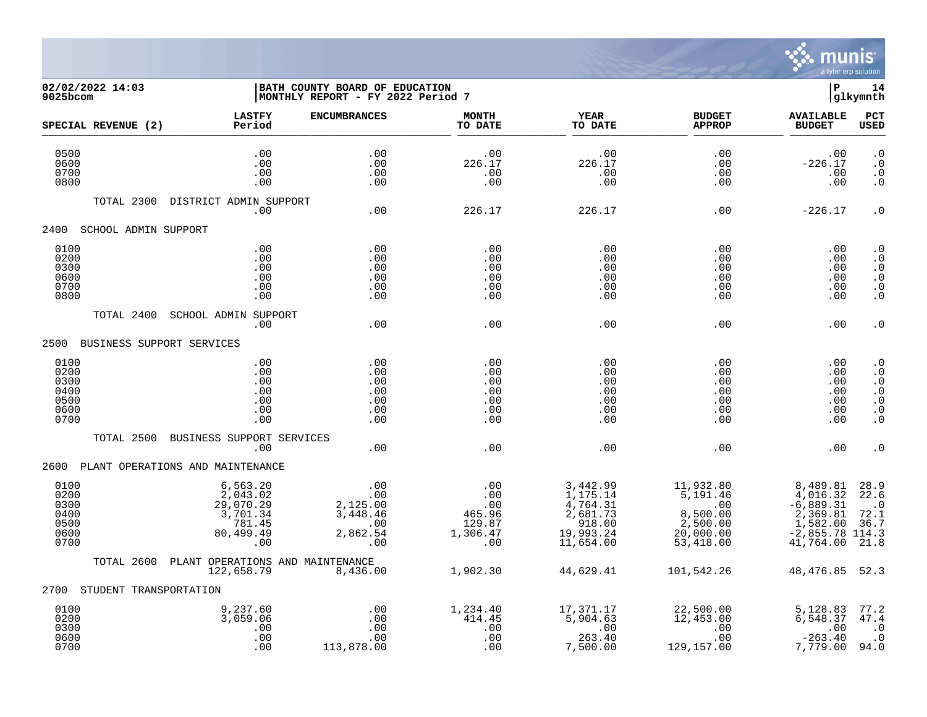

## **02/02/2022 14:03 |BATH COUNTY BOARD OF EDUCATION |P 14 9025bcom |MONTHLY REPORT - FY 2022 Period 7 |glkymnth**

| SPECIAL REVENUE (2)                                  | <b>LASTFY</b><br>Period                                                     | <b>ENCUMBRANCES</b>                                          | <b>MONTH</b><br>TO DATE                                               | <b>YEAR</b><br>TO DATE                                                                          | <b>BUDGET</b><br><b>APPROP</b>                                                                           | <b>AVAILABLE</b><br><b>BUDGET</b>                                                             | PCT<br><b>USED</b>                                                                      |
|------------------------------------------------------|-----------------------------------------------------------------------------|--------------------------------------------------------------|-----------------------------------------------------------------------|-------------------------------------------------------------------------------------------------|----------------------------------------------------------------------------------------------------------|-----------------------------------------------------------------------------------------------|-----------------------------------------------------------------------------------------|
| 0500<br>0600<br>0700<br>0800                         | .00<br>.00<br>.00<br>.00                                                    | .00<br>.00<br>.00<br>$.00 \,$                                | .00<br>226.17<br>.00<br>.00                                           | .00<br>226.17<br>.00<br>.00                                                                     | .00<br>.00<br>.00<br>.00                                                                                 | .00<br>$-226.17$<br>.00<br>.00                                                                | $\cdot$ 0<br>$\cdot$ 0<br>. 0<br>$\cdot$ 0                                              |
| TOTAL 2300                                           | DISTRICT ADMIN SUPPORT<br>.00                                               | .00                                                          | 226.17                                                                | 226.17                                                                                          | .00                                                                                                      | $-226.17$                                                                                     | $\cdot$ 0                                                                               |
| 2400<br>SCHOOL ADMIN SUPPORT                         |                                                                             |                                                              |                                                                       |                                                                                                 |                                                                                                          |                                                                                               |                                                                                         |
| 0100<br>0200<br>0300<br>0600<br>0700<br>0800         | .00<br>.00<br>.00<br>.00<br>.00<br>.00                                      | .00<br>.00<br>.00<br>.00<br>.00<br>.00                       | .00<br>.00<br>.00<br>.00<br>.00<br>.00                                | .00<br>.00<br>.00<br>.00<br>.00<br>.00                                                          | .00<br>.00<br>.00<br>.00<br>.00<br>.00                                                                   | .00<br>.00<br>.00<br>.00<br>.00<br>.00                                                        | $\boldsymbol{\cdot}$ 0<br>$\cdot$ 0<br>$\cdot$ 0<br>$\cdot$ 0<br>$\cdot$ 0<br>$\cdot$ 0 |
| TOTAL 2400                                           | <b>SCHOOL ADMIN SUPPORT</b><br>.00                                          | .00                                                          | .00                                                                   | .00                                                                                             | .00                                                                                                      | .00                                                                                           | . 0                                                                                     |
| 2500 BUSINESS SUPPORT SERVICES                       |                                                                             |                                                              |                                                                       |                                                                                                 |                                                                                                          |                                                                                               |                                                                                         |
| 0100<br>0200<br>0300<br>0400<br>0500<br>0600<br>0700 | .00<br>.00<br>.00<br>.00<br>.00<br>.00<br>.00                               | .00<br>.00<br>.00<br>.00<br>.00<br>.00<br>.00                | .00<br>.00<br>.00<br>.00<br>.00<br>.00<br>.00                         | .00<br>.00<br>.00<br>.00<br>.00<br>.00<br>.00                                                   | .00<br>.00<br>.00<br>.00<br>.00<br>.00<br>.00                                                            | .00<br>.00<br>.00<br>.00<br>.00<br>.00<br>.00                                                 | $\cdot$ 0<br>$\cdot$ 0<br>$\cdot$ 0<br>$\cdot$ 0<br>$\cdot$ 0<br>$\cdot$ 0<br>$\cdot$ 0 |
| TOTAL 2500                                           | BUSINESS SUPPORT SERVICES<br>.00                                            | .00                                                          | .00                                                                   | .00                                                                                             | .00                                                                                                      | .00                                                                                           | . 0                                                                                     |
|                                                      | 2600 PLANT OPERATIONS AND MAINTENANCE                                       |                                                              |                                                                       |                                                                                                 |                                                                                                          |                                                                                               |                                                                                         |
| 0100<br>0200<br>0300<br>0400<br>0500<br>0600<br>0700 | 6,563.20<br>2,043.02<br>29,070.29<br>3,701.34<br>781.45<br>80,499.49<br>.00 | .00<br>.00<br>2,125.00<br>3,448.46<br>.00<br>2,862.54<br>.00 | .00<br>.00<br>$\frac{100}{25}$<br>465.96<br>129.87<br>1,306.47<br>.00 | 3,442.99<br>1,175.14<br>$\frac{4}{2}$ , 764.31<br>2, 681.73<br>918.00<br>19,993.24<br>11,654.00 | 11,932.80<br>$\frac{1}{5}$ , 191.46<br>$\overline{00}$<br>8,500.00<br>2,500.00<br>20,000.00<br>53,418.00 | 8,489.81<br>4,016.32<br>$-6,889.31$<br>2,369.81<br>1,582.00<br>$-2,855.78$ 114.3<br>41,764.00 | 28.9<br>22.6<br>$\cdot$ 0<br>72.1<br>36.7<br>21.8                                       |
| TOTAL 2600                                           | PLANT OPERATIONS AND MAINTENANCE<br>122,658.79                              | 8,436.00                                                     | 1,902.30                                                              | 44,629.41                                                                                       | 101,542.26                                                                                               | 48,476.85                                                                                     | 52.3                                                                                    |
| 2700 STUDENT TRANSPORTATION                          |                                                                             |                                                              |                                                                       |                                                                                                 |                                                                                                          |                                                                                               |                                                                                         |
| 0100<br>0200<br>0300<br>0600<br>0700                 | 9,237.60<br>3,059.06<br>.00<br>.00<br>.00                                   | $\ldots$<br>.00<br>.00<br>.00<br>113,878.00                  | 1,234.40<br>414.45<br>.00<br>.00<br>.00                               | 17,371.17<br>5,904.63<br>.00<br>263.40<br>7,500.00                                              | 22,500.00<br>12,453.00<br>.00<br>.00<br>129,157.00                                                       | 5,128.83<br>6, 548.37<br>.00<br>$-263.40$<br>7,779.00                                         | 77.2<br>47.4<br>$\cdot$ 0<br>$\cdot$ 0<br>94.0                                          |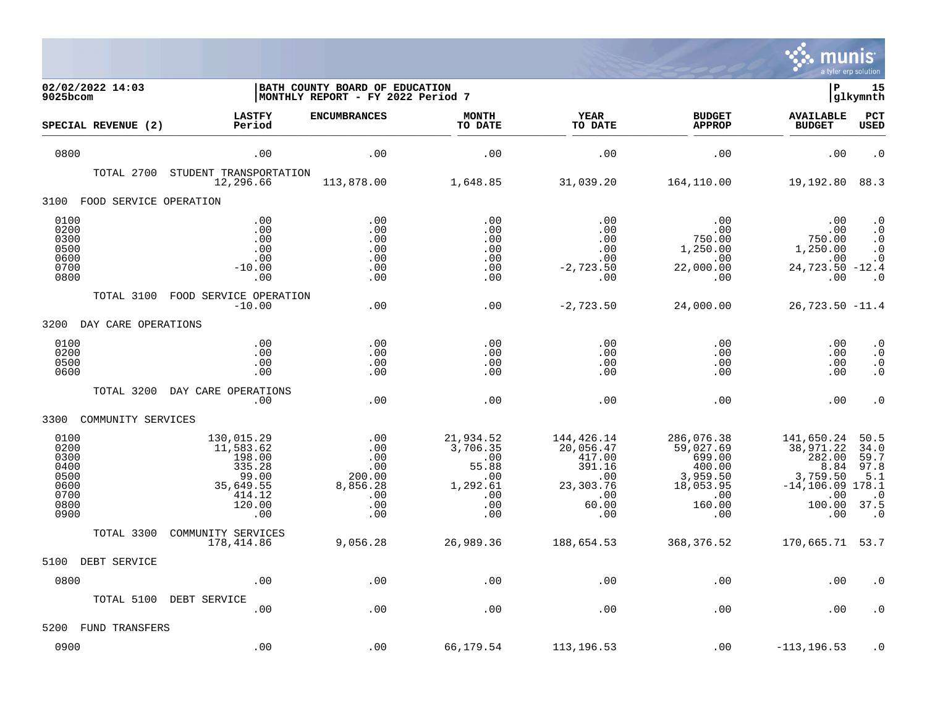

| 02/02/2022 14:03<br>9025bcom                                         |                                                                                              | BATH COUNTY BOARD OF EDUCATION<br>MONTHLY REPORT - FY 2022 Period 7 |                                                                               |                                                                                        |                                                                                              | l P                                                                                                  | 15<br> glkymnth                                                       |
|----------------------------------------------------------------------|----------------------------------------------------------------------------------------------|---------------------------------------------------------------------|-------------------------------------------------------------------------------|----------------------------------------------------------------------------------------|----------------------------------------------------------------------------------------------|------------------------------------------------------------------------------------------------------|-----------------------------------------------------------------------|
| SPECIAL REVENUE (2)                                                  | <b>LASTFY</b><br>Period                                                                      | <b>ENCUMBRANCES</b>                                                 | <b>MONTH</b><br>TO DATE                                                       | YEAR<br>TO DATE                                                                        | <b>BUDGET</b><br><b>APPROP</b>                                                               | <b>AVAILABLE</b><br><b>BUDGET</b>                                                                    | PCT<br>USED                                                           |
| 0800                                                                 | .00                                                                                          | .00                                                                 | .00                                                                           | .00                                                                                    | .00                                                                                          | .00                                                                                                  | $\cdot$ 0                                                             |
| TOTAL 2700                                                           | STUDENT TRANSPORTATION<br>12,296.66                                                          | 113,878.00                                                          | 1,648.85                                                                      | 31,039.20                                                                              | 164,110.00                                                                                   | 19,192.80                                                                                            | 88.3                                                                  |
| 3100<br>FOOD SERVICE OPERATION                                       |                                                                                              |                                                                     |                                                                               |                                                                                        |                                                                                              |                                                                                                      |                                                                       |
| 0100<br>0200<br>0300<br>0500<br>0600<br>0700<br>0800                 | .00<br>.00<br>.00<br>.00<br>.00<br>$-10.00$<br>.00                                           | .00<br>.00<br>.00<br>.00<br>.00<br>.00<br>.00                       | .00<br>.00<br>.00<br>.00<br>.00<br>.00<br>.00                                 | .00<br>.00<br>.00<br>.00<br>.00<br>$-2,723.50$<br>.00                                  | .00<br>.00<br>750.00<br>1,250.00<br>.00<br>22,000.00<br>.00                                  | .00<br>.00<br>750.00<br>1,250.00<br>.00<br>$24,723.50 -12.4$<br>.00                                  | $\cdot$ 0<br>$\cdot$ 0<br>$\cdot$ 0<br>$\cdot$ 0<br>$\cdot$ 0<br>. 0  |
| TOTAL 3100                                                           | FOOD SERVICE OPERATION<br>$-10.00$                                                           | .00                                                                 | .00                                                                           | $-2,723.50$                                                                            | 24,000.00                                                                                    | $26,723.50 -11.4$                                                                                    |                                                                       |
| 3200<br>DAY CARE OPERATIONS                                          |                                                                                              |                                                                     |                                                                               |                                                                                        |                                                                                              |                                                                                                      |                                                                       |
| 0100<br>0200<br>0500<br>0600                                         | .00<br>.00<br>.00<br>.00                                                                     | .00<br>.00<br>.00<br>.00                                            | .00<br>.00<br>.00<br>.00                                                      | .00<br>.00<br>.00<br>.00                                                               | .00<br>.00<br>.00<br>.00                                                                     | .00<br>.00<br>.00<br>.00                                                                             | $\cdot$ 0<br>$\cdot$ 0<br>$\cdot$ 0<br>$\cdot$ 0                      |
| TOTAL 3200                                                           | DAY CARE OPERATIONS<br>.00                                                                   | .00                                                                 | .00                                                                           | .00                                                                                    | .00                                                                                          | .00                                                                                                  | $\cdot$ 0                                                             |
| 3300 COMMUNITY SERVICES                                              |                                                                                              |                                                                     |                                                                               |                                                                                        |                                                                                              |                                                                                                      |                                                                       |
| 0100<br>0200<br>0300<br>0400<br>0500<br>0600<br>0700<br>0800<br>0900 | 130,015.29<br>11,583.62<br>198.00<br>335.28<br>99.00<br>35,649.55<br>414.12<br>120.00<br>.00 | .00<br>.00<br>.00<br>.00<br>200.00<br>8,856.28<br>.00<br>.00<br>.00 | 21,934.52<br>3,706.35<br>.00<br>55.88<br>.00<br>1,292.61<br>.00<br>.00<br>.00 | 144,426.14<br>20,056.47<br>417.00<br>391.16<br>.00<br>23,303.76<br>.00<br>60.00<br>.00 | 286,076.38<br>59,027.69<br>699.00<br>400.00<br>3,959.50<br>18,053.95<br>.00<br>160.00<br>.00 | 141,650.24<br>38,971.22<br>282.00<br>8.84<br>3,759.50<br>$-14, 106.09$ 178.1<br>.00<br>100.00<br>.00 | 50.5<br>34.0<br>59.7<br>97.8<br>5.1<br>$\cdot$ 0<br>37.5<br>$\cdot$ 0 |
| TOTAL 3300                                                           | COMMUNITY SERVICES<br>178,414.86                                                             | 9,056.28                                                            | 26,989.36                                                                     | 188,654.53                                                                             | 368,376.52                                                                                   | 170,665.71 53.7                                                                                      |                                                                       |
| 5100<br>DEBT SERVICE                                                 |                                                                                              |                                                                     |                                                                               |                                                                                        |                                                                                              |                                                                                                      |                                                                       |
| 0800                                                                 | .00                                                                                          | .00                                                                 | .00                                                                           | .00                                                                                    | .00                                                                                          | .00                                                                                                  | . 0                                                                   |
| TOTAL 5100                                                           | DEBT SERVICE<br>.00                                                                          | .00                                                                 | .00                                                                           | .00                                                                                    | .00                                                                                          | .00                                                                                                  | $\cdot$ 0                                                             |
| 5200<br>FUND TRANSFERS                                               |                                                                                              |                                                                     |                                                                               |                                                                                        |                                                                                              |                                                                                                      |                                                                       |
| 0900                                                                 | .00                                                                                          | .00                                                                 | 66,179.54                                                                     | 113, 196.53                                                                            | .00                                                                                          | $-113, 196.53$                                                                                       | . 0                                                                   |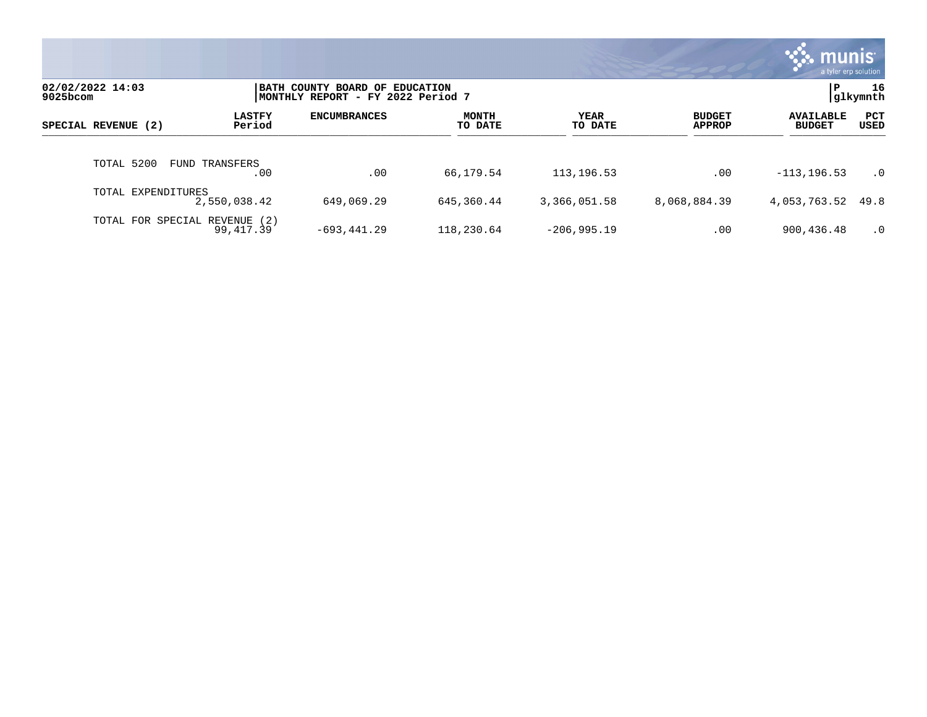|                              |                         |                                                                      |                  |                        |                                | munis <sup>.</sup><br>a tyler erp solution |                |
|------------------------------|-------------------------|----------------------------------------------------------------------|------------------|------------------------|--------------------------------|--------------------------------------------|----------------|
| 02/02/2022 14:03<br>9025bcom |                         | BATH COUNTY BOARD OF EDUCATION<br> MONTHLY REPORT - FY 2022 Period 7 |                  |                        |                                | l P                                        | 16<br>glkymnth |
| SPECIAL REVENUE (2)          | <b>LASTFY</b><br>Period | <b>ENCUMBRANCES</b>                                                  | MONTH<br>TO DATE | <b>YEAR</b><br>TO DATE | <b>BUDGET</b><br><b>APPROP</b> | <b>AVAILABLE</b><br><b>BUDGET</b>          | PCT<br>USED    |
| TOTAL 5200                   | FUND TRANSFERS<br>.00   | .00                                                                  | 66,179.54        | 113,196.53             | .00                            | $-113, 196.53$                             | $\cdot$ 0      |
| TOTAL EXPENDITURES           | 2,550,038.42            | 649,069.29                                                           | 645,360.44       | 3,366,051.58           | 8,068,884.39                   | 4,053,763.52 49.8                          |                |
| TOTAL FOR SPECIAL REVENUE    | (2)<br>99,417.39        | $-693, 441.29$                                                       | 118,230.64       | $-206,995.19$          | .00                            | 900,436.48                                 | $\cdot$ 0      |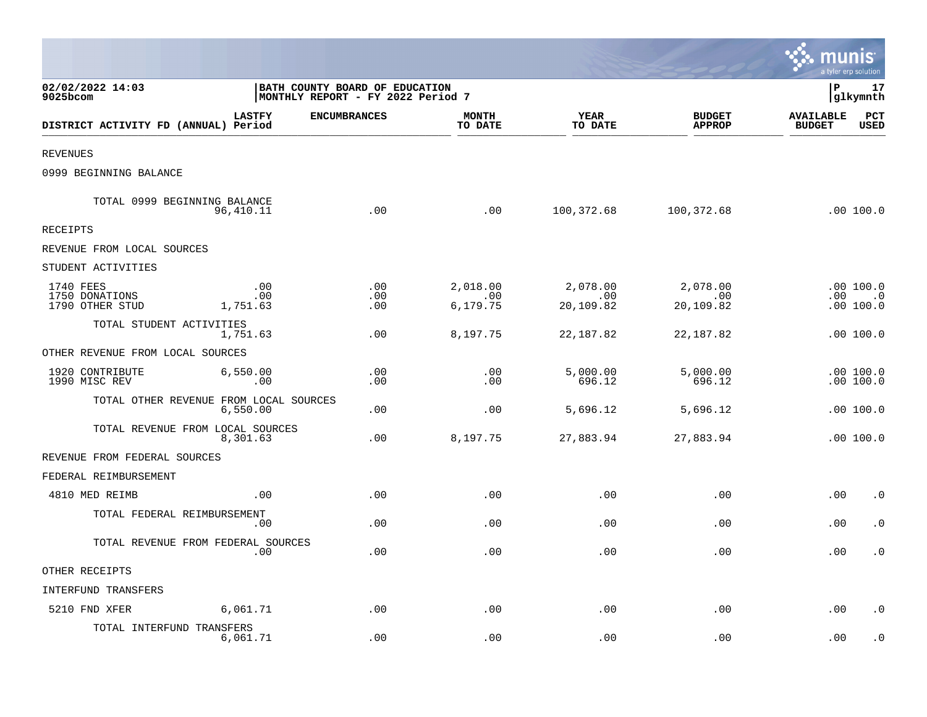|                                                |                                                                     |                     |                             |                              |                                | munis                             | a tyler erp solution                                 |
|------------------------------------------------|---------------------------------------------------------------------|---------------------|-----------------------------|------------------------------|--------------------------------|-----------------------------------|------------------------------------------------------|
| 02/02/2022 14:03<br>9025bcom                   | BATH COUNTY BOARD OF EDUCATION<br>MONTHLY REPORT - FY 2022 Period 7 |                     |                             |                              |                                | l P                               | 17<br> glkymnth                                      |
| DISTRICT ACTIVITY FD (ANNUAL) Period           | <b>LASTFY</b>                                                       | <b>ENCUMBRANCES</b> | <b>MONTH</b><br>TO DATE     | YEAR<br>TO DATE              | <b>BUDGET</b><br><b>APPROP</b> | <b>AVAILABLE</b><br><b>BUDGET</b> | PCT<br><b>USED</b>                                   |
| <b>REVENUES</b>                                |                                                                     |                     |                             |                              |                                |                                   |                                                      |
| 0999 BEGINNING BALANCE                         |                                                                     |                     |                             |                              |                                |                                   |                                                      |
| TOTAL 0999 BEGINNING BALANCE                   | 96,410.11                                                           | .00                 | .00                         | 100,372.68                   | 100,372.68                     |                                   | .00 100.0                                            |
| <b>RECEIPTS</b>                                |                                                                     |                     |                             |                              |                                |                                   |                                                      |
| REVENUE FROM LOCAL SOURCES                     |                                                                     |                     |                             |                              |                                |                                   |                                                      |
| STUDENT ACTIVITIES                             |                                                                     |                     |                             |                              |                                |                                   |                                                      |
| 1740 FEES<br>1750 DONATIONS<br>1790 OTHER STUD | .00<br>.00<br>1,751.63                                              | .00<br>.00<br>.00   | 2,018.00<br>.00<br>6,179.75 | 2,078.00<br>.00<br>20,109.82 | 2,078.00<br>.00<br>20,109.82   | $.00\,$                           | .00100.0<br>$\overline{\phantom{0}}$ .0<br>.00 100.0 |
| TOTAL STUDENT ACTIVITIES                       | 1,751.63                                                            | .00                 | 8,197.75                    | 22,187.82                    | 22, 187.82                     |                                   | .00100.0                                             |
| OTHER REVENUE FROM LOCAL SOURCES               |                                                                     |                     |                             |                              |                                |                                   |                                                      |
| 1920 CONTRIBUTE<br>1990 MISC REV               | 6,550.00<br>.00                                                     | .00<br>.00          | .00<br>.00                  | 5,000.00<br>696.12           | 5,000.00<br>696.12             |                                   | .00 100.0<br>.00100.0                                |
| TOTAL OTHER REVENUE FROM LOCAL SOURCES         | 6,550.00                                                            | .00                 | .00                         | 5,696.12                     | 5,696.12                       |                                   | .00 100.0                                            |
| TOTAL REVENUE FROM LOCAL SOURCES               | 8,301.63                                                            | .00                 | 8,197.75                    | 27,883.94                    | 27,883.94                      |                                   | .00 100.0                                            |
| REVENUE FROM FEDERAL SOURCES                   |                                                                     |                     |                             |                              |                                |                                   |                                                      |
| FEDERAL REIMBURSEMENT                          |                                                                     |                     |                             |                              |                                |                                   |                                                      |
| 4810 MED REIMB                                 | .00                                                                 | .00                 | .00                         | .00                          | .00                            | .00                               | $\cdot$ 0                                            |
| TOTAL FEDERAL REIMBURSEMENT                    | .00                                                                 | .00                 | .00                         | .00                          | .00                            | .00                               | $\cdot$ 0                                            |
| TOTAL REVENUE FROM FEDERAL SOURCES             | .00                                                                 | .00                 | .00                         | .00                          | .00                            | .00                               | $\cdot$ 0                                            |
| OTHER RECEIPTS                                 |                                                                     |                     |                             |                              |                                |                                   |                                                      |
| INTERFUND TRANSFERS                            |                                                                     |                     |                             |                              |                                |                                   |                                                      |
| 5210 FND XFER                                  | 6,061.71                                                            | .00                 | .00                         | .00                          | .00                            | .00                               | $\cdot$ 0                                            |
| TOTAL INTERFUND TRANSFERS                      | 6,061.71                                                            | .00                 | .00                         | .00                          | .00                            | .00                               | $\cdot$ 0                                            |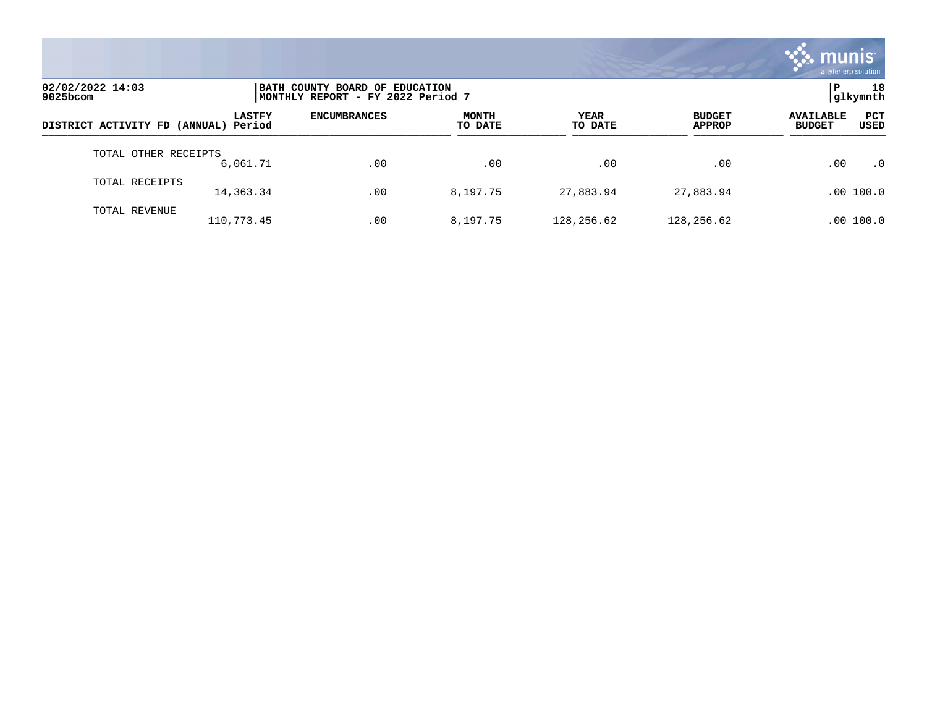

| 02/02/2022 14:03<br>9025bcom         |               | BATH COUNTY BOARD OF EDUCATION<br>MONTHLY REPORT - FY 2022 Period 7 |                         |                        |                                |                                                  |  |  |
|--------------------------------------|---------------|---------------------------------------------------------------------|-------------------------|------------------------|--------------------------------|--------------------------------------------------|--|--|
| DISTRICT ACTIVITY FD (ANNUAL) Period | <b>LASTFY</b> | <b>ENCUMBRANCES</b>                                                 | <b>MONTH</b><br>TO DATE | <b>YEAR</b><br>TO DATE | <b>BUDGET</b><br><b>APPROP</b> | PCT<br><b>AVAILABLE</b><br><b>BUDGET</b><br>USED |  |  |
| TOTAL OTHER RECEIPTS                 | 6,061.71      | .00                                                                 | .00                     | .00                    | .00                            | .00<br>$\cdot$ 0                                 |  |  |
| TOTAL RECEIPTS                       | 14,363.34     | .00                                                                 | 8,197.75                | 27,883.94              | 27,883.94                      | .00 100.0                                        |  |  |
| TOTAL REVENUE                        | 110,773.45    | .00                                                                 | 8,197.75                | 128,256.62             | 128,256.62                     | .00 100.0                                        |  |  |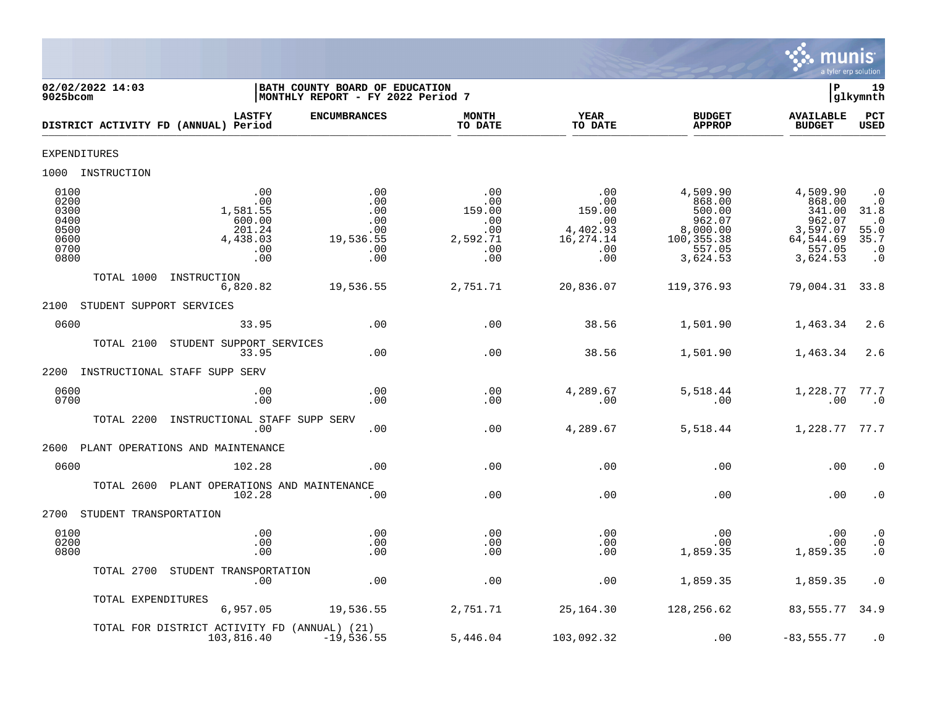

| 02/02/2022 14:03<br>$9025$ bcom                                                                                                      | BATH COUNTY BOARD OF EDUCATION<br>MONTHLY REPORT - FY 2022 Period 7 |                                                              |                                                                           |                                                                                        | ΙP                                                                                    | 19<br>glkymnth                                                                                     |
|--------------------------------------------------------------------------------------------------------------------------------------|---------------------------------------------------------------------|--------------------------------------------------------------|---------------------------------------------------------------------------|----------------------------------------------------------------------------------------|---------------------------------------------------------------------------------------|----------------------------------------------------------------------------------------------------|
| <b>LASTFY</b><br>DISTRICT ACTIVITY FD (ANNUAL) Period                                                                                | <b>ENCUMBRANCES</b>                                                 | <b>MONTH</b><br>TO DATE                                      | <b>YEAR</b><br>TO DATE                                                    | <b>BUDGET</b><br><b>APPROP</b>                                                         | <b>AVAILABLE</b><br><b>BUDGET</b>                                                     | PCT<br>USED                                                                                        |
| <b>EXPENDITURES</b>                                                                                                                  |                                                                     |                                                              |                                                                           |                                                                                        |                                                                                       |                                                                                                    |
| 1000 INSTRUCTION                                                                                                                     |                                                                     |                                                              |                                                                           |                                                                                        |                                                                                       |                                                                                                    |
| 0100<br>.00<br>0200<br>.00<br>0300<br>1,581.55<br>600.00<br>0400<br>0500<br>201.24<br>0600<br>4,438.03<br>0700<br>.00<br>0800<br>.00 | .00<br>.00<br>.00<br>.00<br>.00<br>19,536.55<br>.00<br>.00          | .00<br>.00<br>159.00<br>.00<br>.00<br>2,592.71<br>.00<br>.00 | .00<br>.00<br>159.00<br>$\cdot$ 00<br>4,402.93<br>16,274.14<br>.00<br>.00 | 4,509.90<br>868.00<br>500.00<br>962.07<br>8,000.00<br>100,355.38<br>557.05<br>3,624.53 | 4,509.90<br>868.00<br>341.00<br>962.07<br>3,597.07<br>64,544.69<br>557.05<br>3,624.53 | $\cdot$ 0<br>$\cdot$ 0<br>31.8<br>$\cdot$ 0<br>55.0<br>35.7<br>$\cdot$ 0<br>$\boldsymbol{\cdot}$ 0 |
| TOTAL 1000<br>INSTRUCTION<br>6,820.82                                                                                                | 19,536.55                                                           | 2,751.71                                                     | 20,836.07                                                                 | 119,376.93                                                                             | 79,004.31 33.8                                                                        |                                                                                                    |
| 2100<br>STUDENT SUPPORT SERVICES                                                                                                     |                                                                     |                                                              |                                                                           |                                                                                        |                                                                                       |                                                                                                    |
| 0600<br>33.95                                                                                                                        | .00                                                                 | .00                                                          | 38.56                                                                     | 1,501.90                                                                               | 1,463.34                                                                              | 2.6                                                                                                |
| TOTAL 2100<br>STUDENT SUPPORT SERVICES<br>33.95                                                                                      | .00                                                                 | .00                                                          | 38.56                                                                     | 1,501.90                                                                               | 1,463.34                                                                              | 2.6                                                                                                |
| INSTRUCTIONAL STAFF SUPP SERV<br>2200                                                                                                |                                                                     |                                                              |                                                                           |                                                                                        |                                                                                       |                                                                                                    |
| 0600<br>.00<br>0700<br>.00                                                                                                           | .00<br>.00                                                          | .00<br>.00                                                   | 4,289.67<br>.00                                                           | 5,518.44<br>.00                                                                        | 1,228.77<br>.00                                                                       | 77.7<br>$\cdot$ 0                                                                                  |
| TOTAL 2200<br>INSTRUCTIONAL STAFF SUPP SERV<br>.00                                                                                   | .00                                                                 | .00                                                          | 4,289.67                                                                  | 5,518.44                                                                               | 1,228.77 77.7                                                                         |                                                                                                    |
| 2600<br>PLANT OPERATIONS AND MAINTENANCE                                                                                             |                                                                     |                                                              |                                                                           |                                                                                        |                                                                                       |                                                                                                    |
| 0600<br>102.28                                                                                                                       | .00.                                                                | .00                                                          | .00                                                                       | .00                                                                                    | .00                                                                                   | $\cdot$ 0                                                                                          |
| TOTAL 2600 PLANT OPERATIONS AND MAINTENANCE<br>102.28                                                                                | .00                                                                 | .00                                                          | .00                                                                       | .00                                                                                    | .00                                                                                   | $\cdot$ 0                                                                                          |
| 2700<br>STUDENT TRANSPORTATION                                                                                                       |                                                                     |                                                              |                                                                           |                                                                                        |                                                                                       |                                                                                                    |
| 0100<br>.00<br>0200<br>.00<br>0800<br>.00                                                                                            | .00<br>.00<br>.00                                                   | .00<br>.00<br>.00                                            | .00<br>.00<br>.00                                                         | .00<br>.00<br>1,859.35                                                                 | .00<br>.00<br>1,859.35                                                                | $\cdot$ 0<br>$\cdot$ 0<br>$\cdot$ 0                                                                |
| TOTAL 2700 STUDENT TRANSPORTATION<br>.00                                                                                             | .00                                                                 | .00                                                          | .00                                                                       | 1,859.35                                                                               | 1,859.35                                                                              | $\cdot$ 0                                                                                          |
| TOTAL EXPENDITURES<br>6,957.05                                                                                                       | 19,536.55                                                           | 2,751.71                                                     | 25,164.30                                                                 | 128,256.62                                                                             | 83,555.77 34.9                                                                        |                                                                                                    |
| TOTAL FOR DISTRICT ACTIVITY FD (ANNUAL) (21)<br>103,816.40                                                                           | $-19,536.55$                                                        | 5,446.04                                                     | 103,092.32                                                                | .00                                                                                    | $-83,555.77$                                                                          | $\cdot$ 0                                                                                          |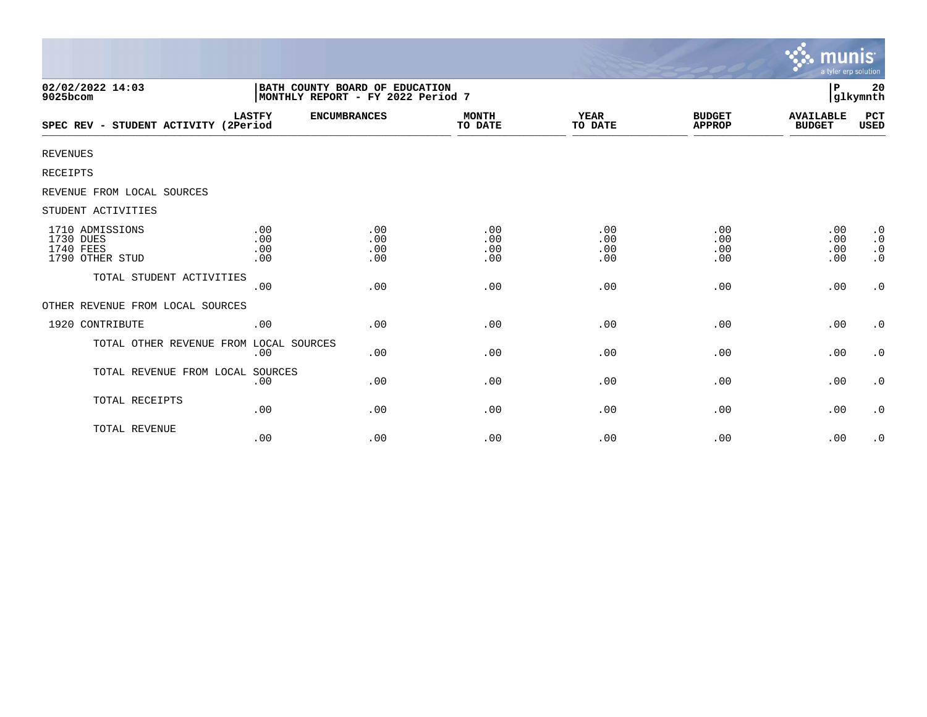|                                                                     |                          |                                                                     |                          |                          |                                | munıs<br>a tyler erp solution     |                                                               |
|---------------------------------------------------------------------|--------------------------|---------------------------------------------------------------------|--------------------------|--------------------------|--------------------------------|-----------------------------------|---------------------------------------------------------------|
| 02/02/2022 14:03<br>9025bcom                                        |                          | BATH COUNTY BOARD OF EDUCATION<br>MONTHLY REPORT - FY 2022 Period 7 |                          |                          |                                | P                                 | 20<br>glkymnth                                                |
| SPEC REV - STUDENT ACTIVITY (2Period                                | <b>LASTFY</b>            | <b>ENCUMBRANCES</b>                                                 | <b>MONTH</b><br>TO DATE  | <b>YEAR</b><br>TO DATE   | <b>BUDGET</b><br><b>APPROP</b> | <b>AVAILABLE</b><br><b>BUDGET</b> | PCT<br>USED                                                   |
| <b>REVENUES</b>                                                     |                          |                                                                     |                          |                          |                                |                                   |                                                               |
| <b>RECEIPTS</b>                                                     |                          |                                                                     |                          |                          |                                |                                   |                                                               |
| REVENUE FROM LOCAL SOURCES                                          |                          |                                                                     |                          |                          |                                |                                   |                                                               |
| STUDENT ACTIVITIES                                                  |                          |                                                                     |                          |                          |                                |                                   |                                                               |
| 1710 ADMISSIONS<br>1730 DUES<br><b>1740 FEES</b><br>1790 OTHER STUD | .00<br>.00<br>.00<br>.00 | .00<br>.00<br>.00<br>.00                                            | .00<br>.00<br>.00<br>.00 | .00<br>.00<br>.00<br>.00 | .00<br>.00<br>.00<br>.00       | .00<br>.00<br>.00<br>.00          | $\cdot$ 0<br>$\boldsymbol{\cdot}$ 0<br>$\cdot$ 0<br>$\cdot$ 0 |
| TOTAL STUDENT ACTIVITIES                                            | .00                      | .00                                                                 | .00                      | .00                      | .00                            | .00                               | $\cdot$ 0                                                     |
| OTHER REVENUE FROM LOCAL SOURCES                                    |                          |                                                                     |                          |                          |                                |                                   |                                                               |
| 1920 CONTRIBUTE                                                     | .00                      | .00                                                                 | .00                      | .00                      | .00                            | .00                               | $\cdot$ 0                                                     |
| TOTAL OTHER REVENUE FROM LOCAL SOURCES                              | .00                      | .00                                                                 | .00                      | .00                      | .00                            | .00                               | $\cdot$ 0                                                     |
| TOTAL REVENUE FROM LOCAL SOURCES                                    | .00                      | .00                                                                 | .00                      | .00                      | .00                            | .00                               | $\cdot$ 0                                                     |
| TOTAL RECEIPTS                                                      | .00                      | .00                                                                 | .00                      | .00                      | .00                            | .00                               | $\cdot$ 0                                                     |
| TOTAL REVENUE                                                       | .00                      | .00                                                                 | .00                      | .00                      | .00                            | .00                               | $\cdot$ 0                                                     |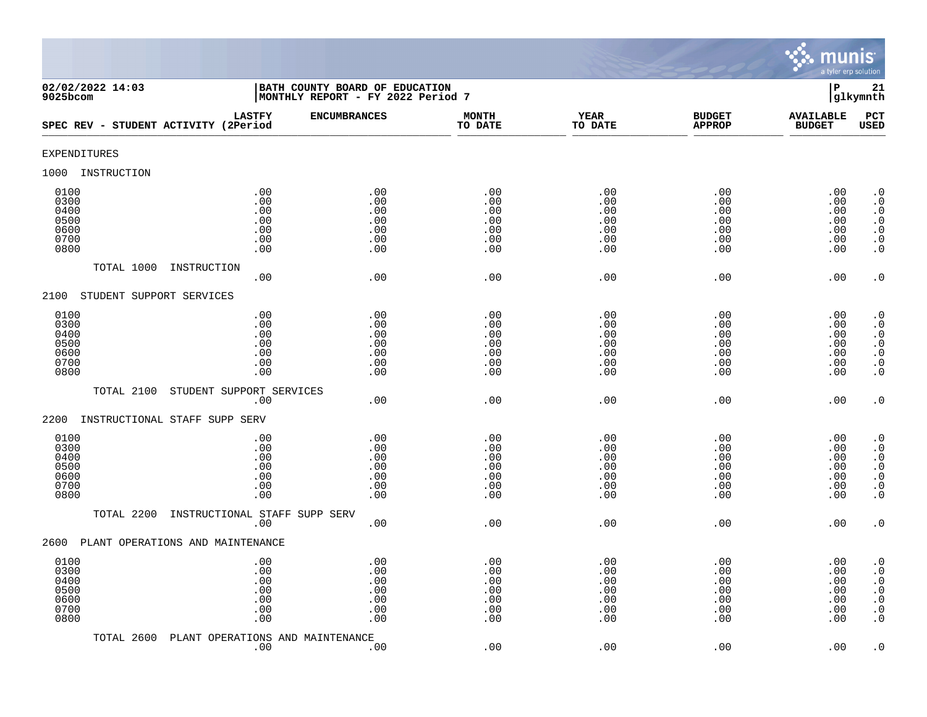

| 02/02/2022 14:03<br>$9025$ bcom                      |                                                       | BATH COUNTY BOARD OF EDUCATION<br>MONTHLY REPORT - FY 2022 Period 7 |                                               |                                               |                                               | $\mathbf P$                                   | 21<br>glkymnth                                                                                                                                    |
|------------------------------------------------------|-------------------------------------------------------|---------------------------------------------------------------------|-----------------------------------------------|-----------------------------------------------|-----------------------------------------------|-----------------------------------------------|---------------------------------------------------------------------------------------------------------------------------------------------------|
|                                                      | <b>LASTFY</b><br>SPEC REV - STUDENT ACTIVITY (2Period | <b>ENCUMBRANCES</b>                                                 | <b>MONTH</b><br>TO DATE                       | <b>YEAR</b><br>TO DATE                        | <b>BUDGET</b><br><b>APPROP</b>                | <b>AVAILABLE</b><br><b>BUDGET</b>             | PCT<br><b>USED</b>                                                                                                                                |
| <b>EXPENDITURES</b>                                  |                                                       |                                                                     |                                               |                                               |                                               |                                               |                                                                                                                                                   |
| 1000<br>INSTRUCTION                                  |                                                       |                                                                     |                                               |                                               |                                               |                                               |                                                                                                                                                   |
| 0100<br>0300<br>0400<br>0500<br>0600<br>0700<br>0800 | .00<br>.00<br>.00<br>$.00$<br>.00<br>.00<br>.00       | .00<br>.00<br>.00<br>.00<br>.00<br>.00<br>.00                       | .00<br>.00<br>.00<br>.00<br>.00<br>.00<br>.00 | .00<br>.00<br>.00<br>.00<br>.00<br>.00<br>.00 | .00<br>.00<br>.00<br>.00<br>.00<br>.00<br>.00 | .00<br>.00<br>.00<br>.00<br>.00<br>.00<br>.00 | $\cdot$ 0<br>$\boldsymbol{\cdot}$ 0<br>$\cdot$ 0<br>$\begin{smallmatrix} . & 0 \\ . & 0 \end{smallmatrix}$<br>$\boldsymbol{\cdot}$ 0<br>$\cdot$ 0 |
|                                                      | TOTAL 1000<br>INSTRUCTION<br>.00                      | .00                                                                 | .00                                           | .00                                           | .00                                           | .00                                           | $\cdot$ 0                                                                                                                                         |
| 2100                                                 | STUDENT SUPPORT SERVICES                              |                                                                     |                                               |                                               |                                               |                                               |                                                                                                                                                   |
| 0100<br>0300<br>0400<br>0500<br>0600<br>0700<br>0800 | .00<br>.00<br>.00<br>.00<br>.00<br>.00<br>.00         | .00<br>.00<br>.00<br>.00<br>.00<br>.00<br>.00                       | .00<br>.00<br>.00<br>.00<br>.00<br>.00<br>.00 | .00<br>.00<br>.00<br>.00<br>.00<br>.00<br>.00 | .00<br>.00<br>.00<br>.00<br>.00<br>.00<br>.00 | .00<br>.00<br>.00<br>.00<br>.00<br>.00<br>.00 | $\cdot$ 0<br>$\cdot$ 0<br>$\cdot$ 0<br>$\begin{array}{c} . & 0 \\ . & 0 \\ . & 0 \end{array}$<br>$\cdot$ 0                                        |
|                                                      | TOTAL 2100<br>STUDENT SUPPORT SERVICES                |                                                                     |                                               |                                               |                                               |                                               |                                                                                                                                                   |
| 2200                                                 | .00<br>INSTRUCTIONAL STAFF SUPP SERV                  | .00                                                                 | .00                                           | .00                                           | .00                                           | .00                                           | $\cdot$ 0                                                                                                                                         |
| 0100<br>0300<br>0400<br>0500<br>0600<br>0700<br>0800 | .00<br>.00<br>.00<br>.00<br>.00<br>.00<br>.00         | .00<br>.00<br>.00<br>.00<br>.00<br>.00<br>.00                       | .00<br>.00<br>.00<br>.00<br>.00<br>.00<br>.00 | .00<br>.00<br>.00<br>.00<br>.00<br>.00<br>.00 | .00<br>.00<br>.00<br>.00<br>.00<br>.00<br>.00 | .00<br>.00<br>.00<br>.00<br>.00<br>.00<br>.00 | $\cdot$ 0<br>$\cdot$ 0<br>$\begin{smallmatrix} 0.1 \\ 0.1 \end{smallmatrix}$<br>$\ddot{0}$<br>$\boldsymbol{\cdot}$ 0<br>$\overline{0}$            |
|                                                      | TOTAL 2200<br>INSTRUCTIONAL STAFF SUPP SERV<br>.00    | .00                                                                 | .00                                           | .00                                           | .00                                           | .00                                           | $\cdot$ 0                                                                                                                                         |
| 2600                                                 | PLANT OPERATIONS AND MAINTENANCE                      |                                                                     |                                               |                                               |                                               |                                               |                                                                                                                                                   |
| 0100<br>0300<br>0400<br>0500<br>0600<br>0700<br>0800 | .00<br>.00<br>.00<br>.00<br>.00<br>.00<br>.00         | .00<br>.00<br>.00<br>.00<br>.00<br>.00<br>.00                       | .00<br>.00<br>.00<br>.00<br>.00<br>.00<br>.00 | .00<br>.00<br>.00<br>.00<br>.00<br>.00<br>.00 | .00<br>.00<br>.00<br>.00<br>.00<br>.00<br>.00 | .00<br>.00<br>.00<br>.00<br>.00<br>.00<br>.00 | $\cdot$ 0<br>$\cdot$ 0<br>$\boldsymbol{\cdot}$ 0<br>$\ddot{0}$<br>$\boldsymbol{\cdot}$ 0<br>$\boldsymbol{\cdot}$ 0<br>$\cdot$ 0                   |
|                                                      | TOTAL 2600<br>PLANT OPERATIONS AND MAINTENANCE<br>.00 | .00                                                                 | .00                                           | .00                                           | .00                                           | .00                                           | $\cdot$ 0                                                                                                                                         |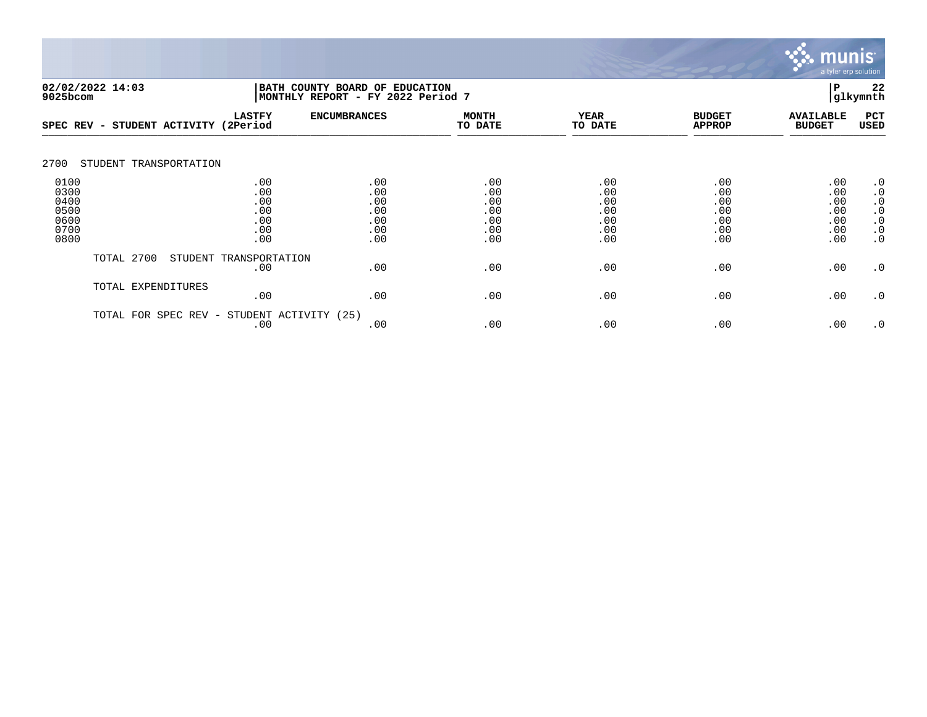

|                                                      | 02/02/2022 14:03<br>BATH COUNTY BOARD OF EDUCATION<br>9025bcom |                                               |                                               | P<br>glkymnth<br> MONTHLY REPORT - FY 2022 Period 7 |                                               |                                               |                                               |                                                                                         |  |
|------------------------------------------------------|----------------------------------------------------------------|-----------------------------------------------|-----------------------------------------------|-----------------------------------------------------|-----------------------------------------------|-----------------------------------------------|-----------------------------------------------|-----------------------------------------------------------------------------------------|--|
| SPEC REV -                                           | STUDENT ACTIVITY                                               | <b>LASTFY</b><br>(2Period                     | <b>ENCUMBRANCES</b>                           | <b>MONTH</b><br>TO DATE                             | <b>YEAR</b><br>TO DATE                        | <b>BUDGET</b><br><b>APPROP</b>                | <b>AVAILABLE</b><br><b>BUDGET</b>             | PCT<br><b>USED</b>                                                                      |  |
| 2700                                                 | STUDENT TRANSPORTATION                                         |                                               |                                               |                                                     |                                               |                                               |                                               |                                                                                         |  |
| 0100<br>0300<br>0400<br>0500<br>0600<br>0700<br>0800 |                                                                | .00<br>.00<br>.00<br>.00<br>.00<br>.00<br>.00 | .00<br>.00<br>.00<br>.00<br>.00<br>.00<br>.00 | .00<br>.00<br>.00<br>.00<br>.00<br>.00<br>.00       | .00<br>.00<br>.00<br>.00<br>.00<br>.00<br>.00 | .00<br>.00<br>.00<br>.00<br>.00<br>.00<br>.00 | .00<br>.00<br>.00<br>.00<br>.00<br>.00<br>.00 | $\cdot$ 0<br>$\cdot$ 0<br>$\cdot$ 0<br>$\cdot$ 0<br>$\cdot$ 0<br>$\cdot$ 0<br>$\cdot$ 0 |  |
|                                                      | TOTAL 2700                                                     | STUDENT TRANSPORTATION<br>.00                 | .00                                           | .00                                                 | .00                                           | .00                                           | .00                                           | $\cdot$ 0                                                                               |  |
|                                                      | TOTAL EXPENDITURES                                             | .00                                           | .00                                           | .00                                                 | .00                                           | .00                                           | .00                                           | $\cdot$ 0                                                                               |  |
|                                                      | TOTAL FOR SPEC REV -                                           | STUDENT ACTIVITY<br>.00                       | (25)<br>.00                                   | .00                                                 | .00                                           | .00                                           | .00                                           | $\cdot$ 0                                                                               |  |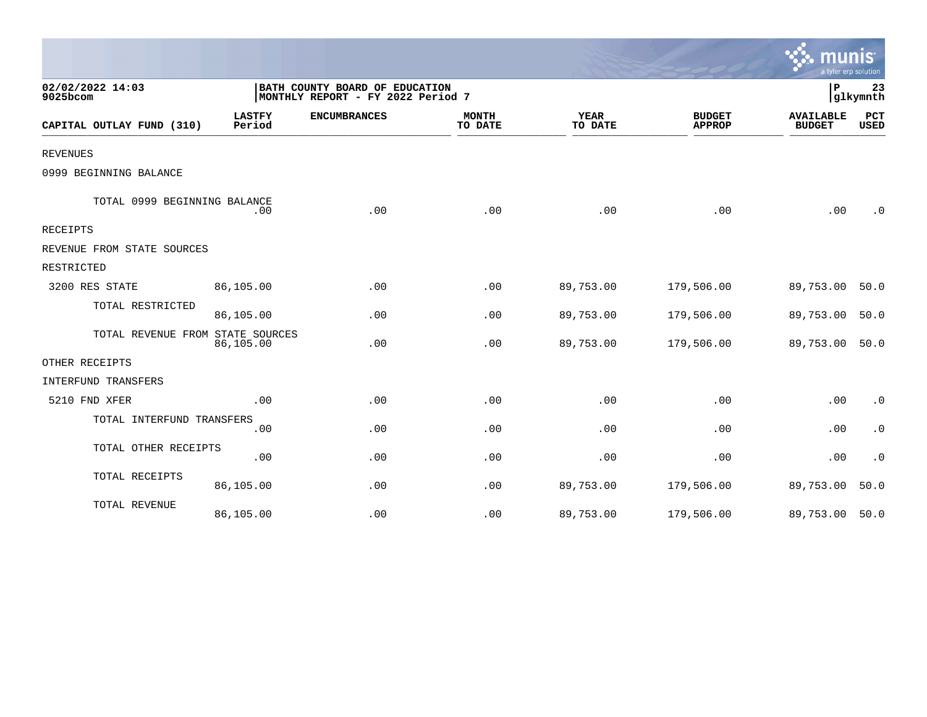|                                  |                         |                                                                     |                         |                        |                                | mun<br>a tyler erp solution       |                        |
|----------------------------------|-------------------------|---------------------------------------------------------------------|-------------------------|------------------------|--------------------------------|-----------------------------------|------------------------|
| 02/02/2022 14:03<br>9025bcom     |                         | BATH COUNTY BOARD OF EDUCATION<br>MONTHLY REPORT - FY 2022 Period 7 |                         |                        | P                              | 23<br>glkymnth                    |                        |
| CAPITAL OUTLAY FUND (310)        | <b>LASTFY</b><br>Period | <b>ENCUMBRANCES</b>                                                 | <b>MONTH</b><br>TO DATE | <b>YEAR</b><br>TO DATE | <b>BUDGET</b><br><b>APPROP</b> | <b>AVAILABLE</b><br><b>BUDGET</b> | PCT<br><b>USED</b>     |
| <b>REVENUES</b>                  |                         |                                                                     |                         |                        |                                |                                   |                        |
| 0999 BEGINNING BALANCE           |                         |                                                                     |                         |                        |                                |                                   |                        |
| TOTAL 0999 BEGINNING BALANCE     | .00                     | .00                                                                 | .00                     | .00                    | .00                            | .00                               | . 0                    |
| RECEIPTS                         |                         |                                                                     |                         |                        |                                |                                   |                        |
| REVENUE FROM STATE SOURCES       |                         |                                                                     |                         |                        |                                |                                   |                        |
| RESTRICTED                       |                         |                                                                     |                         |                        |                                |                                   |                        |
| 3200 RES STATE                   | 86,105.00               | .00                                                                 | .00                     | 89,753.00              | 179,506.00                     | 89,753.00                         | 50.0                   |
| TOTAL RESTRICTED                 | 86,105.00               | .00                                                                 | .00                     | 89,753.00              | 179,506.00                     | 89,753.00                         | 50.0                   |
| TOTAL REVENUE FROM STATE SOURCES | 86,105.00               | .00                                                                 | .00                     | 89,753.00              | 179,506.00                     | 89,753.00                         | 50.0                   |
| OTHER RECEIPTS                   |                         |                                                                     |                         |                        |                                |                                   |                        |
| INTERFUND TRANSFERS              |                         |                                                                     |                         |                        |                                |                                   |                        |
| 5210 FND XFER                    | .00                     | .00                                                                 | .00                     | .00                    | .00                            | .00                               | $\boldsymbol{\cdot}$ 0 |
| TOTAL INTERFUND TRANSFERS        | .00                     | .00                                                                 | .00                     | .00                    | .00                            | .00                               | $\cdot$ 0              |
| TOTAL OTHER RECEIPTS             | .00                     | .00                                                                 | .00                     | .00                    | .00                            | .00                               | $\cdot$ 0              |
| TOTAL RECEIPTS                   | 86,105.00               | .00                                                                 | .00                     | 89,753.00              | 179,506.00                     | 89,753.00                         | 50.0                   |
| TOTAL REVENUE                    | 86,105.00               | .00                                                                 | .00                     | 89,753.00              | 179,506.00                     | 89,753.00                         | 50.0                   |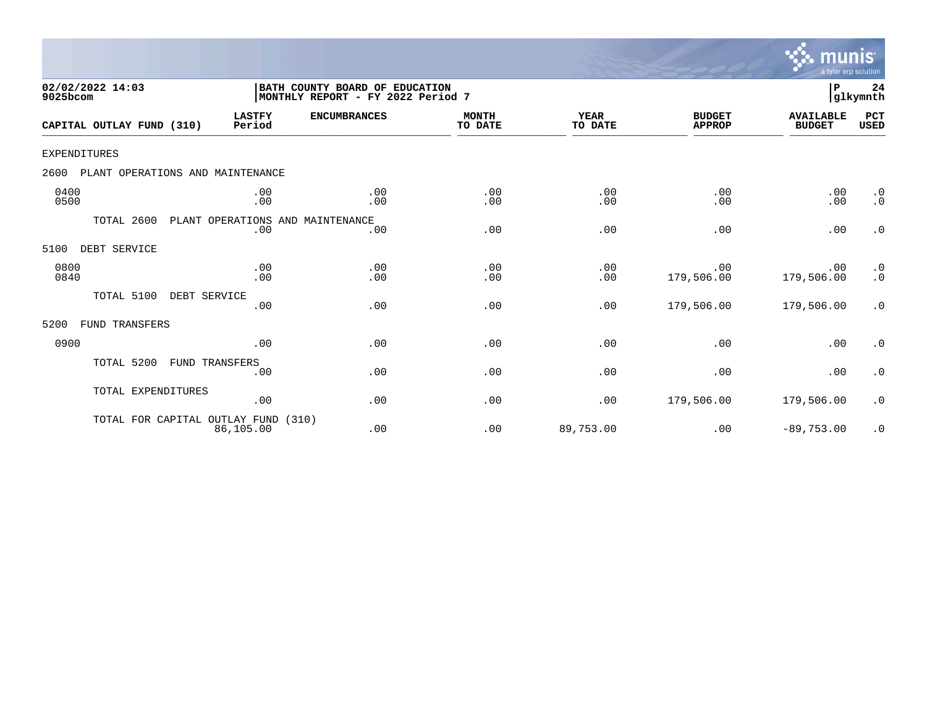

| 02/02/2022 14:03<br>9025bcom             |                             | BATH COUNTY BOARD OF EDUCATION<br>MONTHLY REPORT - FY 2022 Period 7 |                         |                        |                                | P                                 | 24<br> glkymnth        |
|------------------------------------------|-----------------------------|---------------------------------------------------------------------|-------------------------|------------------------|--------------------------------|-----------------------------------|------------------------|
| CAPITAL OUTLAY FUND (310)                | <b>LASTFY</b><br>Period     | <b>ENCUMBRANCES</b>                                                 | <b>MONTH</b><br>TO DATE | <b>YEAR</b><br>TO DATE | <b>BUDGET</b><br><b>APPROP</b> | <b>AVAILABLE</b><br><b>BUDGET</b> | PCT<br><b>USED</b>     |
| <b>EXPENDITURES</b>                      |                             |                                                                     |                         |                        |                                |                                   |                        |
| 2600<br>PLANT OPERATIONS AND MAINTENANCE |                             |                                                                     |                         |                        |                                |                                   |                        |
| 0400<br>0500                             | .00<br>.00                  | .00<br>.00                                                          | .00<br>.00              | .00<br>.00             | .00<br>.00                     | .00<br>.00                        | $\cdot$ 0<br>$\cdot$ 0 |
| TOTAL 2600                               | PLANT OPERATIONS AND<br>.00 | MAINTENANCE<br>.00                                                  | .00                     | .00                    | .00                            | .00                               | $\cdot$ 0              |
| DEBT SERVICE<br>5100                     |                             |                                                                     |                         |                        |                                |                                   |                        |
| 0800<br>0840                             | .00<br>.00                  | .00<br>.00                                                          | .00<br>.00              | .00<br>.00             | .00<br>179,506.00              | .00<br>179,506.00                 | $\cdot$ 0<br>$\cdot$ 0 |
| TOTAL 5100<br>DEBT SERVICE               | .00                         | .00                                                                 | .00                     | .00                    | 179,506.00                     | 179,506.00                        | $\cdot$ 0              |
| FUND TRANSFERS<br>5200                   |                             |                                                                     |                         |                        |                                |                                   |                        |
| 0900                                     | .00                         | .00                                                                 | .00                     | .00                    | .00                            | .00                               | $\cdot$ 0              |
| TOTAL 5200                               | FUND TRANSFERS<br>.00       | .00                                                                 | .00                     | .00                    | .00                            | .00                               | $\cdot$ 0              |
| TOTAL EXPENDITURES                       | .00                         | .00                                                                 | .00                     | .00                    | 179,506.00                     | 179,506.00                        | $\cdot$ 0              |
| TOTAL FOR CAPITAL OUTLAY FUND            | (310)<br>86,105.00          | .00                                                                 | .00                     | 89,753.00              | .00                            | $-89,753.00$                      | $\cdot$ 0              |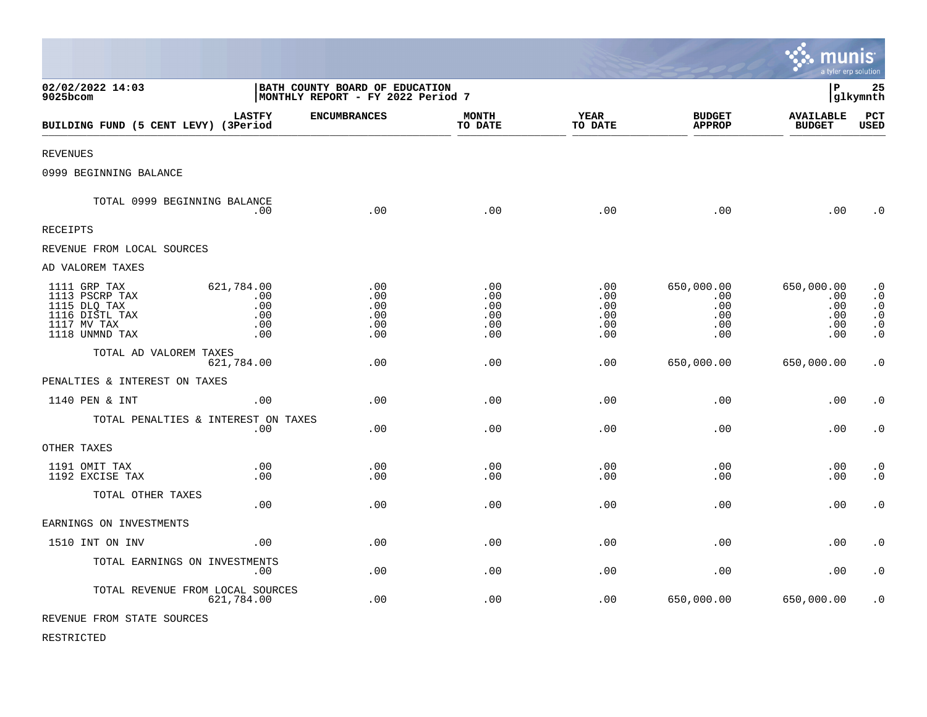|                                                                                                   |                                                                     |                                        |                                        |                                        |                                                               | munis<br>a tyler erp solution                 |                                                                            |
|---------------------------------------------------------------------------------------------------|---------------------------------------------------------------------|----------------------------------------|----------------------------------------|----------------------------------------|---------------------------------------------------------------|-----------------------------------------------|----------------------------------------------------------------------------|
| 02/02/2022 14:03<br>9025bcom                                                                      | BATH COUNTY BOARD OF EDUCATION<br>MONTHLY REPORT - FY 2022 Period 7 |                                        |                                        |                                        |                                                               | l P                                           | 25<br>glkymnth                                                             |
| BUILDING FUND (5 CENT LEVY) (3Period                                                              | <b>LASTFY</b>                                                       | <b>ENCUMBRANCES</b>                    | <b>MONTH</b><br>TO DATE                | <b>YEAR</b><br>TO DATE                 | <b>BUDGET</b><br><b>APPROP</b>                                | <b>AVAILABLE</b><br><b>BUDGET</b>             | PCT<br>USED                                                                |
| <b>REVENUES</b>                                                                                   |                                                                     |                                        |                                        |                                        |                                                               |                                               |                                                                            |
| 0999 BEGINNING BALANCE                                                                            |                                                                     |                                        |                                        |                                        |                                                               |                                               |                                                                            |
| TOTAL 0999 BEGINNING BALANCE                                                                      | .00                                                                 | .00                                    | .00                                    | .00                                    | .00                                                           | .00                                           | $\overline{0}$                                                             |
| RECEIPTS                                                                                          |                                                                     |                                        |                                        |                                        |                                                               |                                               |                                                                            |
| REVENUE FROM LOCAL SOURCES                                                                        |                                                                     |                                        |                                        |                                        |                                                               |                                               |                                                                            |
| AD VALOREM TAXES                                                                                  |                                                                     |                                        |                                        |                                        |                                                               |                                               |                                                                            |
| 1111 GRP TAX<br>1113 PSCRP TAX<br>1115 DLQ TAX<br>1116 DISTL TAX<br>1117 MV TAX<br>1118 UNMND TAX | 621,784.00<br>.00<br>.00<br>.00<br>.00<br>.00                       | .00<br>.00<br>.00<br>.00<br>.00<br>.00 | .00<br>.00<br>.00<br>.00<br>.00<br>.00 | .00<br>.00<br>.00<br>.00<br>.00<br>.00 | 650,000.00<br>.00<br>$.00 \ \rm$<br>.00<br>$.00 \ \rm$<br>.00 | 650,000.00<br>.00<br>.00<br>.00<br>.00<br>.00 | $\cdot$ 0<br>$\cdot$ 0<br>$\cdot$ 0<br>$\cdot$ 0<br>$\cdot$ 0<br>$\cdot$ 0 |
| TOTAL AD VALOREM TAXES                                                                            | 621,784.00                                                          | .00                                    | .00                                    | .00                                    | 650,000.00                                                    | 650,000.00                                    | $\cdot$ 0                                                                  |
| PENALTIES & INTEREST ON TAXES                                                                     |                                                                     |                                        |                                        |                                        |                                                               |                                               |                                                                            |
| 1140 PEN & INT                                                                                    | .00.                                                                | .00.                                   | .00                                    | .00                                    | .00                                                           | .00                                           | $\cdot$ 0                                                                  |
| TOTAL PENALTIES & INTEREST ON TAXES                                                               | .00                                                                 | .00                                    | .00                                    | .00                                    | .00                                                           | .00                                           | $\boldsymbol{\cdot}$ 0                                                     |
| OTHER TAXES                                                                                       |                                                                     |                                        |                                        |                                        |                                                               |                                               |                                                                            |
| 1191 OMIT TAX<br>1192 EXCISE TAX                                                                  | .00<br>.00                                                          | .00<br>.00                             | .00<br>.00                             | .00<br>.00                             | .00<br>.00                                                    | .00<br>.00                                    | $\cdot$ 0<br>$\cdot$ 0                                                     |
| TOTAL OTHER TAXES                                                                                 | .00                                                                 | .00                                    | .00                                    | .00                                    | .00                                                           | .00                                           | $\cdot$ 0                                                                  |
| EARNINGS ON INVESTMENTS                                                                           |                                                                     |                                        |                                        |                                        |                                                               |                                               |                                                                            |
| 1510 INT ON INV                                                                                   | .00                                                                 | .00                                    | .00                                    | .00                                    | .00                                                           | .00                                           | $\cdot$ 0                                                                  |
| TOTAL EARNINGS ON INVESTMENTS                                                                     | .00                                                                 | .00                                    | .00                                    | .00                                    | .00                                                           | .00                                           | $\cdot$ 0                                                                  |
| TOTAL REVENUE FROM LOCAL SOURCES                                                                  | 621,784.00                                                          | .00                                    | .00                                    | .00                                    | 650,000.00                                                    | 650,000.00                                    | $\cdot$ 0                                                                  |
| REVENUE FROM STATE SOURCES                                                                        |                                                                     |                                        |                                        |                                        |                                                               |                                               |                                                                            |

 $\mathcal{L}$ 

RESTRICTED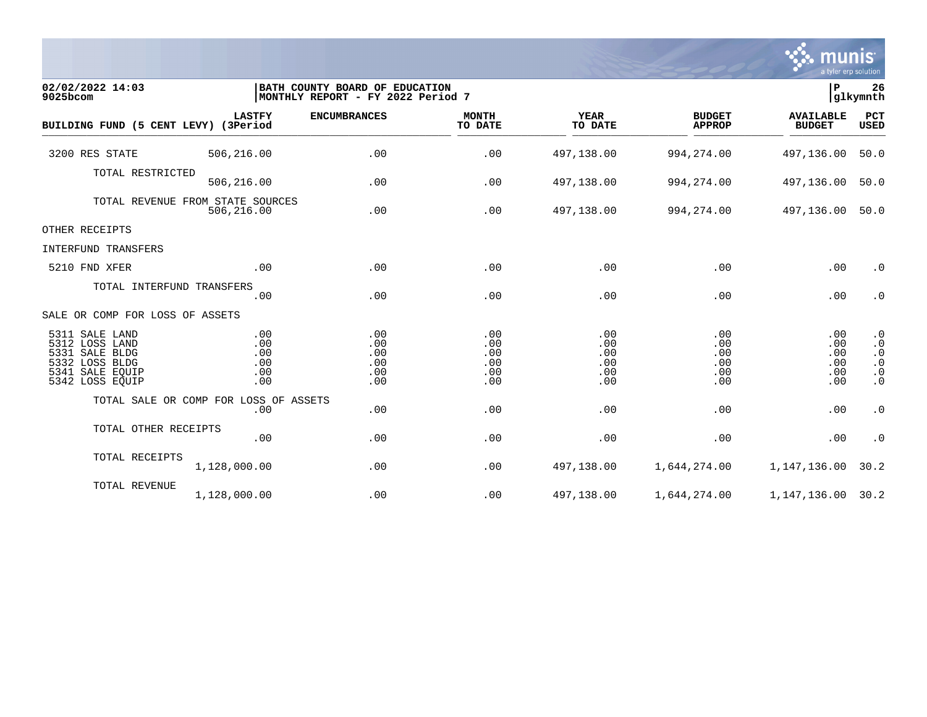

| 02/02/2022 14:03<br>9025bcom                                                                                  |                                                | BATH COUNTY BOARD OF EDUCATION<br>MONTHLY REPORT - FY 2022 Period 7 |                                        |                                        |                                        | P                                      | 26<br>glkymnth                                                             |
|---------------------------------------------------------------------------------------------------------------|------------------------------------------------|---------------------------------------------------------------------|----------------------------------------|----------------------------------------|----------------------------------------|----------------------------------------|----------------------------------------------------------------------------|
| BUILDING FUND (5 CENT LEVY) (3Period                                                                          | <b>LASTFY</b>                                  | <b>ENCUMBRANCES</b>                                                 | <b>MONTH</b><br>TO DATE                | <b>YEAR</b><br>TO DATE                 | <b>BUDGET</b><br><b>APPROP</b>         | <b>AVAILABLE</b><br><b>BUDGET</b>      | PCT<br><b>USED</b>                                                         |
| 3200 RES STATE                                                                                                | 506,216.00                                     | .00                                                                 | .00                                    | 497,138.00                             | 994, 274.00                            | 497,136.00                             | 50.0                                                                       |
| TOTAL RESTRICTED                                                                                              | 506,216.00                                     | .00                                                                 | .00                                    | 497,138.00                             | 994, 274.00                            | 497,136.00                             | 50.0                                                                       |
|                                                                                                               | TOTAL REVENUE FROM STATE SOURCES<br>506,216.00 | .00                                                                 | .00                                    | 497,138.00                             | 994, 274.00                            | 497,136.00                             | 50.0                                                                       |
| OTHER RECEIPTS                                                                                                |                                                |                                                                     |                                        |                                        |                                        |                                        |                                                                            |
| INTERFUND TRANSFERS                                                                                           |                                                |                                                                     |                                        |                                        |                                        |                                        |                                                                            |
| 5210 FND XFER                                                                                                 | .00                                            | .00                                                                 | .00                                    | .00                                    | .00                                    | .00                                    | $\cdot$ 0                                                                  |
| TOTAL INTERFUND TRANSFERS                                                                                     | .00                                            | .00                                                                 | .00                                    | .00                                    | .00                                    | .00                                    | $\cdot$ 0                                                                  |
| SALE OR COMP FOR LOSS OF ASSETS                                                                               |                                                |                                                                     |                                        |                                        |                                        |                                        |                                                                            |
| 5311 SALE LAND<br>5312 LOSS LAND<br>5331 SALE BLDG<br>5332 LOSS BLDG<br>5341<br>SALE EQUIP<br>5342 LOSS EQUIP | .00<br>.00<br>.00<br>.00<br>.00<br>.00         | .00<br>.00<br>.00<br>.00<br>.00<br>.00                              | .00<br>.00<br>.00<br>.00<br>.00<br>.00 | .00<br>.00<br>.00<br>.00<br>.00<br>.00 | .00<br>.00<br>.00<br>.00<br>.00<br>.00 | .00<br>.00<br>.00<br>.00<br>.00<br>.00 | $\cdot$ 0<br>$\cdot$ 0<br>$\cdot$ 0<br>$\cdot$ 0<br>$\cdot$ 0<br>$\cdot$ 0 |
|                                                                                                               | TOTAL SALE OR COMP FOR LOSS OF ASSETS<br>.00   | .00                                                                 | .00                                    | .00                                    | .00                                    | .00                                    | $\cdot$ 0                                                                  |
| TOTAL OTHER RECEIPTS                                                                                          | .00                                            | .00                                                                 | .00                                    | .00                                    | .00                                    | .00                                    | $\cdot$ 0                                                                  |
| TOTAL RECEIPTS                                                                                                | 1,128,000.00                                   | .00                                                                 | .00                                    | 497,138.00                             | 1,644,274.00                           | 1,147,136.00                           | 30.2                                                                       |
| TOTAL REVENUE                                                                                                 | 1,128,000.00                                   | .00                                                                 | .00                                    | 497,138.00                             | 1,644,274.00                           | 1, 147, 136.00 30.2                    |                                                                            |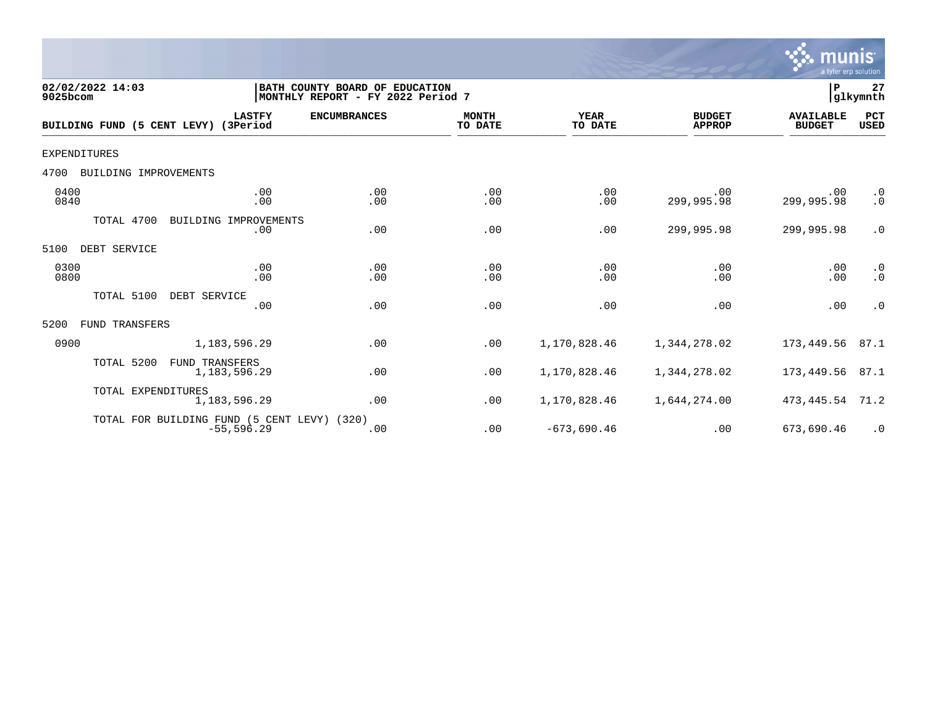

| 02/02/2022 14:03<br>9025bcom         |                                                              | BATH COUNTY BOARD OF EDUCATION<br>MONTHLY REPORT - FY 2022 Period 7 |                         |                        |                                | P                                 | 27<br>glkymnth         |
|--------------------------------------|--------------------------------------------------------------|---------------------------------------------------------------------|-------------------------|------------------------|--------------------------------|-----------------------------------|------------------------|
| BUILDING FUND (5 CENT LEVY) (3Period | <b>LASTFY</b>                                                | <b>ENCUMBRANCES</b>                                                 | <b>MONTH</b><br>TO DATE | <b>YEAR</b><br>TO DATE | <b>BUDGET</b><br><b>APPROP</b> | <b>AVAILABLE</b><br><b>BUDGET</b> | PCT<br><b>USED</b>     |
| EXPENDITURES                         |                                                              |                                                                     |                         |                        |                                |                                   |                        |
| 4700<br>BUILDING IMPROVEMENTS        |                                                              |                                                                     |                         |                        |                                |                                   |                        |
| 0400<br>0840                         | .00<br>.00                                                   | .00<br>.00                                                          | .00<br>.00              | .00<br>.00             | .00<br>299,995.98              | .00<br>299,995.98                 | $\cdot$ 0<br>.0        |
| TOTAL 4700                           | BUILDING<br>IMPROVEMENTS<br>.00                              | .00                                                                 | .00                     | .00                    | 299,995.98                     | 299,995.98                        | $\cdot$ 0              |
| 5100<br>DEBT SERVICE                 |                                                              |                                                                     |                         |                        |                                |                                   |                        |
| 0300<br>0800                         | .00<br>.00                                                   | .00<br>.00                                                          | .00<br>.00              | .00<br>.00             | .00<br>.00                     | .00<br>.00                        | $\cdot$ 0<br>$\cdot$ 0 |
| TOTAL 5100                           | DEBT SERVICE<br>.00                                          | .00                                                                 | .00                     | .00                    | .00                            | .00                               | $\cdot$ 0              |
| 5200<br>FUND TRANSFERS               |                                                              |                                                                     |                         |                        |                                |                                   |                        |
| 0900                                 | 1,183,596.29                                                 | .00                                                                 | .00                     | 1,170,828.46           | 1,344,278.02                   | 173,449.56                        | 87.1                   |
| TOTAL 5200                           | <b>FUND TRANSFERS</b><br>1,183,596.29                        | .00                                                                 | .00                     | 1,170,828.46           | 1,344,278.02                   | 173,449.56                        | 87.1                   |
| TOTAL EXPENDITURES                   | 1, 183, 596.29                                               | .00                                                                 | .00                     | 1,170,828.46           | 1,644,274.00                   | 473,445.54                        | 71.2                   |
|                                      | TOTAL FOR BUILDING FUND (5 CENT LEVY) (320)<br>$-55, 596.29$ | .00                                                                 | .00                     | $-673,690.46$          | .00                            | 673,690.46                        | $\cdot$ 0              |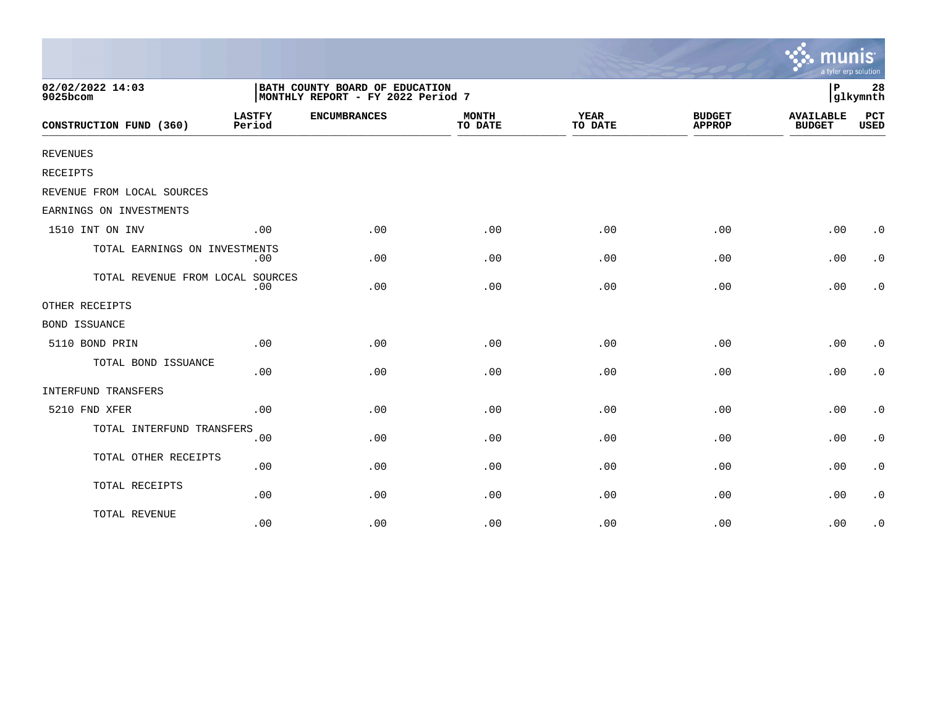|                                  |                                                                     |                     |                         |                        |                                | mu<br>a tyler erp solution        |                    |
|----------------------------------|---------------------------------------------------------------------|---------------------|-------------------------|------------------------|--------------------------------|-----------------------------------|--------------------|
| 02/02/2022 14:03<br>9025bcom     | BATH COUNTY BOARD OF EDUCATION<br>MONTHLY REPORT - FY 2022 Period 7 |                     |                         |                        |                                | $\, {\bf P}$                      | 28<br>glkymnth     |
| CONSTRUCTION FUND (360)          | <b>LASTFY</b><br>Period                                             | <b>ENCUMBRANCES</b> | <b>MONTH</b><br>TO DATE | <b>YEAR</b><br>TO DATE | <b>BUDGET</b><br><b>APPROP</b> | <b>AVAILABLE</b><br><b>BUDGET</b> | PCT<br><b>USED</b> |
| REVENUES                         |                                                                     |                     |                         |                        |                                |                                   |                    |
| <b>RECEIPTS</b>                  |                                                                     |                     |                         |                        |                                |                                   |                    |
| REVENUE FROM LOCAL SOURCES       |                                                                     |                     |                         |                        |                                |                                   |                    |
| EARNINGS ON INVESTMENTS          |                                                                     |                     |                         |                        |                                |                                   |                    |
| 1510 INT ON INV                  | .00                                                                 | .00                 | .00                     | .00                    | .00                            | .00                               | $\cdot$ 0          |
| TOTAL EARNINGS ON INVESTMENTS    | .00                                                                 | .00                 | .00                     | .00                    | .00                            | .00                               | $\cdot$ 0          |
| TOTAL REVENUE FROM LOCAL SOURCES | .00                                                                 | .00                 | .00                     | .00                    | .00                            | .00                               | $\cdot$ 0          |
| OTHER RECEIPTS                   |                                                                     |                     |                         |                        |                                |                                   |                    |
| <b>BOND ISSUANCE</b>             |                                                                     |                     |                         |                        |                                |                                   |                    |
| 5110 BOND PRIN                   | .00                                                                 | .00                 | .00                     | .00                    | .00                            | .00                               | $\cdot$ 0          |
| TOTAL BOND ISSUANCE              | .00                                                                 | .00                 | .00                     | .00                    | .00                            | .00                               | $\cdot$ 0          |
| INTERFUND TRANSFERS              |                                                                     |                     |                         |                        |                                |                                   |                    |
| 5210 FND XFER                    | .00                                                                 | .00                 | .00                     | .00                    | .00                            | .00                               | $\cdot$ 0          |
| TOTAL INTERFUND TRANSFERS        | .00                                                                 | .00                 | .00                     | .00                    | .00                            | .00                               | $\cdot$ 0          |
| TOTAL OTHER RECEIPTS             | .00                                                                 | .00                 | .00                     | .00                    | .00                            | .00                               | $\cdot$ 0          |
| TOTAL RECEIPTS                   | .00                                                                 | .00                 | .00                     | .00                    | .00                            | .00                               | $\cdot$ 0          |
| TOTAL REVENUE                    | .00                                                                 | .00                 | .00                     | .00                    | .00                            | .00                               | $\cdot$ 0          |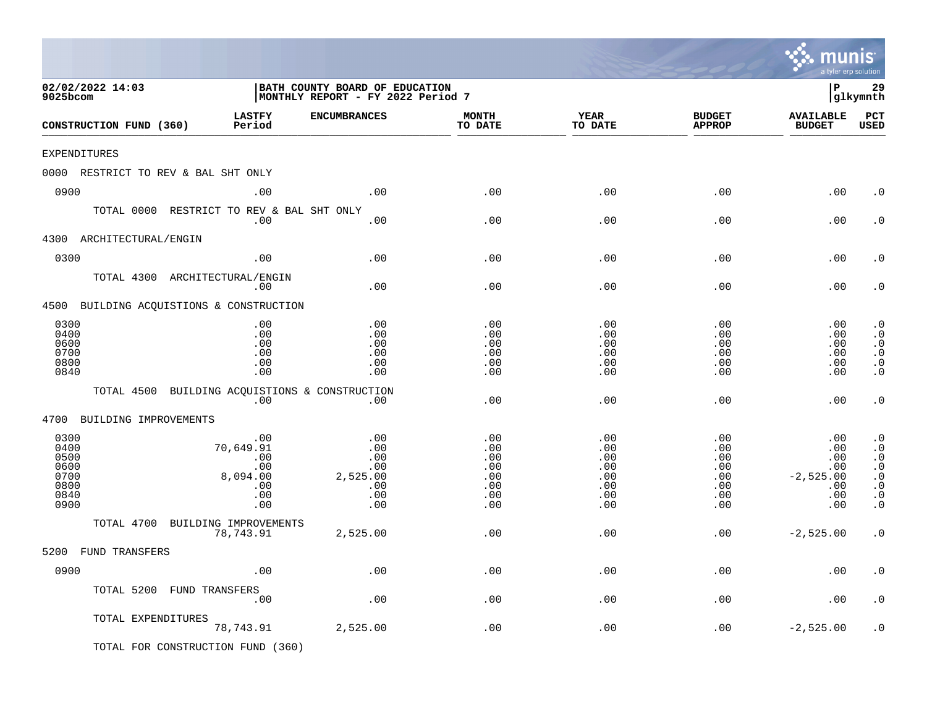|                                                              |                                                                 |                                                                     |                                                      |                                                                |                                                                | m<br>a tyler erp solution                                    |                                                                                                      |
|--------------------------------------------------------------|-----------------------------------------------------------------|---------------------------------------------------------------------|------------------------------------------------------|----------------------------------------------------------------|----------------------------------------------------------------|--------------------------------------------------------------|------------------------------------------------------------------------------------------------------|
| 02/02/2022 14:03<br>9025bcom                                 |                                                                 | BATH COUNTY BOARD OF EDUCATION<br>MONTHLY REPORT - FY 2022 Period 7 |                                                      |                                                                |                                                                | l P                                                          | 29<br> glkymnth                                                                                      |
| CONSTRUCTION FUND (360)                                      | <b>LASTFY</b><br>Period                                         | <b>ENCUMBRANCES</b>                                                 | <b>MONTH</b><br>TO DATE                              | <b>YEAR</b><br>TO DATE                                         | <b>BUDGET</b><br><b>APPROP</b>                                 | <b>AVAILABLE</b><br><b>BUDGET</b>                            | PCT<br><b>USED</b>                                                                                   |
| EXPENDITURES                                                 |                                                                 |                                                                     |                                                      |                                                                |                                                                |                                                              |                                                                                                      |
| 0000 RESTRICT TO REV & BAL SHT ONLY                          |                                                                 |                                                                     |                                                      |                                                                |                                                                |                                                              |                                                                                                      |
| 0900                                                         | .00                                                             | .00                                                                 | .00                                                  | .00                                                            | .00                                                            | .00                                                          | . 0                                                                                                  |
| TOTAL 0000 RESTRICT TO REV & BAL SHT ONLY                    | .00                                                             | .00                                                                 | .00                                                  | .00                                                            | .00                                                            | .00                                                          | $\cdot$ 0                                                                                            |
| 4300 ARCHITECTURAL/ENGIN                                     |                                                                 |                                                                     |                                                      |                                                                |                                                                |                                                              |                                                                                                      |
| 0300                                                         | .00                                                             | .00                                                                 | .00                                                  | .00                                                            | .00                                                            | .00                                                          | . 0                                                                                                  |
| TOTAL 4300 ARCHITECTURAL/ENGIN                               | .00                                                             | .00                                                                 | .00                                                  | .00                                                            | .00                                                            | .00                                                          | . 0                                                                                                  |
| 4500 BUILDING ACQUISTIONS & CONSTRUCTION                     |                                                                 |                                                                     |                                                      |                                                                |                                                                |                                                              |                                                                                                      |
| 0300<br>0400<br>0600<br>0700<br>0800<br>0840                 | .00<br>.00<br>.00<br>.00<br>.00<br>.00                          | .00<br>.00<br>.00<br>.00<br>.00<br>.00                              | .00<br>.00<br>.00<br>.00<br>.00<br>.00               | .00<br>.00<br>.00<br>.00<br>.00<br>.00                         | .00<br>.00<br>.00<br>.00<br>.00<br>.00                         | .00<br>.00<br>.00<br>.00<br>.00<br>.00                       | $\cdot$ 0<br>$\cdot$ 0<br>$\cdot$ 0<br>$\cdot$ 0<br>$\cdot$ 0<br>$\cdot$ 0                           |
| TOTAL 4500 BUILDING ACQUISTIONS & CONSTRUCTION               | .00                                                             | .00                                                                 | .00                                                  | .00                                                            | .00                                                            | .00                                                          | $\cdot$ 0                                                                                            |
| 4700 BUILDING IMPROVEMENTS                                   |                                                                 |                                                                     |                                                      |                                                                |                                                                |                                                              |                                                                                                      |
| 0300<br>0400<br>0500<br>0600<br>0700<br>0800<br>0840<br>0900 | .00<br>70,649.91<br>.00<br>.00<br>8,094.00<br>.00<br>.00<br>.00 | .00<br>.00<br>.00<br>.00<br>2,525.00<br>.00<br>.00<br>.00           | .00<br>.00<br>.00<br>.00<br>.00<br>.00<br>.00<br>.00 | .00<br>.00<br>.00<br>$.00 \,$<br>.00<br>.00<br>$.00 \,$<br>.00 | .00<br>.00<br>.00<br>$.00 \,$<br>.00<br>.00<br>$.00 \,$<br>.00 | .00<br>.00<br>.00<br>.00<br>$-2,525.00$<br>.00<br>.00<br>.00 | $\cdot$ 0<br>$\cdot$ 0<br>$\cdot$ 0<br>$\cdot$ 0<br>$\cdot$ 0<br>$\cdot$ 0<br>$\cdot$ 0<br>$\cdot$ 0 |
| TOTAL 4700 BUILDING IMPROVEMENTS                             |                                                                 |                                                                     |                                                      |                                                                |                                                                |                                                              |                                                                                                      |
|                                                              | 78,743.91                                                       | 2,525.00                                                            | .00                                                  | .00                                                            | .00                                                            | $-2,525.00$                                                  | $\cdot$ 0                                                                                            |
| 5200 FUND TRANSFERS                                          |                                                                 |                                                                     |                                                      |                                                                |                                                                |                                                              |                                                                                                      |
| 0900                                                         | .00                                                             | $.00$                                                               | .00                                                  | .00                                                            | .00                                                            | .00                                                          | . $\boldsymbol{0}$                                                                                   |
| TOTAL 5200 FUND TRANSFERS                                    | .00                                                             | $.00$                                                               | .00                                                  | .00                                                            | .00                                                            | .00                                                          | $\cdot$ 0                                                                                            |
| TOTAL EXPENDITURES                                           | 78,743.91                                                       | 2,525.00                                                            | .00                                                  | .00                                                            | .00                                                            | $-2,525.00$                                                  | $\cdot$ 0                                                                                            |
| TOTAL FOR CONSTRUCTION FUND (360)                            |                                                                 |                                                                     |                                                      |                                                                |                                                                |                                                              |                                                                                                      |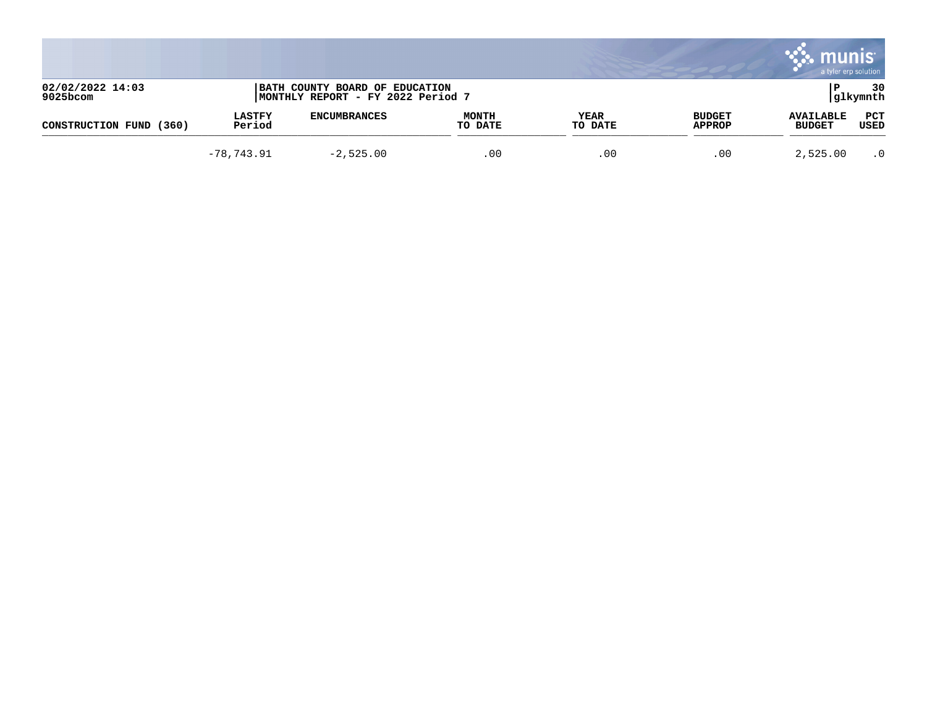|                                 |                         |                                                                     |                         |                 |                                | munis<br>a tyler erp solution     |                    |
|---------------------------------|-------------------------|---------------------------------------------------------------------|-------------------------|-----------------|--------------------------------|-----------------------------------|--------------------|
| 02/02/2022 14:03<br>$9025$ bcom |                         | BATH COUNTY BOARD OF EDUCATION<br>MONTHLY REPORT - FY 2022 Period 7 |                         |                 |                                |                                   | 30<br> glkymnth    |
| (360)<br>CONSTRUCTION FUND      | <b>LASTFY</b><br>Period | <b>ENCUMBRANCES</b>                                                 | <b>MONTH</b><br>TO DATE | YEAR<br>TO DATE | <b>BUDGET</b><br><b>APPROP</b> | <b>AVAILABLE</b><br><b>BUDGET</b> | <b>PCT</b><br>USED |
|                                 | $-78,743.91$            | $-2,525.00$                                                         | .00                     | .00             | .00                            | 2,525.00                          | $\cdot$ 0          |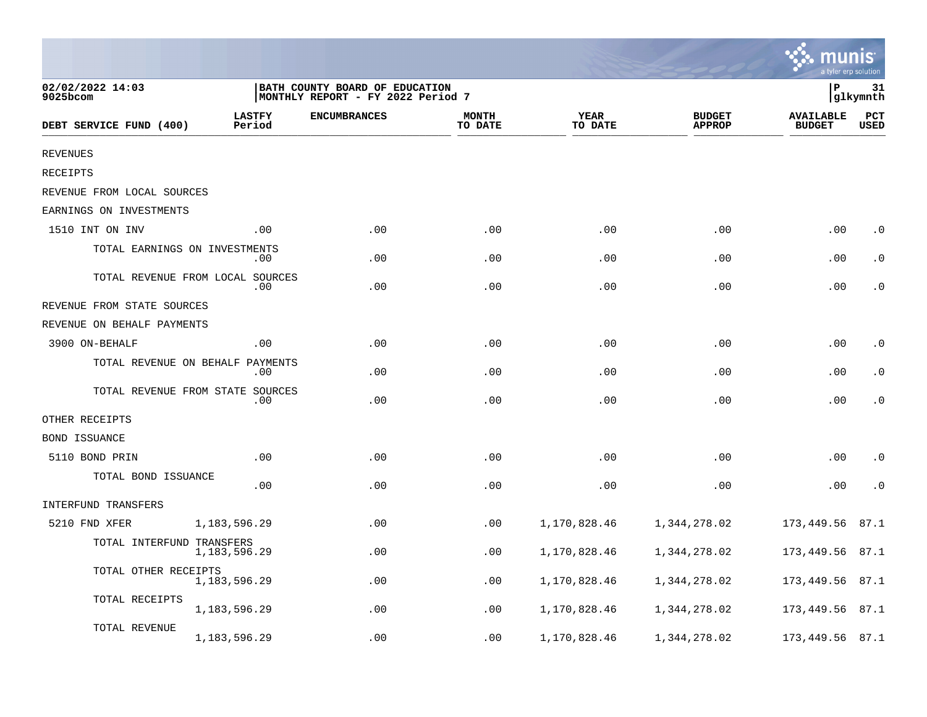|                                  |                                         |                                                                     |                         |                 |                                | mun<br>a tyler erp solution       |                    |
|----------------------------------|-----------------------------------------|---------------------------------------------------------------------|-------------------------|-----------------|--------------------------------|-----------------------------------|--------------------|
| 02/02/2022 14:03<br>$9025$ bcom  |                                         | BATH COUNTY BOARD OF EDUCATION<br>MONTHLY REPORT - FY 2022 Period 7 |                         |                 |                                | P                                 | 31<br>glkymnth     |
| DEBT SERVICE FUND (400)          | <b>LASTFY</b><br>Period                 | <b>ENCUMBRANCES</b>                                                 | <b>MONTH</b><br>TO DATE | YEAR<br>TO DATE | <b>BUDGET</b><br><b>APPROP</b> | <b>AVAILABLE</b><br><b>BUDGET</b> | PCT<br><b>USED</b> |
| <b>REVENUES</b>                  |                                         |                                                                     |                         |                 |                                |                                   |                    |
| RECEIPTS                         |                                         |                                                                     |                         |                 |                                |                                   |                    |
| REVENUE FROM LOCAL SOURCES       |                                         |                                                                     |                         |                 |                                |                                   |                    |
| EARNINGS ON INVESTMENTS          |                                         |                                                                     |                         |                 |                                |                                   |                    |
| 1510 INT ON INV                  | .00                                     | .00                                                                 | .00                     | .00             | .00                            | .00                               | $\cdot$ 0          |
| TOTAL EARNINGS ON INVESTMENTS    | .00                                     | .00                                                                 | .00                     | .00             | .00                            | .00                               | . 0                |
|                                  | TOTAL REVENUE FROM LOCAL SOURCES<br>.00 | .00                                                                 | .00                     | .00             | .00                            | .00                               | . 0                |
| REVENUE FROM STATE SOURCES       |                                         |                                                                     |                         |                 |                                |                                   |                    |
| REVENUE ON BEHALF PAYMENTS       |                                         |                                                                     |                         |                 |                                |                                   |                    |
| 3900 ON-BEHALF                   | .00.                                    | .00                                                                 | .00                     | .00             | .00                            | .00                               | $\cdot$ 0          |
|                                  | TOTAL REVENUE ON BEHALF PAYMENTS<br>.00 | .00                                                                 | .00                     | .00             | .00                            | .00                               | . 0                |
| TOTAL REVENUE FROM STATE SOURCES | .00                                     | .00                                                                 | .00                     | .00             | .00                            | .00                               | $\cdot$ 0          |
| OTHER RECEIPTS                   |                                         |                                                                     |                         |                 |                                |                                   |                    |
| <b>BOND ISSUANCE</b>             |                                         |                                                                     |                         |                 |                                |                                   |                    |
| 5110 BOND PRIN                   | .00                                     | .00                                                                 | .00                     | .00             | .00                            | .00                               | $\cdot$ 0          |
| TOTAL BOND ISSUANCE              | .00                                     | .00                                                                 | .00                     | .00             | .00                            | .00                               | $\cdot$ 0          |
| INTERFUND TRANSFERS              |                                         |                                                                     |                         |                 |                                |                                   |                    |
| 5210 FND XFER                    | 1,183,596.29                            | .00                                                                 | .00                     | 1,170,828.46    | 1,344,278.02                   | 173,449.56                        | 87.1               |
| TOTAL INTERFUND TRANSFERS        | 1,183,596.29                            | .00                                                                 | .00                     | 1,170,828.46    | 1,344,278.02                   | 173,449.56                        | 87.1               |
| TOTAL OTHER RECEIPTS             | 1,183,596.29                            | .00                                                                 | .00                     | 1,170,828.46    | 1,344,278.02                   | 173,449.56                        | 87.1               |
| TOTAL RECEIPTS                   | 1,183,596.29                            | .00                                                                 | .00                     | 1,170,828.46    | 1,344,278.02                   | 173,449.56                        | 87.1               |
| TOTAL REVENUE                    | 1,183,596.29                            | .00                                                                 | .00                     | 1,170,828.46    | 1,344,278.02                   | 173,449.56                        | 87.1               |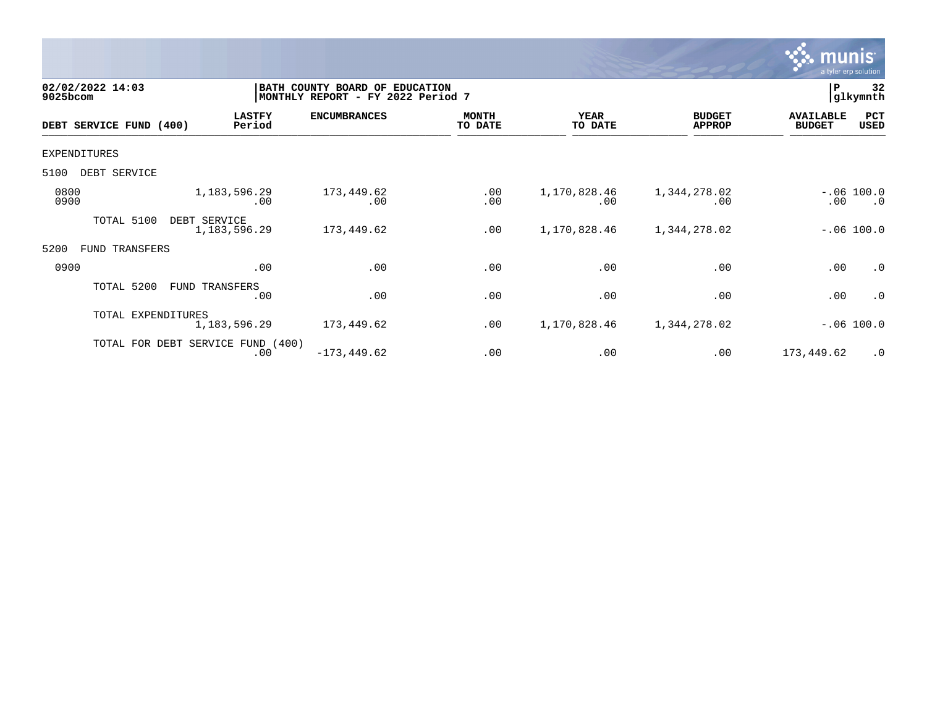

| 02/02/2022 14:03<br>9025bcom |                                   |                         | BATH COUNTY BOARD OF EDUCATION<br> MONTHLY REPORT - FY 2022 Period 7 |                         |                        |                                |                                   | 32<br>glkymnth            |
|------------------------------|-----------------------------------|-------------------------|----------------------------------------------------------------------|-------------------------|------------------------|--------------------------------|-----------------------------------|---------------------------|
|                              | DEBT SERVICE FUND (400)           | <b>LASTFY</b><br>Period | <b>ENCUMBRANCES</b>                                                  | <b>MONTH</b><br>TO DATE | <b>YEAR</b><br>TO DATE | <b>BUDGET</b><br><b>APPROP</b> | <b>AVAILABLE</b><br><b>BUDGET</b> | PCT<br>USED               |
| EXPENDITURES                 |                                   |                         |                                                                      |                         |                        |                                |                                   |                           |
| 5100                         | DEBT SERVICE                      |                         |                                                                      |                         |                        |                                |                                   |                           |
| 0800<br>0900                 |                                   | 1, 183, 596. 29<br>.00  | 173,449.62<br>.00                                                    | .00<br>.00              | 1,170,828.46<br>.00    | 1,344,278.02<br>.00            | .00                               | $-.06 100.0$<br>$\cdot$ 0 |
|                              | TOTAL 5100<br>DEBT SERVICE        | 1,183,596.29            | 173,449.62                                                           | .00                     | 1,170,828.46           | 1,344,278.02                   |                                   | $-.06 100.0$              |
| 5200<br>FUND                 | TRANSFERS                         |                         |                                                                      |                         |                        |                                |                                   |                           |
| 0900                         |                                   | .00                     | .00                                                                  | .00                     | .00                    | .00                            | .00                               | $\cdot$ 0                 |
|                              | TOTAL 5200<br>FUND TRANSFERS      | .00                     | .00                                                                  | .00                     | .00                    | .00                            | .00                               | $\cdot$ 0                 |
|                              | TOTAL EXPENDITURES                | 1, 183, 596. 29         | 173,449.62                                                           | .00                     | 1,170,828.46           | 1,344,278.02                   |                                   | $-.06 100.0$              |
|                              | TOTAL FOR DEBT SERVICE FUND (400) | .00                     | $-173, 449.62$                                                       | .00                     | .00                    | .00                            | 173,449.62                        | $\cdot$ 0                 |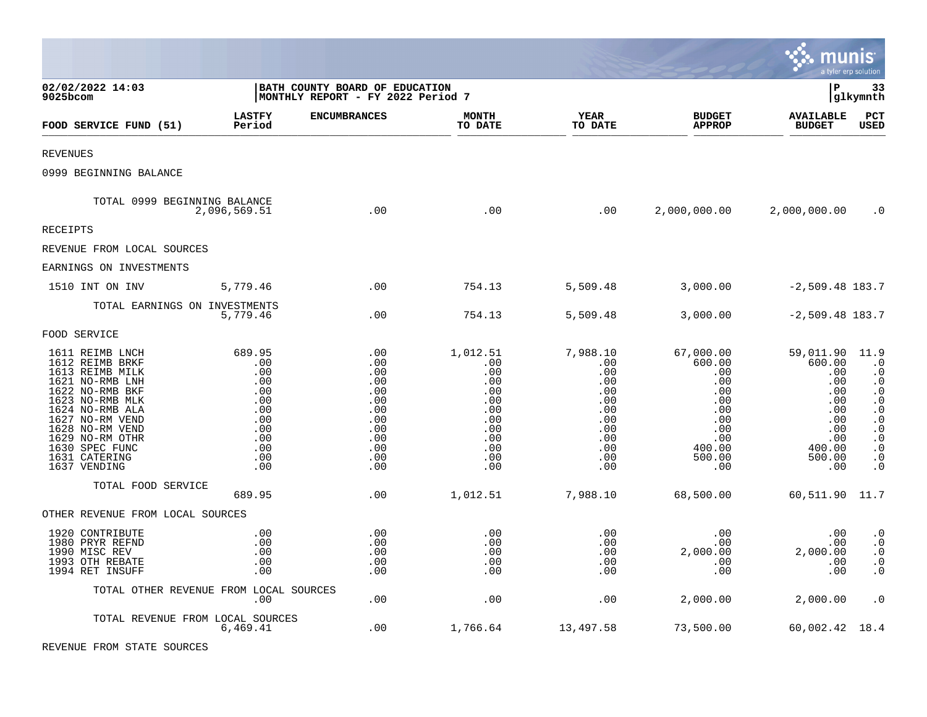|                                                                                                                                                                                                                                               |                                                                                            |                                                                                         |                                                                                              |                                                                                              |                                                                                                        | munis                                                                                                  | a tyler erp solution                                                                                                                                                          |
|-----------------------------------------------------------------------------------------------------------------------------------------------------------------------------------------------------------------------------------------------|--------------------------------------------------------------------------------------------|-----------------------------------------------------------------------------------------|----------------------------------------------------------------------------------------------|----------------------------------------------------------------------------------------------|--------------------------------------------------------------------------------------------------------|--------------------------------------------------------------------------------------------------------|-------------------------------------------------------------------------------------------------------------------------------------------------------------------------------|
| 02/02/2022 14:03<br>9025bcom                                                                                                                                                                                                                  |                                                                                            | BATH COUNTY BOARD OF EDUCATION<br>MONTHLY REPORT - FY 2022 Period 7                     |                                                                                              |                                                                                              |                                                                                                        | l P                                                                                                    | 33<br> glkymnth                                                                                                                                                               |
| FOOD SERVICE FUND (51)                                                                                                                                                                                                                        | <b>LASTFY</b><br>Period                                                                    | <b>ENCUMBRANCES</b>                                                                     | <b>MONTH</b><br>TO DATE                                                                      | <b>YEAR</b><br>TO DATE                                                                       | <b>BUDGET</b><br><b>APPROP</b>                                                                         | <b>AVAILABLE</b><br><b>BUDGET</b>                                                                      | PCT<br>USED                                                                                                                                                                   |
| REVENUES                                                                                                                                                                                                                                      |                                                                                            |                                                                                         |                                                                                              |                                                                                              |                                                                                                        |                                                                                                        |                                                                                                                                                                               |
| 0999 BEGINNING BALANCE                                                                                                                                                                                                                        |                                                                                            |                                                                                         |                                                                                              |                                                                                              |                                                                                                        |                                                                                                        |                                                                                                                                                                               |
| TOTAL 0999 BEGINNING BALANCE                                                                                                                                                                                                                  | 2,096,569.51                                                                               | .00                                                                                     | .00                                                                                          | .00                                                                                          | 2,000,000.00                                                                                           | 2,000,000.00                                                                                           | $\cdot$ 0                                                                                                                                                                     |
| RECEIPTS                                                                                                                                                                                                                                      |                                                                                            |                                                                                         |                                                                                              |                                                                                              |                                                                                                        |                                                                                                        |                                                                                                                                                                               |
| REVENUE FROM LOCAL SOURCES                                                                                                                                                                                                                    |                                                                                            |                                                                                         |                                                                                              |                                                                                              |                                                                                                        |                                                                                                        |                                                                                                                                                                               |
| EARNINGS ON INVESTMENTS                                                                                                                                                                                                                       |                                                                                            |                                                                                         |                                                                                              |                                                                                              |                                                                                                        |                                                                                                        |                                                                                                                                                                               |
| 1510 INT ON INV                                                                                                                                                                                                                               | 5,779.46                                                                                   | .00                                                                                     | 754.13                                                                                       | 5,509.48                                                                                     | 3,000.00                                                                                               | $-2,509.48$ 183.7                                                                                      |                                                                                                                                                                               |
| TOTAL EARNINGS ON INVESTMENTS                                                                                                                                                                                                                 | 5,779.46                                                                                   | .00                                                                                     | 754.13                                                                                       | 5,509.48                                                                                     | 3,000.00                                                                                               | $-2,509.48$ 183.7                                                                                      |                                                                                                                                                                               |
| FOOD SERVICE                                                                                                                                                                                                                                  |                                                                                            |                                                                                         |                                                                                              |                                                                                              |                                                                                                        |                                                                                                        |                                                                                                                                                                               |
| 1611 REIMB LNCH<br>1612 REIMB BRKF<br>1613 REIMB MILK<br>1621 NO-RMB LNH<br>1622 NO-RMB BKF<br>1623 NO-RMB MLK<br>1624 NO-RMB ALA<br>1627 NO-RM VEND<br>1628 NO-RM VEND<br>1629 NO-RM OTHR<br>1630 SPEC FUNC<br>1631 CATERING<br>1637 VENDING | 689.95<br>.00<br>.00<br>.00<br>.00<br>.00<br>.00<br>.00<br>.00<br>.00<br>.00<br>.00<br>.00 | .00<br>.00<br>.00<br>.00<br>.00<br>.00<br>.00<br>.00<br>.00<br>.00<br>.00<br>.00<br>.00 | 1,012.51<br>.00<br>.00<br>.00<br>.00<br>.00<br>.00<br>.00<br>.00<br>.00<br>.00<br>.00<br>.00 | 7,988.10<br>.00<br>.00<br>.00<br>.00<br>.00<br>.00<br>.00<br>.00<br>.00<br>.00<br>.00<br>.00 | 67,000.00<br>600.00<br>.00<br>.00<br>.00<br>.00<br>.00<br>.00<br>.00<br>.00<br>400.00<br>500.00<br>.00 | 59,011.90<br>600.00<br>.00<br>.00<br>.00<br>.00<br>.00<br>.00<br>.00<br>.00<br>400.00<br>500.00<br>.00 | 11.9<br>$\cdot$ 0<br>$\cdot$ 0<br>$\cdot$ 0<br>$\cdot$ 0<br>$\cdot$ 0<br>$\cdot$ 0<br>$\cdot$ 0<br>$\cdot$ 0<br>$\cdot$ 0<br>$\boldsymbol{\cdot}$ 0<br>$\cdot$ 0<br>$\cdot$ 0 |
| TOTAL FOOD SERVICE                                                                                                                                                                                                                            | 689.95                                                                                     | .00                                                                                     | 1,012.51                                                                                     | 7,988.10                                                                                     | 68,500.00                                                                                              | 60,511.90 11.7                                                                                         |                                                                                                                                                                               |
| OTHER REVENUE FROM LOCAL SOURCES                                                                                                                                                                                                              |                                                                                            |                                                                                         |                                                                                              |                                                                                              |                                                                                                        |                                                                                                        |                                                                                                                                                                               |
| 1920 CONTRIBUTE<br>1980 PRYR REFND<br>1990 MISC REV<br>1993 OTH REBATE<br>1994 RET INSUFF                                                                                                                                                     | .00<br>.00<br>.00<br>.00<br>.00                                                            | .00<br>.00<br>.00<br>.00<br>.00                                                         | .00<br>.00<br>.00<br>.00<br>.00                                                              | .00<br>.00<br>.00<br>.00<br>.00                                                              | .00<br>$.00 \ \rm$<br>2,000.00<br>.00<br>.00                                                           | .00<br>.00<br>2,000.00<br>.00<br>.00                                                                   | $\cdot$ 0<br>$\cdot$ 0<br>$\cdot$ 0<br>$\cdot$ 0<br>$\cdot$ 0                                                                                                                 |
|                                                                                                                                                                                                                                               | TOTAL OTHER REVENUE FROM LOCAL SOURCES<br>.00                                              | .00                                                                                     | .00                                                                                          | .00                                                                                          | 2,000.00                                                                                               | 2,000.00                                                                                               | $\cdot$ 0                                                                                                                                                                     |
|                                                                                                                                                                                                                                               | TOTAL REVENUE FROM LOCAL SOURCES<br>6,469.41                                               | .00                                                                                     | 1,766.64                                                                                     | 13,497.58                                                                                    | 73,500.00                                                                                              | 60,002.42 18.4                                                                                         |                                                                                                                                                                               |

 $\mathcal{L}$ 

REVENUE FROM STATE SOURCES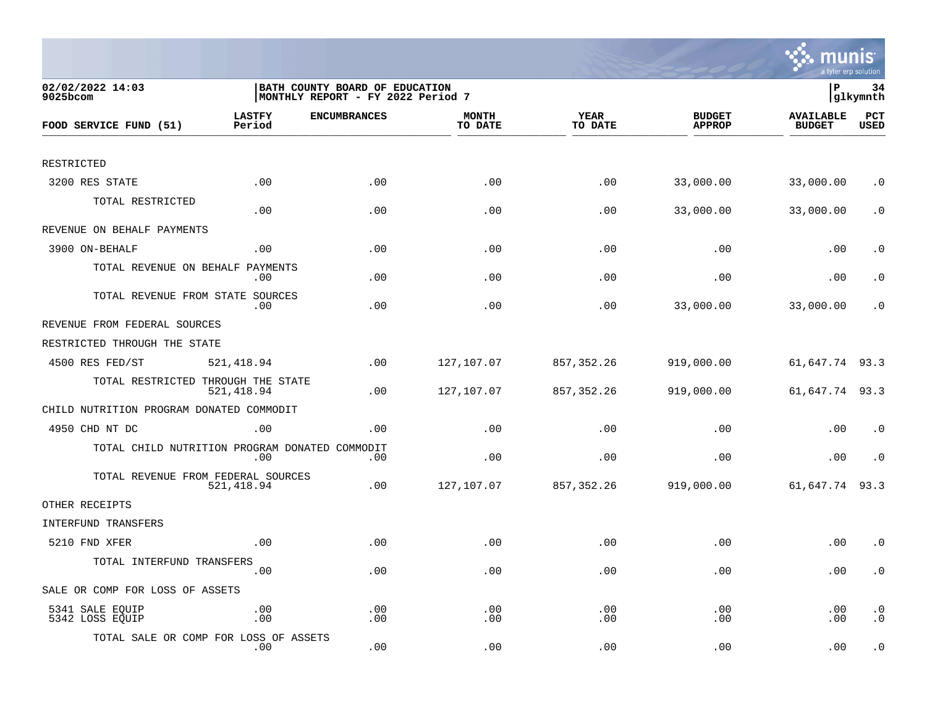

| 02/02/2022 14:03<br>$9025$ bcom                |                  | BATH COUNTY BOARD OF EDUCATION<br>MONTHLY REPORT - FY 2022 Period 7 |                         |                 |                                | lР                                | 34<br> glkymnth        |
|------------------------------------------------|------------------|---------------------------------------------------------------------|-------------------------|-----------------|--------------------------------|-----------------------------------|------------------------|
| FOOD SERVICE FUND (51)                         | LASTFY<br>Period | <b>ENCUMBRANCES</b>                                                 | <b>MONTH</b><br>TO DATE | YEAR<br>TO DATE | <b>BUDGET</b><br><b>APPROP</b> | <b>AVAILABLE</b><br><b>BUDGET</b> | PCT<br><b>USED</b>     |
|                                                |                  |                                                                     |                         |                 |                                |                                   |                        |
| RESTRICTED                                     |                  |                                                                     |                         |                 |                                |                                   |                        |
| 3200 RES STATE                                 | .00              | .00                                                                 | .00                     | .00             | 33,000.00                      | 33,000.00                         | $\cdot$ 0              |
| TOTAL RESTRICTED                               | .00              | .00                                                                 | .00                     | .00             | 33,000.00                      | 33,000.00                         | $\cdot$ 0              |
| REVENUE ON BEHALF PAYMENTS                     |                  |                                                                     |                         |                 |                                |                                   |                        |
| 3900 ON-BEHALF                                 | .00              | .00                                                                 | .00                     | .00             | .00                            | .00                               | $\cdot$ 0              |
| TOTAL REVENUE ON BEHALF                        | PAYMENTS<br>.00  | .00                                                                 | .00                     | .00             | .00                            | .00                               | $\cdot$ 0              |
| TOTAL REVENUE FROM STATE SOURCES               | .00              | .00                                                                 | .00                     | .00             | 33,000.00                      | 33,000.00                         | . 0                    |
| REVENUE FROM FEDERAL SOURCES                   |                  |                                                                     |                         |                 |                                |                                   |                        |
| RESTRICTED THROUGH THE STATE                   |                  |                                                                     |                         |                 |                                |                                   |                        |
| 4500 RES FED/ST                                | 521, 418.94      | .00                                                                 | 127,107.07              | 857,352.26      | 919,000.00                     | 61,647.74 93.3                    |                        |
| TOTAL RESTRICTED THROUGH THE STATE             | 521,418.94       | .00                                                                 | 127,107.07              | 857, 352. 26    | 919,000.00                     | 61,647.74 93.3                    |                        |
| CHILD NUTRITION PROGRAM DONATED COMMODIT       |                  |                                                                     |                         |                 |                                |                                   |                        |
| 4950 CHD NT DC                                 | .00              | .00                                                                 | .00                     | .00             | .00                            | .00                               | $\cdot$ 0              |
| TOTAL CHILD NUTRITION PROGRAM DONATED COMMODIT | .00              | .00                                                                 | .00                     | .00             | .00                            | .00                               | $\cdot$ 0              |
| TOTAL REVENUE FROM FEDERAL SOURCES             | 521,418.94       | .00                                                                 | 127,107.07              | 857,352.26      | 919,000.00                     | 61,647.74                         | 93.3                   |
| OTHER RECEIPTS                                 |                  |                                                                     |                         |                 |                                |                                   |                        |
| INTERFUND TRANSFERS                            |                  |                                                                     |                         |                 |                                |                                   |                        |
| 5210 FND XFER                                  | .00              | .00                                                                 | .00                     | .00             | .00                            | .00                               | $\cdot$ 0              |
| TOTAL INTERFUND TRANSFERS                      | .00              | .00                                                                 | .00                     | .00             | .00                            | .00                               | $\cdot$ 0              |
| SALE OR COMP FOR LOSS OF ASSETS                |                  |                                                                     |                         |                 |                                |                                   |                        |
| 5341 SALE EQUIP<br>5342 LOSS EQUIP             | .00<br>.00       | .00<br>.00                                                          | .00<br>.00              | .00<br>.00      | .00<br>.00                     | .00<br>.00                        | $\cdot$ 0<br>$\cdot$ 0 |
| TOTAL SALE OR COMP FOR LOSS OF ASSETS          | $.00 \,$         | .00                                                                 | .00                     | .00             | .00                            | .00                               | $\cdot$ 0              |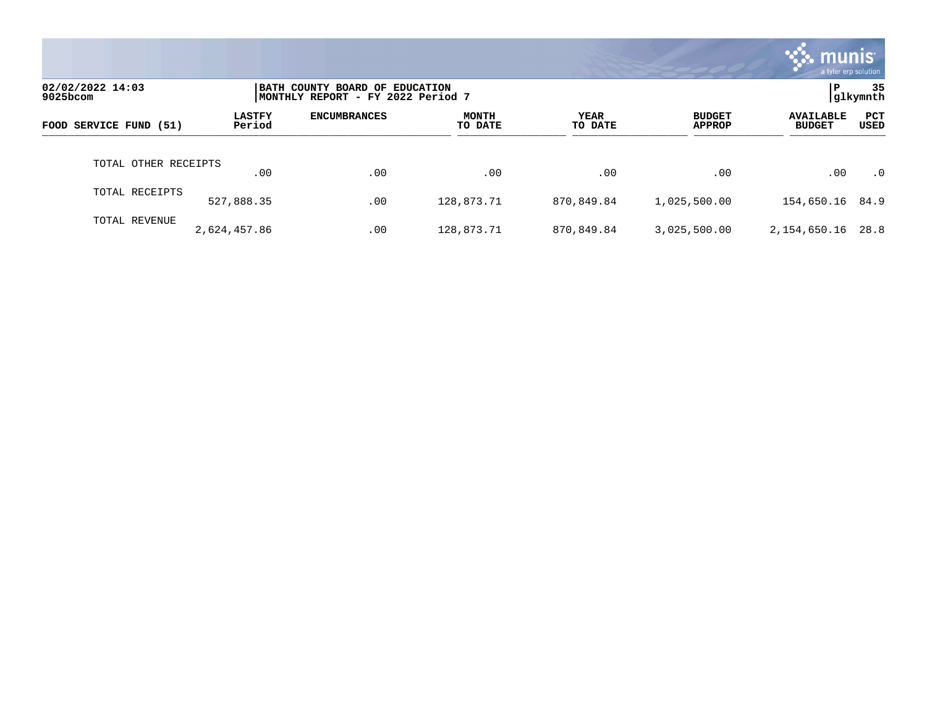|                              |                         |                                                                     |                  |                 |                                | munis'<br>a tyler erp solution    |                |
|------------------------------|-------------------------|---------------------------------------------------------------------|------------------|-----------------|--------------------------------|-----------------------------------|----------------|
| 02/02/2022 14:03<br>9025bcom |                         | BATH COUNTY BOARD OF EDUCATION<br>MONTHLY REPORT - FY 2022 Period 7 |                  |                 |                                | P                                 | 35<br>glkymnth |
| FOOD SERVICE FUND (51)       | <b>LASTFY</b><br>Period | <b>ENCUMBRANCES</b>                                                 | MONTH<br>TO DATE | YEAR<br>TO DATE | <b>BUDGET</b><br><b>APPROP</b> | <b>AVAILABLE</b><br><b>BUDGET</b> | PCT<br>USED    |
| TOTAL OTHER RECEIPTS         | .00                     | .00                                                                 | .00              | .00             | $.00 \ \rm$                    | .00                               | $\cdot$ 0      |
| TOTAL RECEIPTS               | 527,888.35              | .00                                                                 | 128,873.71       | 870,849.84      | 1,025,500.00                   | 154,650.16 84.9                   |                |
| TOTAL REVENUE                | 2,624,457.86            | .00                                                                 | 128,873.71       | 870,849.84      | 3,025,500.00                   | 2,154,650.16                      | 28.8           |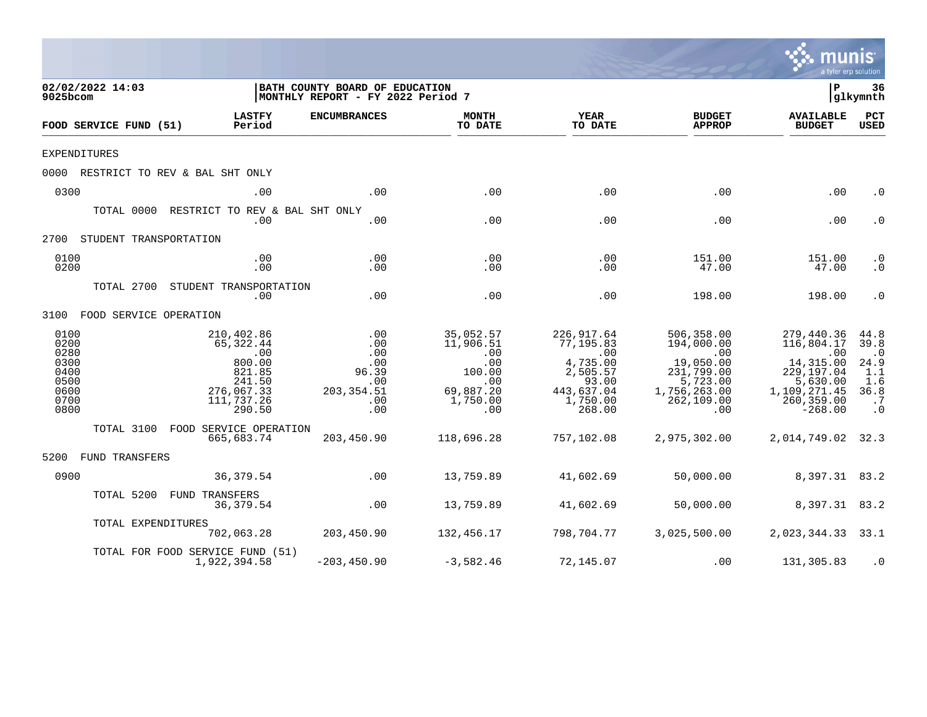|                                                                      |                                                                                                    |                                                                                                |                                                                                       |                                                                                                     |                                                                                                             | a tyler erp solution                                                                                              |                                                                                   |
|----------------------------------------------------------------------|----------------------------------------------------------------------------------------------------|------------------------------------------------------------------------------------------------|---------------------------------------------------------------------------------------|-----------------------------------------------------------------------------------------------------|-------------------------------------------------------------------------------------------------------------|-------------------------------------------------------------------------------------------------------------------|-----------------------------------------------------------------------------------|
| 02/02/2022 14:03<br>9025bcom                                         |                                                                                                    | BATH COUNTY BOARD OF EDUCATION<br>MONTHLY REPORT - FY 2022 Period 7                            |                                                                                       |                                                                                                     |                                                                                                             | $\mathbf P$                                                                                                       | 36<br> glkymnth                                                                   |
| FOOD SERVICE FUND (51)                                               | <b>LASTFY</b><br>Period                                                                            | <b>ENCUMBRANCES</b>                                                                            | <b>MONTH</b><br>TO DATE                                                               | <b>YEAR</b><br>TO DATE                                                                              | <b>BUDGET</b><br><b>APPROP</b>                                                                              | <b>AVAILABLE</b><br><b>BUDGET</b>                                                                                 | PCT<br><b>USED</b>                                                                |
| <b>EXPENDITURES</b>                                                  |                                                                                                    |                                                                                                |                                                                                       |                                                                                                     |                                                                                                             |                                                                                                                   |                                                                                   |
|                                                                      | 0000 RESTRICT TO REV & BAL SHT ONLY                                                                |                                                                                                |                                                                                       |                                                                                                     |                                                                                                             |                                                                                                                   |                                                                                   |
| 0300                                                                 | .00                                                                                                | .00                                                                                            | .00                                                                                   | .00                                                                                                 | .00                                                                                                         | .00                                                                                                               | $\cdot$ 0                                                                         |
|                                                                      | TOTAL 0000 RESTRICT TO REV & BAL SHT ONLY<br>.00                                                   | .00                                                                                            | .00                                                                                   | .00                                                                                                 | .00                                                                                                         | .00                                                                                                               | $\cdot$ 0                                                                         |
| 2700 STUDENT TRANSPORTATION                                          |                                                                                                    |                                                                                                |                                                                                       |                                                                                                     |                                                                                                             |                                                                                                                   |                                                                                   |
| 0100<br>0200                                                         | .00<br>.00                                                                                         | .00<br>.00                                                                                     | .00<br>.00                                                                            | .00<br>.00                                                                                          | 151.00<br>47.00                                                                                             | 151.00<br>47.00                                                                                                   | $\cdot$ 0<br>$\cdot$ 0                                                            |
|                                                                      | TOTAL 2700 STUDENT TRANSPORTATION<br>.00                                                           | .00                                                                                            | .00                                                                                   | .00                                                                                                 | 198.00                                                                                                      | 198.00                                                                                                            | $\cdot$ 0                                                                         |
| 3100 FOOD SERVICE OPERATION                                          |                                                                                                    |                                                                                                |                                                                                       |                                                                                                     |                                                                                                             |                                                                                                                   |                                                                                   |
| 0100<br>0200<br>0280<br>0300<br>0400<br>0500<br>0600<br>0700<br>0800 | 210,402.86<br>65,322.44<br>.00<br>800.00<br>821.85<br>241.50<br>276,067.33<br>111,737.26<br>290.50 | $\overline{\phantom{0}}$ .00<br>.00<br>.00<br>.00<br>96.39<br>.00<br>203, 354.51<br>.00<br>.00 | 35,052.57<br>11,906.51<br>.00<br>.00<br>100.00<br>.00<br>69,887.20<br>1,750.00<br>.00 | 226,917.64<br>77,195.83<br>.00<br>4,735.00<br>2,505.57<br>93.00<br>443,637.04<br>1,750.00<br>268.00 | 506,358.00<br>194,000.00<br>.00<br>19,050.00<br>231,799.00<br>5,723.00<br>1,756,263.00<br>262,109.00<br>.00 | 279,440.36<br>116,804.17<br>.00<br>14,315.00<br>229,197.04<br>5,630.00<br>1,109,271.45<br>260,359.00<br>$-268.00$ | 44.8<br>39.8<br>$\cdot$ 0<br>24.9<br>1.1<br>1.6<br>36.8<br>$\cdot$ 7<br>$\cdot$ 0 |
|                                                                      | TOTAL 3100 FOOD SERVICE OPERATION<br>665,683.74                                                    | 203,450.90                                                                                     | 118,696.28                                                                            | 757,102.08                                                                                          | 2,975,302.00                                                                                                | 2,014,749.02 32.3                                                                                                 |                                                                                   |
| 5200 FUND TRANSFERS                                                  |                                                                                                    |                                                                                                |                                                                                       |                                                                                                     |                                                                                                             |                                                                                                                   |                                                                                   |
| 0900                                                                 | 36, 379.54                                                                                         | .00                                                                                            | 13,759.89                                                                             | 41,602.69                                                                                           | 50,000.00                                                                                                   | 8,397.31 83.2                                                                                                     |                                                                                   |
| TOTAL 5200                                                           | FUND TRANSFERS<br>36,379.54                                                                        | .00                                                                                            | 13,759.89                                                                             | 41,602.69                                                                                           | 50,000.00                                                                                                   | 8,397.31 83.2                                                                                                     |                                                                                   |
| TOTAL EXPENDITURES                                                   | 702,063.28                                                                                         | 203,450.90                                                                                     | 132,456.17                                                                            | 798,704.77                                                                                          | 3,025,500.00                                                                                                | 2,023,344.33 33.1                                                                                                 |                                                                                   |
|                                                                      | TOTAL FOR FOOD SERVICE FUND (51)<br>1,922,394.58                                                   | $-203, 450.90$                                                                                 | $-3,582.46$                                                                           | 72,145.07                                                                                           | .00                                                                                                         | 131,305.83                                                                                                        | $\cdot$ 0                                                                         |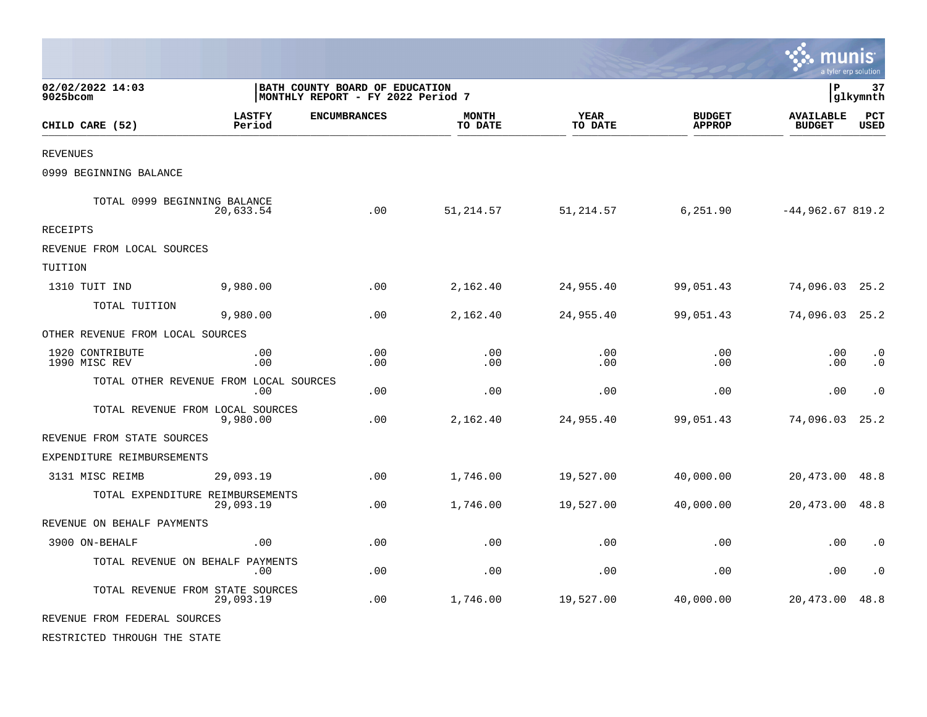|                                        |                                                                     |                     |                         |                        |                                |                                   | <u>nıs</u><br>a tyler erp solution |
|----------------------------------------|---------------------------------------------------------------------|---------------------|-------------------------|------------------------|--------------------------------|-----------------------------------|------------------------------------|
| 02/02/2022 14:03<br>9025bcom           | BATH COUNTY BOARD OF EDUCATION<br>MONTHLY REPORT - FY 2022 Period 7 |                     |                         |                        |                                | $\, {\bf P}$                      | 37<br>glkymnth                     |
| CHILD CARE (52)                        | <b>LASTFY</b><br>Period                                             | <b>ENCUMBRANCES</b> | <b>MONTH</b><br>TO DATE | <b>YEAR</b><br>TO DATE | <b>BUDGET</b><br><b>APPROP</b> | <b>AVAILABLE</b><br><b>BUDGET</b> | <b>PCT</b><br><b>USED</b>          |
| <b>REVENUES</b>                        |                                                                     |                     |                         |                        |                                |                                   |                                    |
| 0999 BEGINNING BALANCE                 |                                                                     |                     |                         |                        |                                |                                   |                                    |
| TOTAL 0999 BEGINNING BALANCE           | 20,633.54                                                           | .00                 | 51,214.57               | 51,214.57              | 6,251.90                       | $-44,962.67819.2$                 |                                    |
| <b>RECEIPTS</b>                        |                                                                     |                     |                         |                        |                                |                                   |                                    |
| REVENUE FROM LOCAL SOURCES             |                                                                     |                     |                         |                        |                                |                                   |                                    |
| TUITION                                |                                                                     |                     |                         |                        |                                |                                   |                                    |
| 1310 TUIT IND                          | 9,980.00                                                            | .00                 | 2,162.40                | 24,955.40              | 99,051.43                      | 74,096.03                         | 25.2                               |
| TOTAL TUITION                          | 9,980.00                                                            | .00                 | 2,162.40                | 24,955.40              | 99,051.43                      | 74,096.03                         | 25.2                               |
| OTHER REVENUE FROM LOCAL SOURCES       |                                                                     |                     |                         |                        |                                |                                   |                                    |
| 1920 CONTRIBUTE<br>1990 MISC REV       | .00<br>.00                                                          | .00<br>.00          | .00<br>.00              | .00<br>.00             | .00<br>.00                     | .00<br>.00                        | $\cdot$ 0<br>$\cdot$ 0             |
| TOTAL OTHER REVENUE FROM LOCAL SOURCES | .00                                                                 | .00                 | .00                     | .00                    | .00                            | .00                               | $\cdot$ 0                          |
| TOTAL REVENUE FROM LOCAL SOURCES       | 9,980.00                                                            | .00                 | 2,162.40                | 24,955.40              | 99,051.43                      | 74,096.03                         | 25.2                               |
| REVENUE FROM STATE SOURCES             |                                                                     |                     |                         |                        |                                |                                   |                                    |
| EXPENDITURE REIMBURSEMENTS             |                                                                     |                     |                         |                        |                                |                                   |                                    |
| 3131 MISC REIMB                        | 29,093.19                                                           | .00                 | 1,746.00                | 19,527.00              | 40,000.00                      | 20,473.00                         | 48.8                               |
| TOTAL EXPENDITURE REIMBURSEMENTS       | 29,093.19                                                           | .00                 | 1,746.00                | 19,527.00              | 40,000.00                      | 20,473.00                         | 48.8                               |
| REVENUE ON BEHALF PAYMENTS             |                                                                     |                     |                         |                        |                                |                                   |                                    |
| 3900 ON-BEHALF                         | .00                                                                 | .00                 | .00                     | .00                    | .00                            | .00                               | $\cdot$ 0                          |
| TOTAL REVENUE ON BEHALF PAYMENTS       | .00                                                                 | .00                 | .00                     | .00                    | .00                            | .00                               | $\cdot$ 0                          |
| TOTAL REVENUE FROM STATE SOURCES       | 29,093.19                                                           | .00                 | 1,746.00                | 19,527.00              | 40,000.00                      | 20,473.00                         | 48.8                               |
| REVENUE FROM FEDERAL SOURCES           |                                                                     |                     |                         |                        |                                |                                   |                                    |
| RESTRICTED THROUGH THE STATE           |                                                                     |                     |                         |                        |                                |                                   |                                    |

 $\bullet$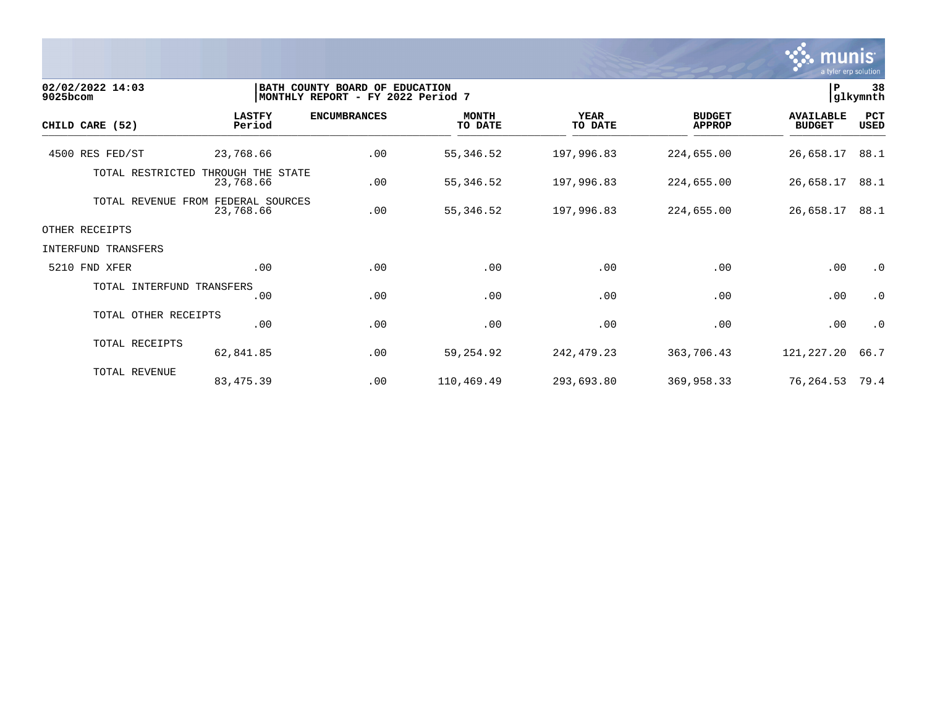

| 02/02/2022 14:03<br>9025bcom |                                                 | BATH COUNTY BOARD OF EDUCATION<br>MONTHLY REPORT - FY 2022 Period 7 |                         |                        |                                | l P                               | 38<br>glkymnth     |
|------------------------------|-------------------------------------------------|---------------------------------------------------------------------|-------------------------|------------------------|--------------------------------|-----------------------------------|--------------------|
| CHILD CARE (52)              | <b>LASTFY</b><br>Period                         | <b>ENCUMBRANCES</b>                                                 | <b>MONTH</b><br>TO DATE | <b>YEAR</b><br>TO DATE | <b>BUDGET</b><br><b>APPROP</b> | <b>AVAILABLE</b><br><b>BUDGET</b> | PCT<br><b>USED</b> |
| 4500 RES FED/ST              | 23,768.66                                       | .00                                                                 | 55, 346.52              | 197,996.83             | 224,655.00                     | 26,658.17                         | 88.1               |
| TOTAL RESTRICTED             | THROUGH THE STATE<br>23,768.66                  | .00                                                                 | 55,346.52               | 197,996.83             | 224,655.00                     | 26,658.17                         | 88.1               |
|                              | TOTAL REVENUE FROM FEDERAL SOURCES<br>23,768.66 | .00                                                                 | 55, 346.52              | 197,996.83             | 224,655.00                     | 26,658.17                         | 88.1               |
| OTHER RECEIPTS               |                                                 |                                                                     |                         |                        |                                |                                   |                    |
| INTERFUND TRANSFERS          |                                                 |                                                                     |                         |                        |                                |                                   |                    |
| 5210 FND XFER                | .00                                             | .00                                                                 | .00                     | .00                    | .00                            | .00                               | $\cdot$ 0          |
| TOTAL INTERFUND TRANSFERS    | .00                                             | .00                                                                 | .00                     | .00                    | .00                            | .00                               | $\cdot$ 0          |
| TOTAL OTHER RECEIPTS         | .00                                             | .00                                                                 | .00                     | .00                    | .00                            | .00                               | $\cdot$ 0          |
| TOTAL RECEIPTS               | 62,841.85                                       | .00                                                                 | 59, 254.92              | 242, 479.23            | 363,706.43                     | 121,227.20                        | 66.7               |
| TOTAL REVENUE                | 83, 475.39                                      | .00                                                                 | 110,469.49              | 293,693.80             | 369,958.33                     | 76,264.53                         | 79.4               |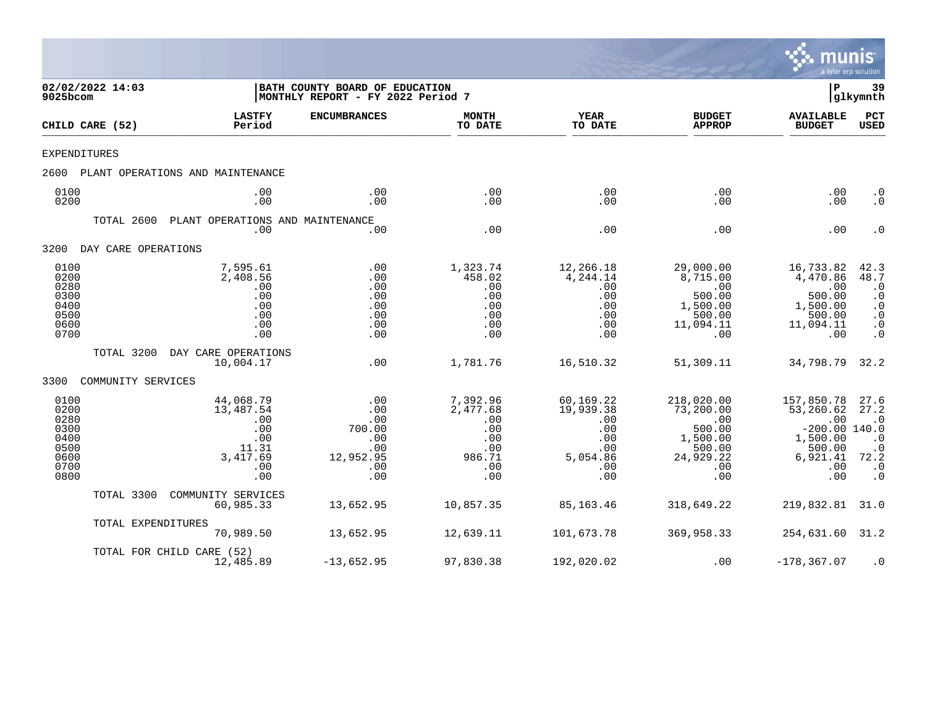

| 9025bcom                                                             | 02/02/2022 14:03    |                                                                                | BATH COUNTY BOARD OF EDUCATION<br> MONTHLY REPORT - FY 2022 Period 7 |                                                                          |                                                                              |                                                                                           | P                                                                                                 | 39<br>glkymnth                                                                                    |
|----------------------------------------------------------------------|---------------------|--------------------------------------------------------------------------------|----------------------------------------------------------------------|--------------------------------------------------------------------------|------------------------------------------------------------------------------|-------------------------------------------------------------------------------------------|---------------------------------------------------------------------------------------------------|---------------------------------------------------------------------------------------------------|
|                                                                      | CHILD CARE (52)     | <b>LASTFY</b><br>Period                                                        | <b>ENCUMBRANCES</b>                                                  | <b>MONTH</b><br>TO DATE                                                  | <b>YEAR</b><br>TO DATE                                                       | <b>BUDGET</b><br><b>APPROP</b>                                                            | <b>AVAILABLE</b><br><b>BUDGET</b>                                                                 | <b>PCT</b><br>USED                                                                                |
| EXPENDITURES                                                         |                     |                                                                                |                                                                      |                                                                          |                                                                              |                                                                                           |                                                                                                   |                                                                                                   |
| 2600                                                                 |                     | PLANT OPERATIONS AND MAINTENANCE                                               |                                                                      |                                                                          |                                                                              |                                                                                           |                                                                                                   |                                                                                                   |
| 0100<br>0200                                                         |                     | .00<br>.00                                                                     | .00<br>.00                                                           | .00<br>.00                                                               | .00<br>.00                                                                   | .00<br>.00                                                                                | .00<br>.00                                                                                        | $\cdot$ 0<br>$\cdot$ 0                                                                            |
|                                                                      | TOTAL 2600          | PLANT OPERATIONS AND MAINTENANCE<br>.00                                        | .00                                                                  | .00                                                                      | .00                                                                          | .00                                                                                       | .00                                                                                               | $\cdot$ 0                                                                                         |
| 3200                                                                 | DAY CARE OPERATIONS |                                                                                |                                                                      |                                                                          |                                                                              |                                                                                           |                                                                                                   |                                                                                                   |
| 0100<br>0200<br>0280<br>0300<br>0400<br>0500<br>0600<br>0700         |                     | 7,595.61<br>2,408.56<br>.00<br>.00<br>.00<br>.00<br>.00<br>.00                 | .00<br>.00<br>.00<br>.00<br>.00<br>.00<br>.00<br>.00                 | 1,323.74<br>458.02<br>.00<br>.00<br>.00<br>.00<br>.00<br>.00             | 12,266.18<br>4,244.14<br>.00<br>.00<br>.00<br>.00<br>.00<br>.00              | 29,000.00<br>8,715.00<br>.00<br>500.00<br>1,500.00<br>500.00<br>11,094.11<br>.00          | 16,733.82<br>4,470.86<br>.00<br>500.00<br>1,500.00<br>500.00<br>11,094.11<br>.00                  | $\frac{42.3}{48.7}$<br>$\cdot$ 0<br>$\cdot$ 0<br>$\cdot$ 0<br>$\cdot$ 0<br>$\cdot$ 0<br>$\cdot$ 0 |
|                                                                      | TOTAL 3200          | DAY CARE OPERATIONS<br>10,004.17                                               | .00                                                                  | 1,781.76                                                                 | 16,510.32                                                                    | 51,309.11                                                                                 | 34,798.79                                                                                         | 32.2                                                                                              |
| 3300                                                                 | COMMUNITY SERVICES  |                                                                                |                                                                      |                                                                          |                                                                              |                                                                                           |                                                                                                   |                                                                                                   |
| 0100<br>0200<br>0280<br>0300<br>0400<br>0500<br>0600<br>0700<br>0800 |                     | 44,068.79<br>13,487.54<br>.00<br>.00<br>.00<br>11.31<br>3,417.69<br>.00<br>.00 | .00<br>.00<br>.00<br>700.00<br>.00<br>.00<br>12,952.95<br>.00<br>.00 | 7,392.96<br>2,477.68<br>.00<br>.00<br>.00<br>.00<br>986.71<br>.00<br>.00 | 60,169.22<br>19,939.38<br>.00<br>.00<br>.00<br>.00<br>5,054.86<br>.00<br>.00 | 218,020.00<br>73,200.00<br>.00<br>500.00<br>1,500.00<br>500.00<br>24,929.22<br>.00<br>.00 | 157,850.78<br>53,260.62<br>.00<br>$-200.00$ 140.0<br>1,500.00<br>500.00<br>6,921.41<br>.00<br>.00 | 27.6<br>27.2<br>$\cdot$ 0<br>$\cdot$ 0<br>$\cdot$ 0<br>72.2<br>$\cdot$ 0<br>$\cdot$ 0             |
|                                                                      | TOTAL 3300          | COMMUNITY SERVICES<br>60,985.33                                                | 13,652.95                                                            | 10,857.35                                                                | 85,163.46                                                                    | 318,649.22                                                                                | 219,832.81                                                                                        | 31.0                                                                                              |
|                                                                      | TOTAL EXPENDITURES  | 70,989.50                                                                      | 13,652.95                                                            | 12,639.11                                                                | 101,673.78                                                                   | 369,958.33                                                                                | 254,631.60                                                                                        | 31.2                                                                                              |
|                                                                      |                     | TOTAL FOR CHILD CARE (52)<br>12,485.89                                         | $-13,652.95$                                                         | 97,830.38                                                                | 192,020.02                                                                   | .00                                                                                       | $-178, 367.07$                                                                                    | $\cdot$ 0                                                                                         |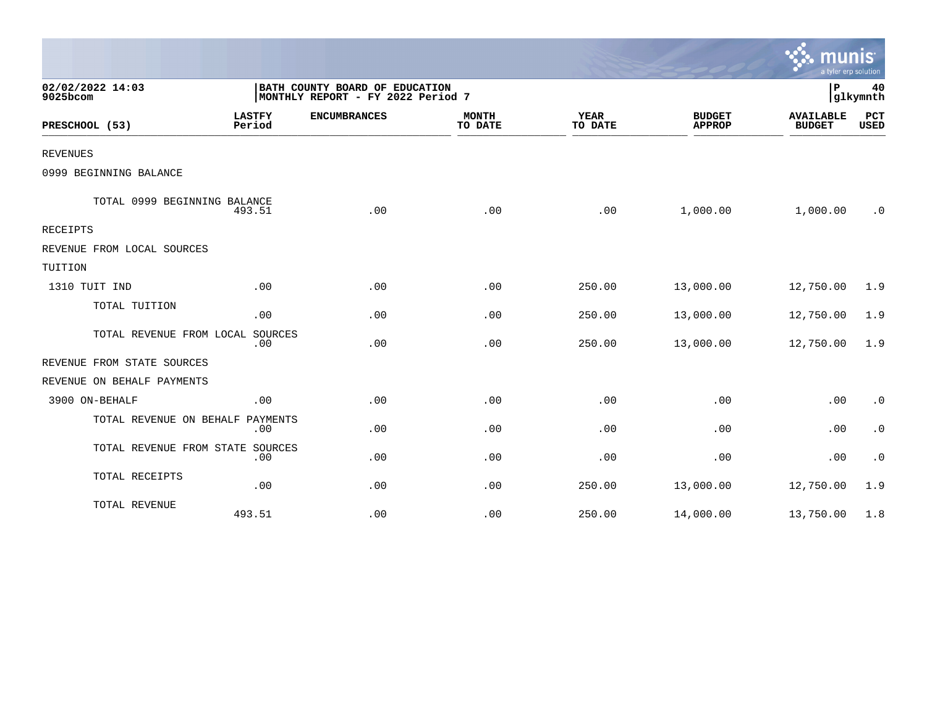|                                  |                         |                                                                     |                         |                        |                                | mun<br>a tyler erp solution       |                    |
|----------------------------------|-------------------------|---------------------------------------------------------------------|-------------------------|------------------------|--------------------------------|-----------------------------------|--------------------|
| 02/02/2022 14:03<br>9025bcom     |                         | BATH COUNTY BOARD OF EDUCATION<br>MONTHLY REPORT - FY 2022 Period 7 |                         |                        |                                | P                                 | 40<br>glkymnth     |
| PRESCHOOL (53)                   | <b>LASTFY</b><br>Period | <b>ENCUMBRANCES</b>                                                 | <b>MONTH</b><br>TO DATE | <b>YEAR</b><br>TO DATE | <b>BUDGET</b><br><b>APPROP</b> | <b>AVAILABLE</b><br><b>BUDGET</b> | PCT<br><b>USED</b> |
| <b>REVENUES</b>                  |                         |                                                                     |                         |                        |                                |                                   |                    |
| 0999 BEGINNING BALANCE           |                         |                                                                     |                         |                        |                                |                                   |                    |
| TOTAL 0999 BEGINNING BALANCE     | 493.51                  | .00                                                                 | .00                     | .00                    | 1,000.00                       | 1,000.00                          | $\cdot$ 0          |
| RECEIPTS                         |                         |                                                                     |                         |                        |                                |                                   |                    |
| REVENUE FROM LOCAL SOURCES       |                         |                                                                     |                         |                        |                                |                                   |                    |
| TUITION                          |                         |                                                                     |                         |                        |                                |                                   |                    |
| 1310 TUIT IND                    | .00                     | .00                                                                 | .00                     | 250.00                 | 13,000.00                      | 12,750.00                         | 1.9                |
| TOTAL TUITION                    | .00                     | .00                                                                 | .00                     | 250.00                 | 13,000.00                      | 12,750.00                         | 1.9                |
| TOTAL REVENUE FROM LOCAL SOURCES | .00                     | .00                                                                 | .00                     | 250.00                 | 13,000.00                      | 12,750.00                         | 1.9                |
| REVENUE FROM STATE SOURCES       |                         |                                                                     |                         |                        |                                |                                   |                    |
| REVENUE ON BEHALF PAYMENTS       |                         |                                                                     |                         |                        |                                |                                   |                    |
| 3900 ON-BEHALF                   | .00                     | .00                                                                 | .00                     | .00                    | .00                            | .00                               | $\cdot$ 0          |
| TOTAL REVENUE ON BEHALF PAYMENTS | .00                     | .00                                                                 | .00                     | .00                    | .00                            | .00                               | $\cdot$ 0          |
| TOTAL REVENUE FROM STATE SOURCES | .00                     | .00                                                                 | .00                     | .00                    | .00                            | .00                               | $\cdot$ 0          |
| TOTAL RECEIPTS                   | .00                     | .00                                                                 | .00                     | 250.00                 | 13,000.00                      | 12,750.00                         | 1.9                |
| TOTAL REVENUE                    | 493.51                  | .00                                                                 | .00                     | 250.00                 | 14,000.00                      | 13,750.00                         | 1.8                |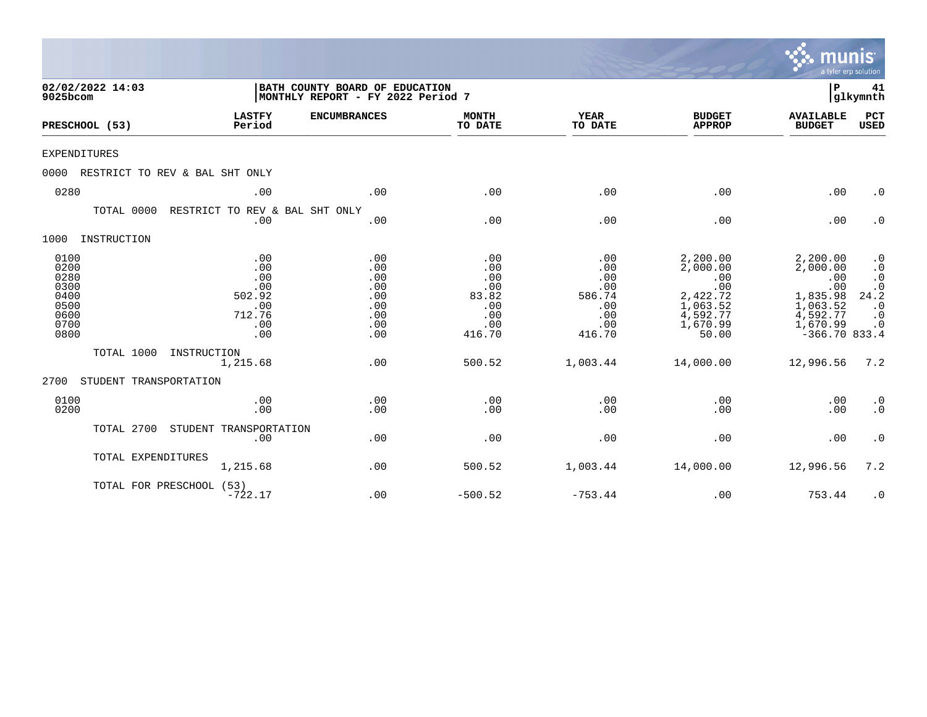|                                                                      |                                |                                                                   |                                                                     |                                                                  |                                                                   |                                                                                             | munis                                                                                                 | a tyler erp solution                                                               |
|----------------------------------------------------------------------|--------------------------------|-------------------------------------------------------------------|---------------------------------------------------------------------|------------------------------------------------------------------|-------------------------------------------------------------------|---------------------------------------------------------------------------------------------|-------------------------------------------------------------------------------------------------------|------------------------------------------------------------------------------------|
| 9025bcom                                                             | 02/02/2022 14:03               |                                                                   | BATH COUNTY BOARD OF EDUCATION<br>MONTHLY REPORT - FY 2022 Period 7 |                                                                  |                                                                   |                                                                                             | P                                                                                                     | 41<br> glkymnth                                                                    |
|                                                                      | PRESCHOOL (53)                 | <b>LASTFY</b><br>Period                                           | <b>ENCUMBRANCES</b>                                                 | <b>MONTH</b><br>TO DATE                                          | <b>YEAR</b><br>TO DATE                                            | <b>BUDGET</b><br><b>APPROP</b>                                                              | <b>AVAILABLE</b><br><b>BUDGET</b>                                                                     | PCT<br><b>USED</b>                                                                 |
| <b>EXPENDITURES</b>                                                  |                                |                                                                   |                                                                     |                                                                  |                                                                   |                                                                                             |                                                                                                       |                                                                                    |
| 0000                                                                 | RESTRICT TO REV & BAL SHT ONLY |                                                                   |                                                                     |                                                                  |                                                                   |                                                                                             |                                                                                                       |                                                                                    |
| 0280                                                                 |                                | .00                                                               | .00                                                                 | .00                                                              | .00                                                               | .00                                                                                         | .00                                                                                                   | $\cdot$ 0                                                                          |
|                                                                      | TOTAL 0000                     | RESTRICT TO REV & BAL SHT ONLY<br>.00                             | .00                                                                 | .00                                                              | .00                                                               | .00                                                                                         | .00                                                                                                   | $\cdot$ 0                                                                          |
| 1000                                                                 | INSTRUCTION                    |                                                                   |                                                                     |                                                                  |                                                                   |                                                                                             |                                                                                                       |                                                                                    |
| 0100<br>0200<br>0280<br>0300<br>0400<br>0500<br>0600<br>0700<br>0800 |                                | .00<br>.00<br>.00<br>.00<br>502.92<br>.00<br>712.76<br>.00<br>.00 | .00<br>.00<br>.00<br>.00<br>.00<br>.00<br>.00<br>.00<br>.00         | .00<br>.00<br>.00<br>.00<br>83.82<br>.00<br>.00<br>.00<br>416.70 | .00<br>.00<br>.00<br>.00<br>586.74<br>.00<br>.00<br>.00<br>416.70 | 2,200.00<br>2,000.00<br>.00<br>.00<br>2,422.72<br>1,063.52<br>4,592.77<br>1,670.99<br>50.00 | 2,200.00<br>2,000.00<br>.00<br>.00<br>1,835.98<br>1,063.52<br>4,592.77<br>1,670.99<br>$-366.70$ 833.4 | $\cdot$ 0<br>$\cdot$ 0<br>$\cdot$ 0<br>24.2<br>$\cdot$ 0<br>$\cdot$ 0<br>$\cdot$ 0 |
|                                                                      | TOTAL 1000                     | INSTRUCTION<br>1,215.68                                           | .00                                                                 | 500.52                                                           | 1,003.44                                                          | 14,000.00                                                                                   | 12,996.56                                                                                             | 7.2                                                                                |
| 2700                                                                 | STUDENT TRANSPORTATION         |                                                                   |                                                                     |                                                                  |                                                                   |                                                                                             |                                                                                                       |                                                                                    |
| 0100<br>0200                                                         |                                | .00<br>.00                                                        | .00<br>.00                                                          | .00<br>.00                                                       | .00<br>.00                                                        | .00<br>.00                                                                                  | .00<br>.00                                                                                            | $\cdot$ 0<br>$\cdot$ 0                                                             |
|                                                                      | TOTAL 2700                     | STUDENT TRANSPORTATION<br>.00                                     | .00                                                                 | .00                                                              | .00                                                               | .00                                                                                         | .00                                                                                                   | $\cdot$ 0                                                                          |
|                                                                      | TOTAL EXPENDITURES             | 1,215.68                                                          | .00                                                                 | 500.52                                                           | 1,003.44                                                          | 14,000.00                                                                                   | 12,996.56                                                                                             | 7.2                                                                                |
|                                                                      | TOTAL FOR PRESCHOOL (53)       | $-722.17$                                                         | .00                                                                 | $-500.52$                                                        | $-753.44$                                                         | .00                                                                                         | 753.44                                                                                                | $\cdot$ 0                                                                          |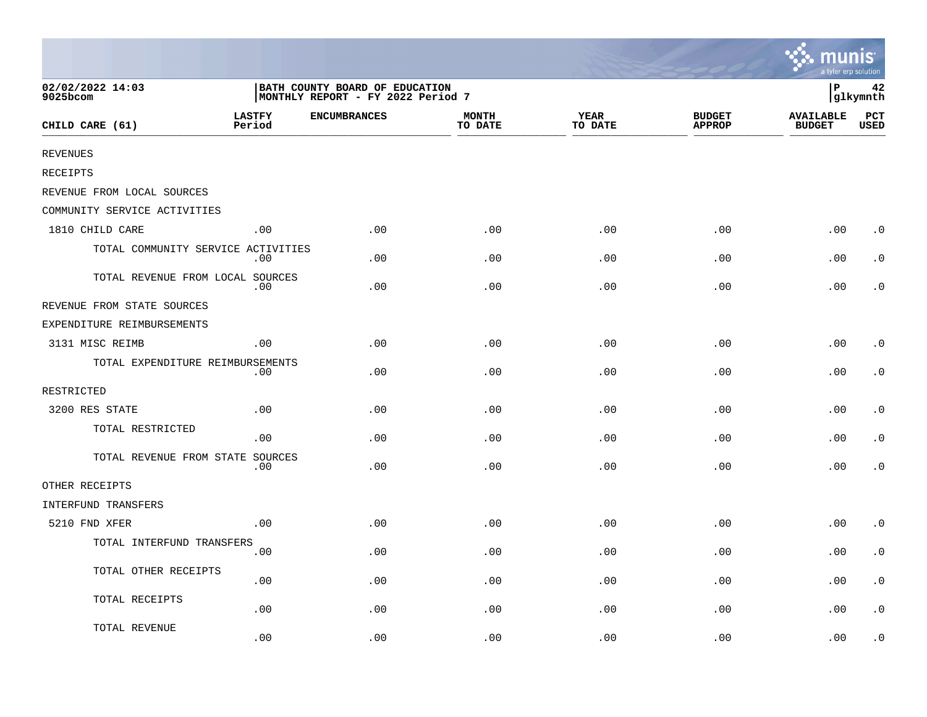|                                    |                                                                     |                     |                         |                        |                                | ∵. munis<br>a tyler erp solution  |             |
|------------------------------------|---------------------------------------------------------------------|---------------------|-------------------------|------------------------|--------------------------------|-----------------------------------|-------------|
| 02/02/2022 14:03<br>9025bcom       | BATH COUNTY BOARD OF EDUCATION<br>MONTHLY REPORT - FY 2022 Period 7 |                     |                         |                        |                                | İР<br>42<br>glkymnth              |             |
| CHILD CARE (61)                    | <b>LASTFY</b><br>Period                                             | <b>ENCUMBRANCES</b> | <b>MONTH</b><br>TO DATE | <b>YEAR</b><br>TO DATE | <b>BUDGET</b><br><b>APPROP</b> | <b>AVAILABLE</b><br><b>BUDGET</b> | PCT<br>USED |
| <b>REVENUES</b>                    |                                                                     |                     |                         |                        |                                |                                   |             |
| RECEIPTS                           |                                                                     |                     |                         |                        |                                |                                   |             |
| REVENUE FROM LOCAL SOURCES         |                                                                     |                     |                         |                        |                                |                                   |             |
| COMMUNITY SERVICE ACTIVITIES       |                                                                     |                     |                         |                        |                                |                                   |             |
| 1810 CHILD CARE                    | .00                                                                 | .00                 | .00                     | .00                    | .00                            | .00                               | $\cdot$ 0   |
| TOTAL COMMUNITY SERVICE ACTIVITIES | $.00 \,$                                                            | .00.                | .00                     | .00                    | .00                            | .00                               | $\cdot$ 0   |
| TOTAL REVENUE FROM LOCAL SOURCES   | .00                                                                 | .00                 | .00                     | .00                    | .00                            | .00                               | . 0         |
| REVENUE FROM STATE SOURCES         |                                                                     |                     |                         |                        |                                |                                   |             |
| EXPENDITURE REIMBURSEMENTS         |                                                                     |                     |                         |                        |                                |                                   |             |
| 3131 MISC REIMB                    | .00                                                                 | .00                 | .00                     | .00                    | .00                            | .00                               | $\cdot$ 0   |
| TOTAL EXPENDITURE REIMBURSEMENTS   | .00                                                                 | .00                 | .00                     | .00                    | .00                            | .00                               | $\cdot$ 0   |
| RESTRICTED                         |                                                                     |                     |                         |                        |                                |                                   |             |
| 3200 RES STATE                     | .00                                                                 | .00.                | .00                     | .00                    | .00                            | .00                               | $\cdot$ 0   |
| TOTAL RESTRICTED                   | .00                                                                 | .00                 | .00                     | .00                    | .00                            | .00                               | $\cdot$ 0   |
| TOTAL REVENUE FROM STATE SOURCES   | $.00 \,$                                                            | .00                 | .00                     | .00                    | .00                            | .00                               | $\cdot$ 0   |
| OTHER RECEIPTS                     |                                                                     |                     |                         |                        |                                |                                   |             |
| INTERFUND TRANSFERS                |                                                                     |                     |                         |                        |                                |                                   |             |
| 5210 FND XFER                      | .00                                                                 | .00                 | .00                     | .00                    | .00                            | .00                               | $\cdot$ 0   |
| TOTAL INTERFUND TRANSFERS          | .00                                                                 | .00                 | .00                     | .00                    | .00                            | .00                               | $\cdot$ 0   |
| TOTAL OTHER RECEIPTS               | .00                                                                 | .00                 | .00                     | .00                    | .00                            | .00                               | $\cdot$ 0   |
| TOTAL RECEIPTS                     | .00                                                                 | .00                 | .00                     | .00                    | .00                            | .00                               | $\cdot$ 0   |
| TOTAL REVENUE                      | .00                                                                 | .00                 | .00                     | .00                    | .00                            | .00                               | $\cdot$ 0   |

the contract of the contract of the contract of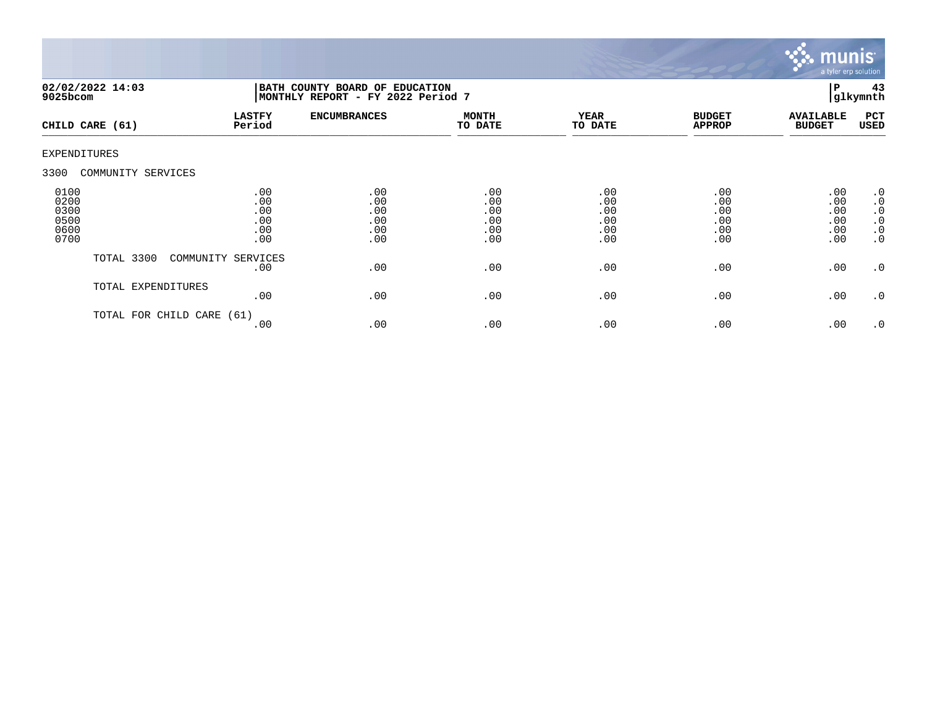

| $9025$ bcom                                  | 02/02/2022 14:03     | BATH COUNTY BOARD OF EDUCATION<br>MONTHLY REPORT - FY 2022 Period 7 |                                        |                                        |                                        |                                        |                                        | 43<br>glkymnth                                                             |
|----------------------------------------------|----------------------|---------------------------------------------------------------------|----------------------------------------|----------------------------------------|----------------------------------------|----------------------------------------|----------------------------------------|----------------------------------------------------------------------------|
|                                              | CHILD CARE (61)      | <b>LASTFY</b><br>Period                                             | <b>ENCUMBRANCES</b>                    | <b>MONTH</b><br>TO DATE                | <b>YEAR</b><br>TO DATE                 | <b>BUDGET</b><br><b>APPROP</b>         | <b>AVAILABLE</b><br><b>BUDGET</b>      | PCT<br>USED                                                                |
| EXPENDITURES                                 |                      |                                                                     |                                        |                                        |                                        |                                        |                                        |                                                                            |
| 3300                                         | COMMUNITY SERVICES   |                                                                     |                                        |                                        |                                        |                                        |                                        |                                                                            |
| 0100<br>0200<br>0300<br>0500<br>0600<br>0700 |                      | .00<br>.00<br>.00<br>.00<br>.00<br>.00                              | .00<br>.00<br>.00<br>.00<br>.00<br>.00 | .00<br>.00<br>.00<br>.00<br>.00<br>.00 | .00<br>.00<br>.00<br>.00<br>.00<br>.00 | .00<br>.00<br>.00<br>.00<br>.00<br>.00 | .00<br>.00<br>.00<br>.00<br>.00<br>.00 | $\cdot$ 0<br>$\cdot$ 0<br>$\cdot$ 0<br>$\cdot$ 0<br>$\cdot$ 0<br>$\cdot$ 0 |
|                                              | TOTAL 3300           | COMMUNITY SERVICES<br>.00                                           | .00                                    | .00                                    | .00                                    | .00                                    | .00                                    | $\cdot$ 0                                                                  |
|                                              | TOTAL EXPENDITURES   | .00                                                                 | .00                                    | .00                                    | .00                                    | .00                                    | .00                                    | $\cdot$ 0                                                                  |
|                                              | TOTAL FOR CHILD CARE | (61)<br>.00                                                         | .00                                    | .00                                    | .00                                    | .00                                    | .00                                    | $\cdot$ 0                                                                  |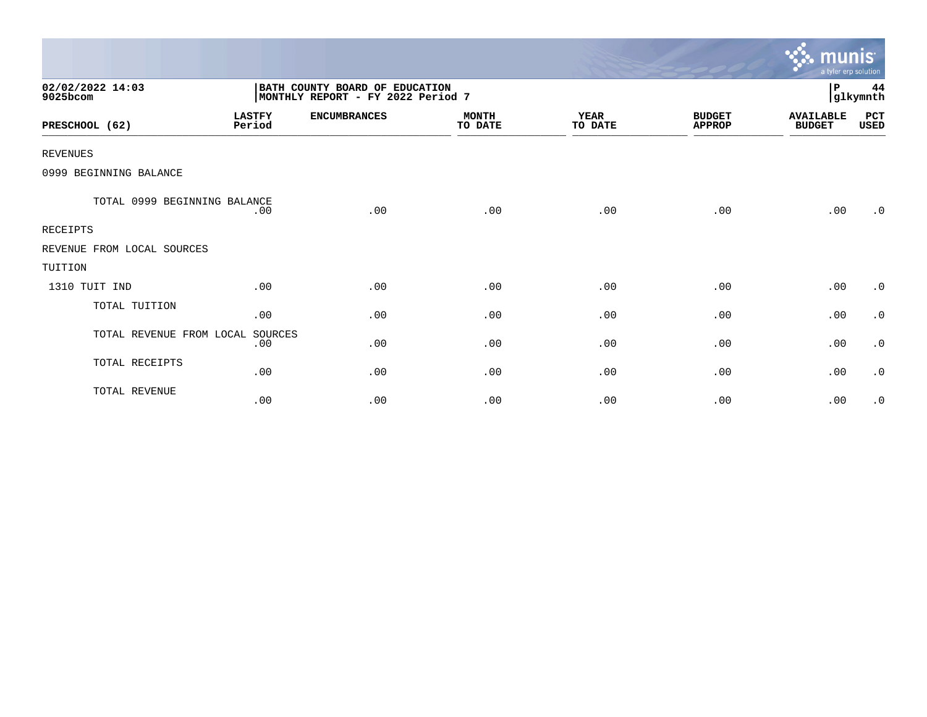|                              |                         |                                                                     |                         |                        |                                | munis<br>a tyler erp solution     |                |
|------------------------------|-------------------------|---------------------------------------------------------------------|-------------------------|------------------------|--------------------------------|-----------------------------------|----------------|
| 02/02/2022 14:03<br>9025bcom |                         | BATH COUNTY BOARD OF EDUCATION<br>MONTHLY REPORT - FY 2022 Period 7 |                         |                        |                                | P                                 | 44<br>glkymnth |
| PRESCHOOL (62)               | <b>LASTFY</b><br>Period | <b>ENCUMBRANCES</b>                                                 | <b>MONTH</b><br>TO DATE | <b>YEAR</b><br>TO DATE | <b>BUDGET</b><br><b>APPROP</b> | <b>AVAILABLE</b><br><b>BUDGET</b> | PCT<br>USED    |
| <b>REVENUES</b>              |                         |                                                                     |                         |                        |                                |                                   |                |
| 0999 BEGINNING BALANCE       |                         |                                                                     |                         |                        |                                |                                   |                |
| TOTAL 0999 BEGINNING BALANCE | .00                     | .00                                                                 | .00                     | .00                    | .00                            | .00                               | $\cdot$ 0      |
| RECEIPTS                     |                         |                                                                     |                         |                        |                                |                                   |                |
| REVENUE FROM LOCAL SOURCES   |                         |                                                                     |                         |                        |                                |                                   |                |
| TUITION                      |                         |                                                                     |                         |                        |                                |                                   |                |
| 1310 TUIT IND                | .00                     | .00                                                                 | .00                     | .00                    | .00                            | .00                               | $\cdot$ 0      |
| TOTAL TUITION                | .00                     | .00                                                                 | .00                     | .00                    | .00                            | .00                               | $\cdot$ 0      |
| TOTAL REVENUE FROM LOCAL     | SOURCES<br>.00          | .00                                                                 | .00                     | .00                    | .00                            | .00                               | $\cdot$ 0      |
| TOTAL RECEIPTS               | .00                     | .00                                                                 | .00                     | .00                    | .00                            | .00                               | $\cdot$ 0      |
| TOTAL REVENUE                | .00                     | .00                                                                 | .00                     | .00                    | .00                            | .00                               | $\cdot$ 0      |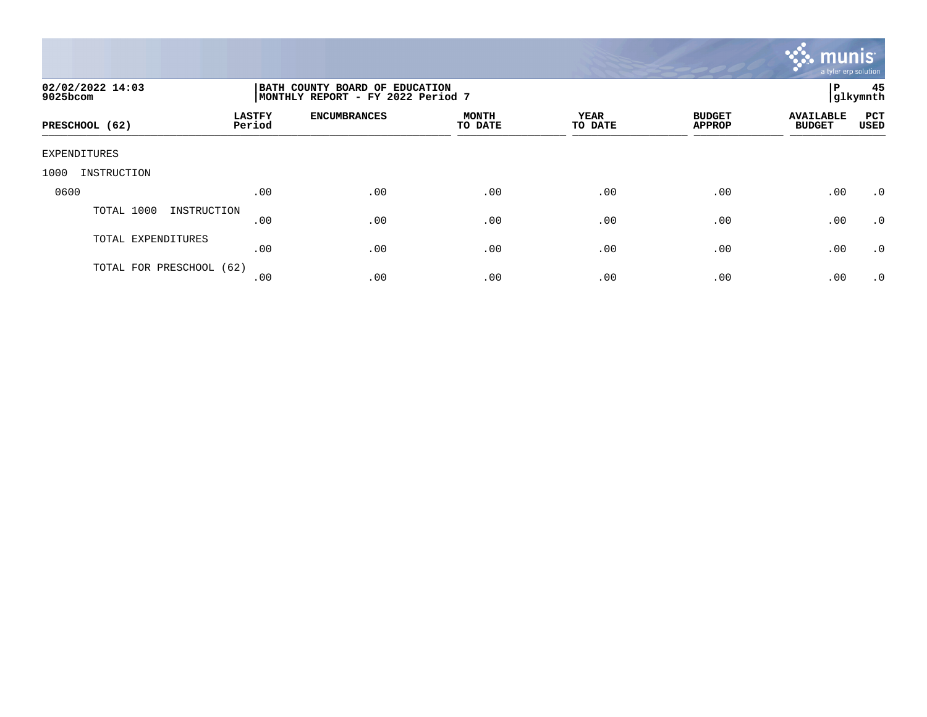

| 02/02/2022 14:03<br>9025bcom | BATH COUNTY BOARD OF EDUCATION<br>MONTHLY REPORT - FY 2022 Period 7 |                     |                         |                        |                                |                                   | 45<br> glkymnth    |
|------------------------------|---------------------------------------------------------------------|---------------------|-------------------------|------------------------|--------------------------------|-----------------------------------|--------------------|
| PRESCHOOL (62)               | <b>LASTFY</b><br>Period                                             | <b>ENCUMBRANCES</b> | <b>MONTH</b><br>TO DATE | <b>YEAR</b><br>TO DATE | <b>BUDGET</b><br><b>APPROP</b> | <b>AVAILABLE</b><br><b>BUDGET</b> | PCT<br><b>USED</b> |
| EXPENDITURES                 |                                                                     |                     |                         |                        |                                |                                   |                    |
| INSTRUCTION<br>1000          |                                                                     |                     |                         |                        |                                |                                   |                    |
| 0600                         | .00                                                                 | .00                 | .00                     | .00                    | .00                            | .00                               | $\cdot$ 0          |
| TOTAL 1000<br>INSTRUCTION    | .00                                                                 | .00                 | .00                     | .00                    | .00                            | .00                               | $\cdot$ 0          |
| TOTAL EXPENDITURES           | .00                                                                 | .00                 | .00                     | .00                    | .00                            | .00                               | .0                 |
| TOTAL FOR PRESCHOOL (62)     | .00                                                                 | .00                 | .00                     | .00                    | .00                            | .00                               | $\cdot$ 0          |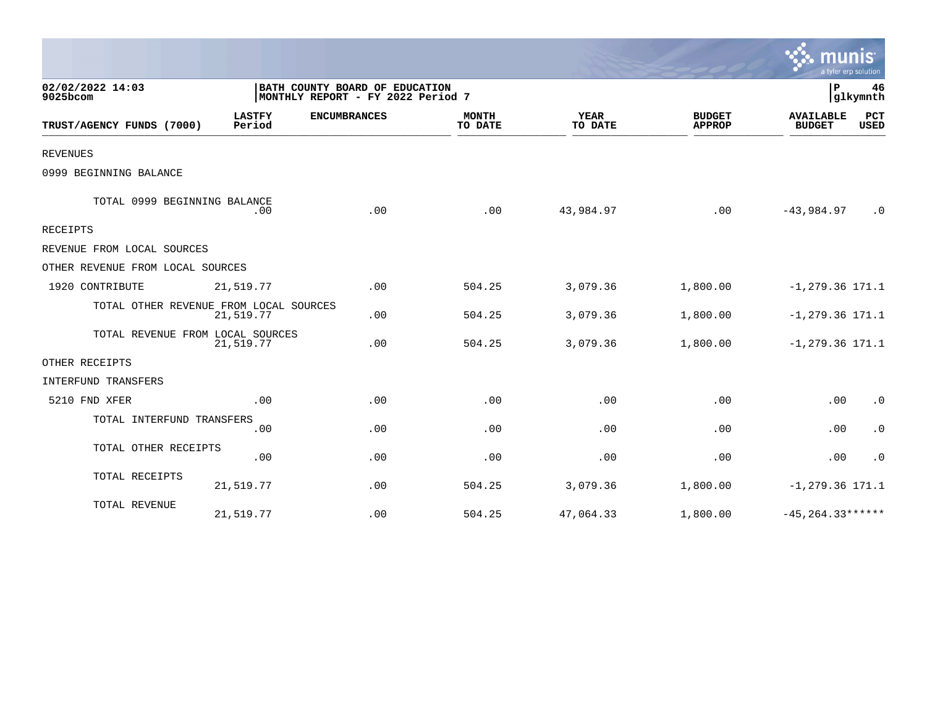|                                        |                         |                                                                     |                         |                        |                                | a tyler erp solution              |                    |
|----------------------------------------|-------------------------|---------------------------------------------------------------------|-------------------------|------------------------|--------------------------------|-----------------------------------|--------------------|
| 02/02/2022 14:03<br>9025bcom           |                         | BATH COUNTY BOARD OF EDUCATION<br>MONTHLY REPORT - FY 2022 Period 7 |                         |                        | P<br>46<br>glkymnth            |                                   |                    |
| TRUST/AGENCY FUNDS (7000)              | <b>LASTFY</b><br>Period | <b>ENCUMBRANCES</b>                                                 | <b>MONTH</b><br>TO DATE | <b>YEAR</b><br>TO DATE | <b>BUDGET</b><br><b>APPROP</b> | <b>AVAILABLE</b><br><b>BUDGET</b> | PCT<br><b>USED</b> |
| <b>REVENUES</b>                        |                         |                                                                     |                         |                        |                                |                                   |                    |
| 0999 BEGINNING BALANCE                 |                         |                                                                     |                         |                        |                                |                                   |                    |
| TOTAL 0999 BEGINNING BALANCE           | .00                     | .00                                                                 | .00                     | 43,984.97              | .00                            | $-43,984.97$                      | $\cdot$ 0          |
| RECEIPTS                               |                         |                                                                     |                         |                        |                                |                                   |                    |
| REVENUE FROM LOCAL SOURCES             |                         |                                                                     |                         |                        |                                |                                   |                    |
| OTHER REVENUE FROM LOCAL SOURCES       |                         |                                                                     |                         |                        |                                |                                   |                    |
| 1920 CONTRIBUTE                        | 21,519.77               | .00                                                                 | 504.25                  | 3,079.36               | 1,800.00                       | $-1, 279.36$ 171.1                |                    |
| TOTAL OTHER REVENUE FROM LOCAL SOURCES | 21,519.77               | .00                                                                 | 504.25                  | 3,079.36               | 1,800.00                       | $-1, 279.36$ 171.1                |                    |
| TOTAL REVENUE FROM LOCAL SOURCES       | 21,519.77               | .00                                                                 | 504.25                  | 3,079.36               | 1,800.00                       | $-1, 279.36$ 171.1                |                    |
| OTHER RECEIPTS                         |                         |                                                                     |                         |                        |                                |                                   |                    |
| INTERFUND TRANSFERS                    |                         |                                                                     |                         |                        |                                |                                   |                    |
| 5210 FND XFER                          | .00                     | .00                                                                 | .00                     | .00                    | .00                            | .00                               | $\cdot$ 0          |
| TOTAL INTERFUND TRANSFERS              | .00                     | .00                                                                 | .00                     | .00                    | .00                            | .00                               | $\cdot$ 0          |
| TOTAL OTHER RECEIPTS                   | .00                     | .00                                                                 | .00                     | .00                    | .00                            | .00                               | $\cdot$ 0          |
| TOTAL RECEIPTS                         | 21,519.77               | .00                                                                 | 504.25                  | 3,079.36               | 1,800.00                       | $-1, 279.36$ 171.1                |                    |
| TOTAL REVENUE                          | 21,519.77               | .00                                                                 | 504.25                  | 47,064.33              | 1,800.00                       | $-45, 264.33***$                  |                    |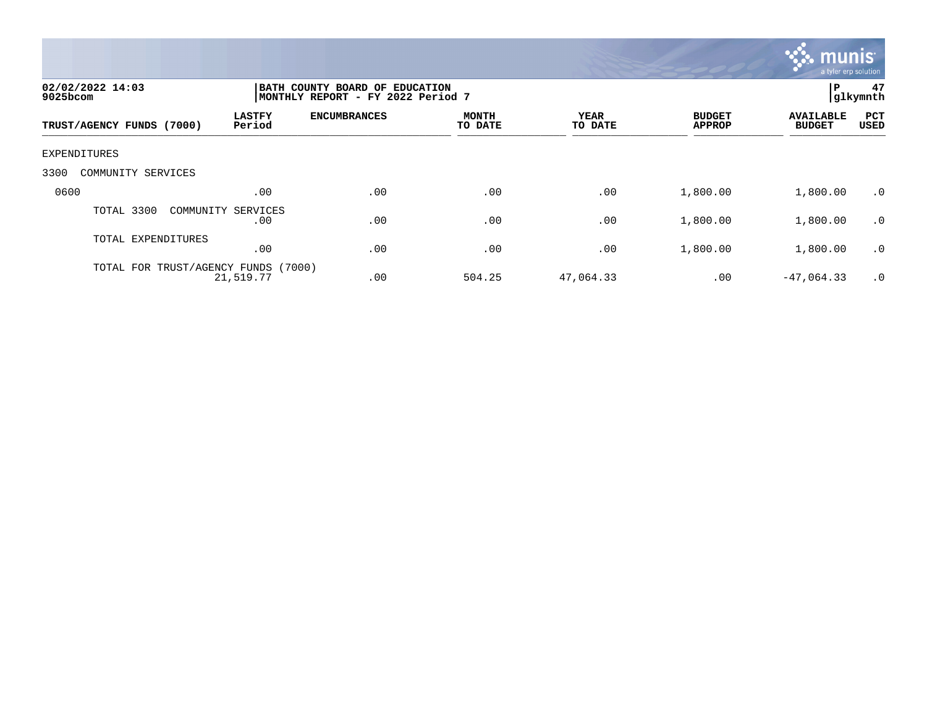

| 02/02/2022 14:03<br>$9025$ bcom     |                           | BATH COUNTY BOARD OF EDUCATION<br>MONTHLY REPORT - FY 2022 Period 7 |                         |                        |                                |                                   |             |  |
|-------------------------------------|---------------------------|---------------------------------------------------------------------|-------------------------|------------------------|--------------------------------|-----------------------------------|-------------|--|
| TRUST/AGENCY FUNDS (7000)           | <b>LASTFY</b><br>Period   | <b>ENCUMBRANCES</b>                                                 | <b>MONTH</b><br>TO DATE | <b>YEAR</b><br>TO DATE | <b>BUDGET</b><br><b>APPROP</b> | <b>AVAILABLE</b><br><b>BUDGET</b> | PCT<br>USED |  |
| EXPENDITURES                        |                           |                                                                     |                         |                        |                                |                                   |             |  |
| 3300<br>COMMUNITY SERVICES          |                           |                                                                     |                         |                        |                                |                                   |             |  |
| 0600                                | .00                       | .00                                                                 | .00                     | .00                    | 1,800.00                       | 1,800.00                          | .0          |  |
| TOTAL 3300                          | COMMUNITY SERVICES<br>.00 | .00                                                                 | .00                     | .00                    | 1,800.00                       | 1,800.00                          | $\cdot$ 0   |  |
| TOTAL EXPENDITURES                  | .00                       | .00                                                                 | .00                     | .00                    | 1,800.00                       | 1,800.00                          | $\cdot$ 0   |  |
| TOTAL FOR TRUST/AGENCY FUNDS (7000) | 21,519.77                 | .00                                                                 | 504.25                  | 47,064.33              | .00                            | $-47,064.33$                      | $\cdot$ 0   |  |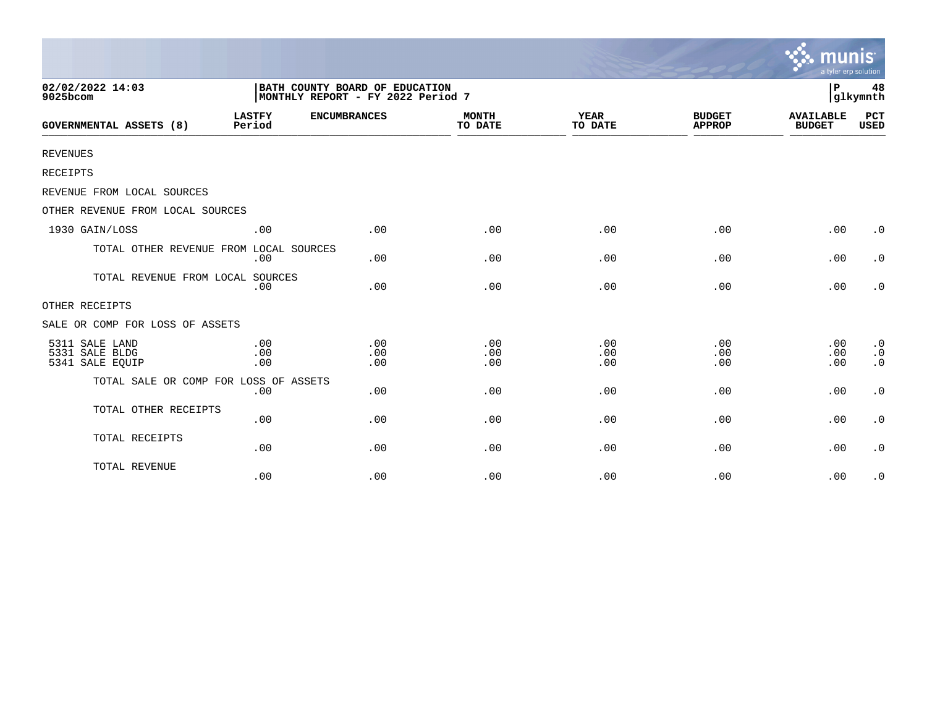|                                                     |                                                                     |                   |                         |                        |                                | munis<br>a tyler erp solution     |                                                  |
|-----------------------------------------------------|---------------------------------------------------------------------|-------------------|-------------------------|------------------------|--------------------------------|-----------------------------------|--------------------------------------------------|
| 02/02/2022 14:03<br>9025bcom                        | BATH COUNTY BOARD OF EDUCATION<br>MONTHLY REPORT - FY 2022 Period 7 | P                 | 48<br>glkymnth          |                        |                                |                                   |                                                  |
| <b>GOVERNMENTAL ASSETS (8)</b>                      | <b>LASTFY</b><br><b>ENCUMBRANCES</b><br>Period                      |                   | <b>MONTH</b><br>TO DATE | <b>YEAR</b><br>TO DATE | <b>BUDGET</b><br><b>APPROP</b> | <b>AVAILABLE</b><br><b>BUDGET</b> | PCT<br><b>USED</b>                               |
| <b>REVENUES</b>                                     |                                                                     |                   |                         |                        |                                |                                   |                                                  |
| RECEIPTS                                            |                                                                     |                   |                         |                        |                                |                                   |                                                  |
| REVENUE FROM LOCAL SOURCES                          |                                                                     |                   |                         |                        |                                |                                   |                                                  |
| OTHER REVENUE FROM LOCAL SOURCES                    |                                                                     |                   |                         |                        |                                |                                   |                                                  |
| 1930 GAIN/LOSS                                      | .00                                                                 | .00               | .00                     | .00                    | .00                            | .00                               | $\cdot$ 0                                        |
| TOTAL OTHER REVENUE FROM LOCAL SOURCES              | .00                                                                 | .00               | .00                     | .00                    | .00                            | .00                               | $\cdot$ 0                                        |
| TOTAL REVENUE FROM LOCAL SOURCES                    | .00                                                                 | .00               | .00                     | .00                    | .00                            | .00                               | $\cdot$ 0                                        |
| OTHER RECEIPTS                                      |                                                                     |                   |                         |                        |                                |                                   |                                                  |
| SALE OR COMP FOR LOSS OF ASSETS                     |                                                                     |                   |                         |                        |                                |                                   |                                                  |
| 5311 SALE LAND<br>5331 SALE BLDG<br>5341 SALE EQUIP | .00<br>.00<br>.00                                                   | .00<br>.00<br>.00 | .00<br>.00<br>.00       | .00<br>.00<br>.00      | .00<br>.00<br>.00              | .00<br>.00<br>.00                 | $\boldsymbol{\cdot}$ 0<br>$\cdot$ 0<br>$\cdot$ 0 |
| TOTAL SALE OR COMP FOR LOSS OF ASSETS               | .00                                                                 | .00               | .00                     | .00                    | .00                            | .00                               | $\boldsymbol{\cdot}$ 0                           |
| TOTAL OTHER RECEIPTS                                | .00                                                                 | .00               | .00                     | .00                    | .00                            | .00                               | $\boldsymbol{\cdot}$ 0                           |
| TOTAL RECEIPTS                                      | .00                                                                 | .00               | .00                     | .00                    | .00                            | .00                               | $\cdot$ 0                                        |
| TOTAL REVENUE                                       | .00                                                                 | .00               | .00                     | .00                    | .00                            | .00                               | $\cdot$ 0                                        |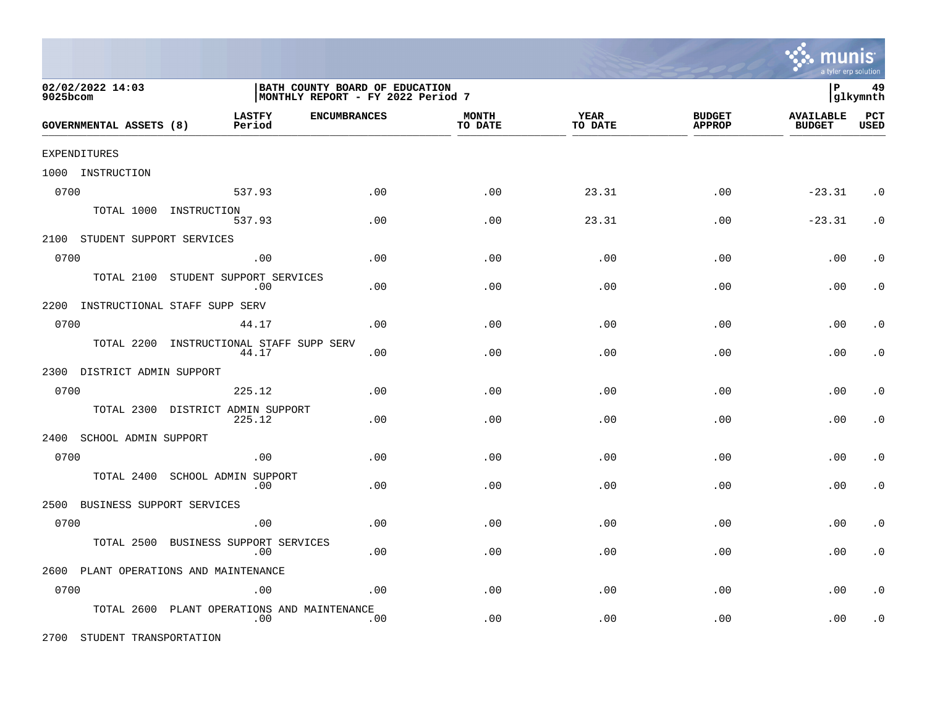

| 02/02/2022 14:03<br>9025bcom       |                                                | BATH COUNTY BOARD OF EDUCATION<br>MONTHLY REPORT - FY 2022 Period 7 |                         |                 |                                |                                   |                    |
|------------------------------------|------------------------------------------------|---------------------------------------------------------------------|-------------------------|-----------------|--------------------------------|-----------------------------------|--------------------|
| GOVERNMENTAL ASSETS (8)            | <b>LASTFY</b><br><b>ENCUMBRANCES</b><br>Period |                                                                     | <b>MONTH</b><br>TO DATE | YEAR<br>TO DATE | <b>BUDGET</b><br><b>APPROP</b> | <b>AVAILABLE</b><br><b>BUDGET</b> | PCT<br><b>USED</b> |
| EXPENDITURES                       |                                                |                                                                     |                         |                 |                                |                                   |                    |
| 1000 INSTRUCTION                   |                                                |                                                                     |                         |                 |                                |                                   |                    |
| 0700                               | 537.93                                         | .00                                                                 | .00                     | 23.31           | .00                            | $-23.31$                          | $\cdot$ 0          |
|                                    | TOTAL 1000 INSTRUCTION<br>537.93               | .00                                                                 | .00                     | 23.31           | .00                            | $-23.31$                          | $\cdot$ 0          |
| 2100 STUDENT SUPPORT SERVICES      |                                                |                                                                     |                         |                 |                                |                                   |                    |
| 0700                               | .00                                            | .00                                                                 | .00                     | .00             | .00                            | .00                               | . $\boldsymbol{0}$ |
| TOTAL 2100                         | STUDENT SUPPORT SERVICES<br>.00                | .00                                                                 | .00                     | .00             | .00                            | .00                               | $\cdot$ 0          |
| 2200 INSTRUCTIONAL STAFF SUPP SERV |                                                |                                                                     |                         |                 |                                |                                   |                    |
| 0700                               | 44.17                                          | .00                                                                 | .00                     | .00             | .00                            | .00                               | $\cdot$ 0          |
| TOTAL 2200                         | INSTRUCTIONAL STAFF SUPP SERV<br>44.17         | .00                                                                 | .00                     | .00             | .00                            | .00                               | $\cdot$ 0          |
| 2300 DISTRICT ADMIN SUPPORT        |                                                |                                                                     |                         |                 |                                |                                   |                    |
| 0700                               | 225.12                                         | .00                                                                 | .00                     | .00             | .00                            | .00                               | $\cdot$ 0          |
| TOTAL 2300                         | DISTRICT ADMIN SUPPORT<br>225.12               | .00                                                                 | .00                     | .00             | .00                            | .00                               | $\cdot$ 0          |
| 2400<br>SCHOOL ADMIN SUPPORT       |                                                |                                                                     |                         |                 |                                |                                   |                    |
| 0700                               | .00                                            | .00                                                                 | .00                     | .00             | .00                            | .00                               | $\cdot$ 0          |
| TOTAL 2400                         | SCHOOL ADMIN SUPPORT<br>.00                    | .00                                                                 | .00                     | .00             | .00                            | .00                               | $\cdot$ 0          |
| BUSINESS SUPPORT SERVICES<br>2500  |                                                |                                                                     |                         |                 |                                |                                   |                    |
| 0700                               | .00                                            | .00                                                                 | .00                     | .00             | .00                            | .00                               | $\cdot$ 0          |
| TOTAL 2500                         | BUSINESS SUPPORT SERVICES<br>.00               | .00                                                                 | .00                     | .00             | .00                            | .00                               | $\cdot$ 0          |
|                                    | 2600 PLANT OPERATIONS AND MAINTENANCE          |                                                                     |                         |                 |                                |                                   |                    |
| 0700                               | .00                                            | .00                                                                 | .00                     | .00             | .00                            | .00                               | $\cdot$ 0          |
| TOTAL 2600                         | PLANT OPERATIONS AND MAINTENANCE<br>.00        | .00                                                                 | .00                     | .00             | .00                            | .00                               | $\cdot$ 0          |

2700 STUDENT TRANSPORTATION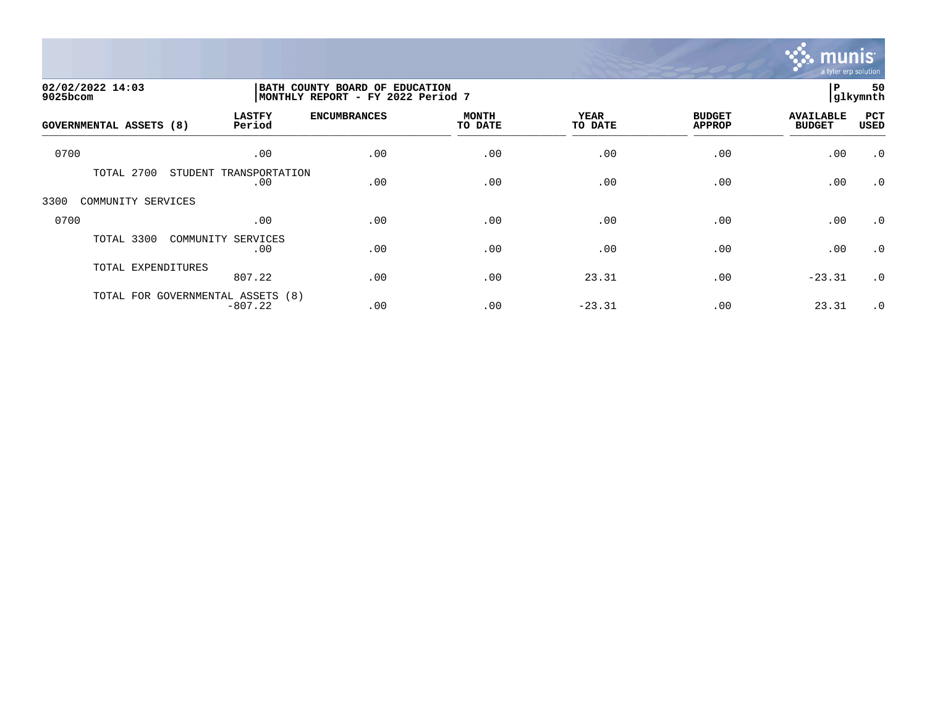

| 02/02/2022 14:03<br>9025bcom      | BATH COUNTY BOARD OF EDUCATION | MONTHLY REPORT - FY 2022 Period 7 |                         |                        |                                |                                   |                    |
|-----------------------------------|--------------------------------|-----------------------------------|-------------------------|------------------------|--------------------------------|-----------------------------------|--------------------|
| <b>GOVERNMENTAL ASSETS (8)</b>    | <b>LASTFY</b><br>Period        | <b>ENCUMBRANCES</b>               | <b>MONTH</b><br>TO DATE | <b>YEAR</b><br>TO DATE | <b>BUDGET</b><br><b>APPROP</b> | <b>AVAILABLE</b><br><b>BUDGET</b> | PCT<br><b>USED</b> |
| 0700                              | .00                            | .00                               | .00                     | .00                    | .00                            | .00                               | $\cdot$ 0          |
| TOTAL 2700                        | STUDENT TRANSPORTATION<br>.00  | .00                               | .00                     | .00                    | .00                            | .00                               | $\cdot$ 0          |
| 3300<br>COMMUNITY SERVICES        |                                |                                   |                         |                        |                                |                                   |                    |
| 0700                              | .00                            | .00                               | .00                     | .00                    | .00                            | .00                               | $\cdot$ 0          |
| TOTAL 3300                        | COMMUNITY SERVICES<br>.00      | .00                               | .00                     | .00                    | .00                            | .00                               | $\cdot$ 0          |
| TOTAL EXPENDITURES                | 807.22                         | .00                               | .00                     | 23.31                  | .00                            | $-23.31$                          | $\cdot$ 0          |
| TOTAL FOR GOVERNMENTAL ASSETS (8) | $-807.22$                      | .00                               | .00                     | $-23.31$               | .00                            | 23.31                             | $\cdot$ 0          |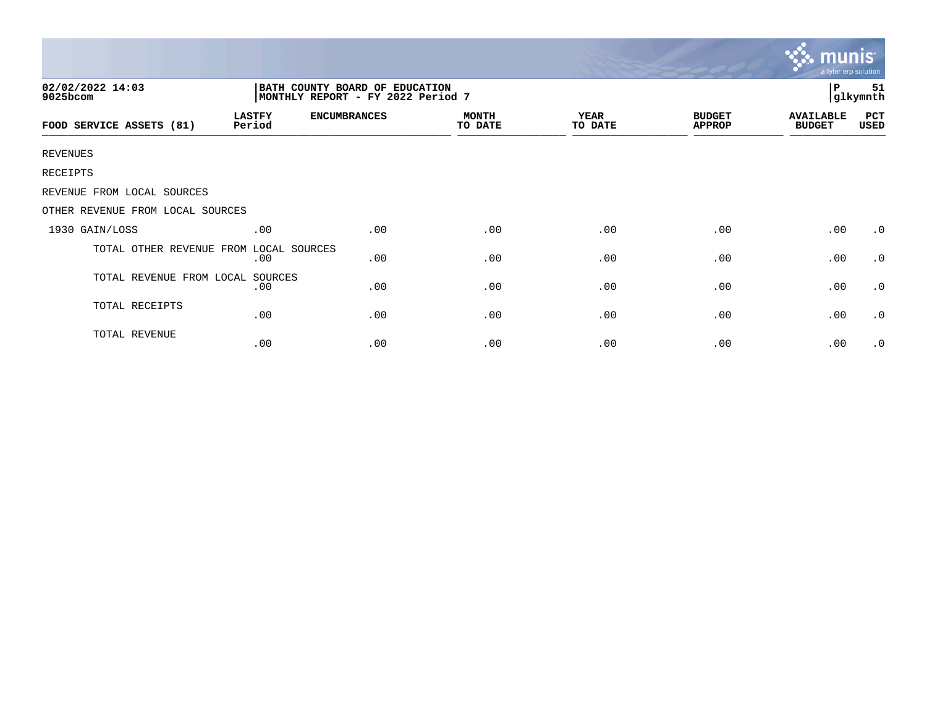|                                  |                                                                     |                     |                         |                        |                                | munis<br>a tyler erp solution     |                |
|----------------------------------|---------------------------------------------------------------------|---------------------|-------------------------|------------------------|--------------------------------|-----------------------------------|----------------|
| 02/02/2022 14:03<br>9025bcom     | BATH COUNTY BOARD OF EDUCATION<br>MONTHLY REPORT - FY 2022 Period 7 |                     |                         |                        |                                | P                                 | 51<br>glkymnth |
| FOOD SERVICE ASSETS (81)         | <b>LASTFY</b><br>Period                                             | <b>ENCUMBRANCES</b> | <b>MONTH</b><br>TO DATE | <b>YEAR</b><br>TO DATE | <b>BUDGET</b><br><b>APPROP</b> | <b>AVAILABLE</b><br><b>BUDGET</b> | PCT<br>USED    |
| <b>REVENUES</b>                  |                                                                     |                     |                         |                        |                                |                                   |                |
| RECEIPTS                         |                                                                     |                     |                         |                        |                                |                                   |                |
| REVENUE FROM LOCAL SOURCES       |                                                                     |                     |                         |                        |                                |                                   |                |
| OTHER REVENUE FROM LOCAL SOURCES |                                                                     |                     |                         |                        |                                |                                   |                |
| 1930 GAIN/LOSS                   | .00                                                                 | .00                 | .00                     | .00                    | .00                            | .00                               | $\cdot$ 0      |
| TOTAL OTHER REVENUE FROM         | LOCAL SOURCES<br>.00                                                | .00                 | .00                     | .00                    | .00                            | .00                               | $\cdot$ 0      |
| TOTAL REVENUE FROM LOCAL SOURCES | .00                                                                 | .00                 | .00                     | .00                    | .00                            | .00                               | $\cdot$ 0      |
| TOTAL RECEIPTS                   | .00                                                                 | .00                 | .00                     | .00                    | .00                            | .00                               | $\cdot$ 0      |
| TOTAL REVENUE                    | .00                                                                 | .00                 | .00                     | .00                    | .00                            | .00                               | $\cdot$ 0      |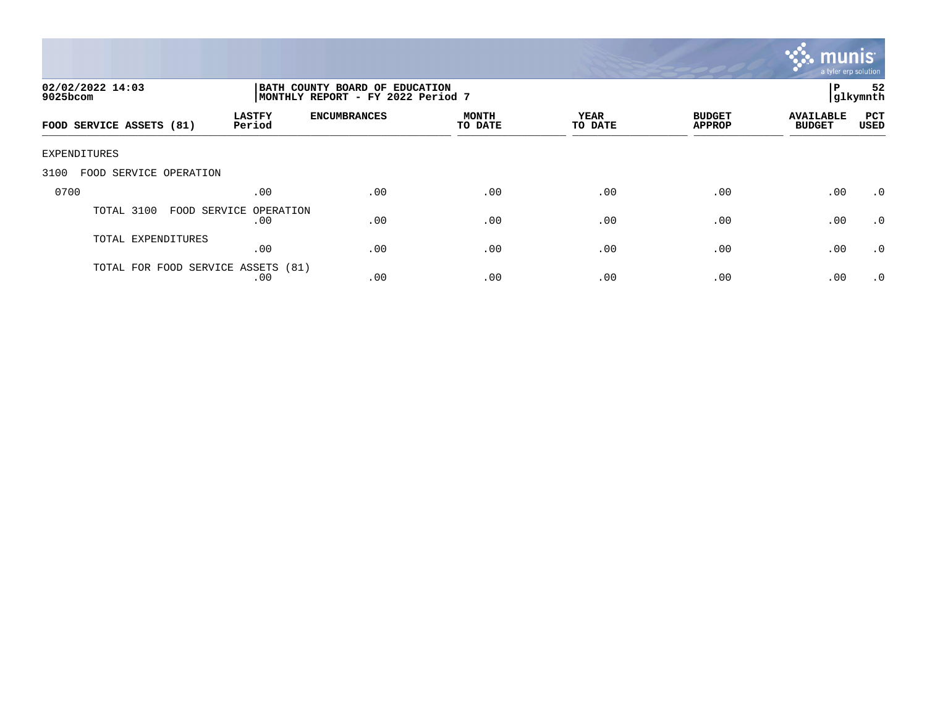

| 02/02/2022 14:03<br>$9025$ bcom    |                               | BATH COUNTY BOARD OF EDUCATION<br>MONTHLY REPORT - FY 2022 Period 7 |                         |                 |                                |                                   |                    |
|------------------------------------|-------------------------------|---------------------------------------------------------------------|-------------------------|-----------------|--------------------------------|-----------------------------------|--------------------|
| FOOD SERVICE ASSETS (81)           | <b>LASTFY</b><br>Period       | <b>ENCUMBRANCES</b>                                                 | <b>MONTH</b><br>TO DATE | YEAR<br>TO DATE | <b>BUDGET</b><br><b>APPROP</b> | <b>AVAILABLE</b><br><b>BUDGET</b> | PCT<br><b>USED</b> |
| EXPENDITURES                       |                               |                                                                     |                         |                 |                                |                                   |                    |
| 3100<br>FOOD SERVICE OPERATION     |                               |                                                                     |                         |                 |                                |                                   |                    |
| 0700                               | .00                           | .00                                                                 | .00                     | .00             | .00                            | .00                               | .0                 |
| TOTAL 3100                         | FOOD SERVICE OPERATION<br>.00 | .00                                                                 | .00                     | .00             | .00                            | .00                               | .0                 |
| TOTAL EXPENDITURES                 | .00                           | .00                                                                 | .00                     | .00             | .00                            | .00                               | .0                 |
| TOTAL FOR FOOD SERVICE ASSETS (81) | .00                           | .00                                                                 | .00                     | .00             | .00                            | .00                               | .0                 |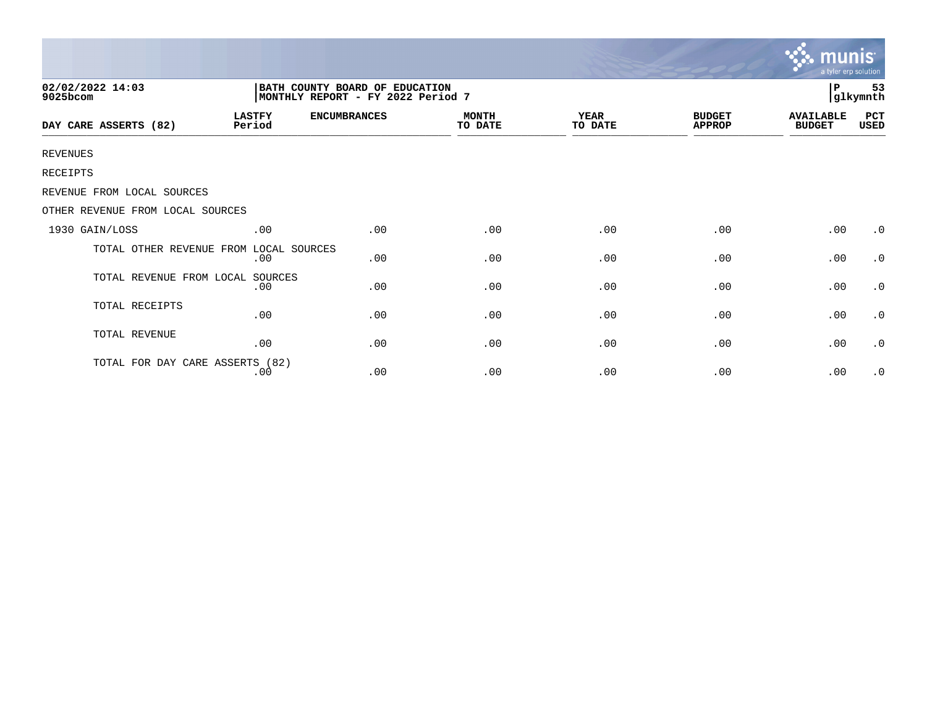|                                  |                                                                      |                     |                         |                 |                                | munis<br>a tyler erp solution     |                     |  |
|----------------------------------|----------------------------------------------------------------------|---------------------|-------------------------|-----------------|--------------------------------|-----------------------------------|---------------------|--|
| 02/02/2022 14:03<br>9025bcom     | BATH COUNTY BOARD OF EDUCATION<br> MONTHLY REPORT - FY 2022 Period 7 |                     |                         |                 |                                |                                   | 53<br>Р<br>glkymnth |  |
| DAY CARE ASSERTS (82)            | <b>LASTFY</b><br>Period                                              | <b>ENCUMBRANCES</b> | <b>MONTH</b><br>TO DATE | YEAR<br>TO DATE | <b>BUDGET</b><br><b>APPROP</b> | <b>AVAILABLE</b><br><b>BUDGET</b> | PCT<br>USED         |  |
| <b>REVENUES</b>                  |                                                                      |                     |                         |                 |                                |                                   |                     |  |
| RECEIPTS                         |                                                                      |                     |                         |                 |                                |                                   |                     |  |
| REVENUE FROM LOCAL SOURCES       |                                                                      |                     |                         |                 |                                |                                   |                     |  |
| OTHER REVENUE FROM LOCAL SOURCES |                                                                      |                     |                         |                 |                                |                                   |                     |  |
| 1930 GAIN/LOSS                   | .00                                                                  | .00                 | .00                     | .00             | .00                            | .00                               | $\cdot$ 0           |  |
| TOTAL OTHER REVENUE FROM         | LOCAL SOURCES<br>.00                                                 | .00                 | .00                     | .00             | .00                            | .00                               | $\cdot$ 0           |  |
| TOTAL REVENUE FROM LOCAL         | SOURCES<br>.00                                                       | .00                 | .00                     | .00             | .00                            | .00                               | $\cdot$ 0           |  |
| TOTAL RECEIPTS                   | .00                                                                  | .00                 | .00                     | .00             | .00                            | .00                               | $\cdot$ 0           |  |
| TOTAL REVENUE                    | .00                                                                  | .00                 | .00                     | .00             | .00                            | .00                               | $\cdot$ 0           |  |
| TOTAL FOR DAY CARE ASSERTS (82)  | .00                                                                  | .00                 | .00                     | .00             | .00                            | .00                               | $\cdot$ 0           |  |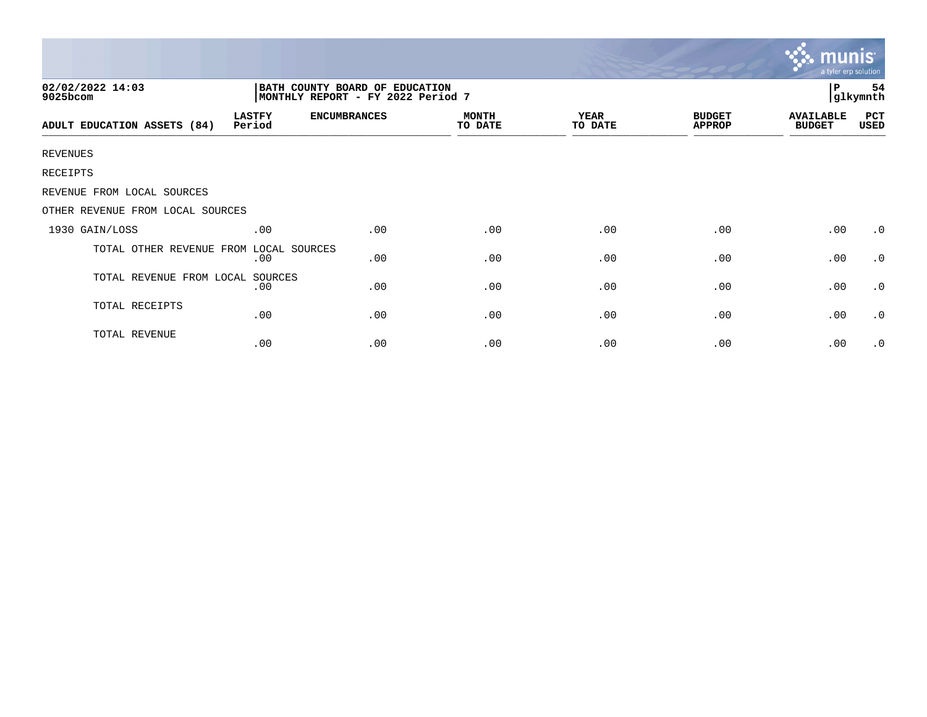|                                  |                         |                                                                     |                         |                        |                                | mu<br>a tyler erp solution        |                       |  |
|----------------------------------|-------------------------|---------------------------------------------------------------------|-------------------------|------------------------|--------------------------------|-----------------------------------|-----------------------|--|
| 02/02/2022 14:03<br>9025bcom     |                         | BATH COUNTY BOARD OF EDUCATION<br>MONTHLY REPORT - FY 2022 Period 7 |                         |                        |                                |                                   | l P<br>54<br>glkymnth |  |
| ADULT EDUCATION ASSETS (84)      | <b>LASTFY</b><br>Period | <b>ENCUMBRANCES</b>                                                 | <b>MONTH</b><br>TO DATE | <b>YEAR</b><br>TO DATE | <b>BUDGET</b><br><b>APPROP</b> | <b>AVAILABLE</b><br><b>BUDGET</b> | PCT<br>USED           |  |
| <b>REVENUES</b>                  |                         |                                                                     |                         |                        |                                |                                   |                       |  |
| RECEIPTS                         |                         |                                                                     |                         |                        |                                |                                   |                       |  |
| REVENUE FROM LOCAL SOURCES       |                         |                                                                     |                         |                        |                                |                                   |                       |  |
| OTHER REVENUE FROM LOCAL SOURCES |                         |                                                                     |                         |                        |                                |                                   |                       |  |
| 1930 GAIN/LOSS                   | .00                     | .00                                                                 | .00                     | .00                    | .00                            | .00                               | $\cdot$ 0             |  |
| TOTAL OTHER REVENUE FROM         | LOCAL SOURCES<br>.00    | .00                                                                 | .00                     | .00                    | .00                            | .00                               | $\cdot$ 0             |  |
| TOTAL REVENUE FROM LOCAL SOURCES | .00                     | .00                                                                 | .00                     | .00                    | .00                            | .00                               | $\cdot$ 0             |  |
| TOTAL RECEIPTS                   | .00                     | .00                                                                 | .00                     | .00                    | .00                            | .00                               | $\cdot$ 0             |  |
| TOTAL REVENUE                    | .00                     | .00                                                                 | .00                     | .00                    | .00                            | .00                               | $\cdot$ 0             |  |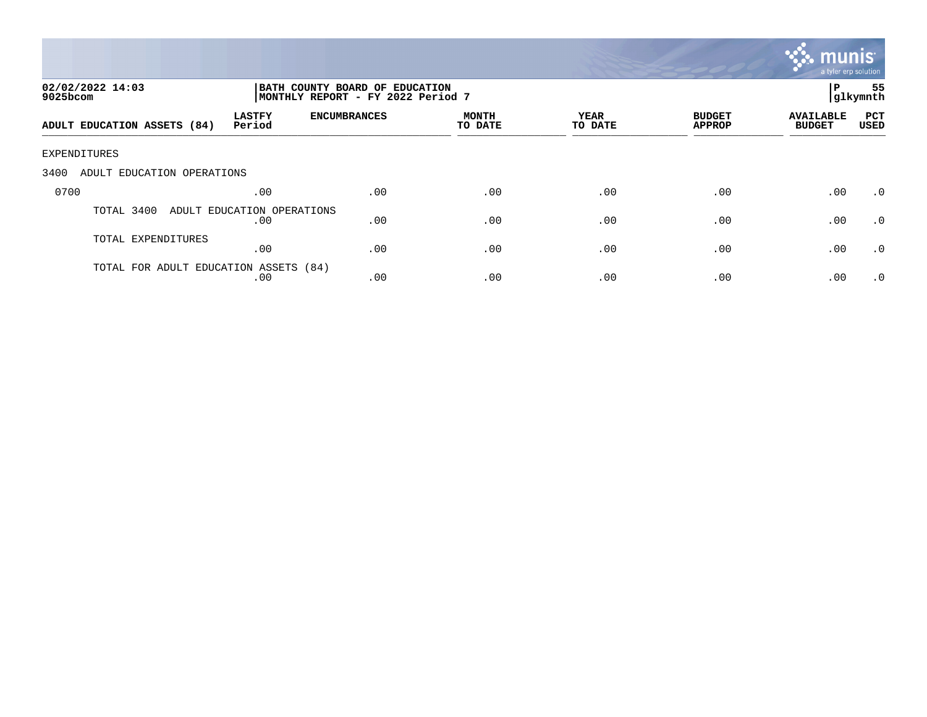

| 02/02/2022 14:03<br>9025bcom          |                                   | BATH COUNTY BOARD OF EDUCATION<br>MONTHLY REPORT - FY 2022 Period 7 |                         |                 |                                |                                   |                    |
|---------------------------------------|-----------------------------------|---------------------------------------------------------------------|-------------------------|-----------------|--------------------------------|-----------------------------------|--------------------|
| ADULT EDUCATION ASSETS (84)           | <b>LASTFY</b><br>Period           | <b>ENCUMBRANCES</b>                                                 | <b>MONTH</b><br>TO DATE | YEAR<br>TO DATE | <b>BUDGET</b><br><b>APPROP</b> | <b>AVAILABLE</b><br><b>BUDGET</b> | PCT<br><b>USED</b> |
| EXPENDITURES                          |                                   |                                                                     |                         |                 |                                |                                   |                    |
| 3400<br>ADULT EDUCATION OPERATIONS    |                                   |                                                                     |                         |                 |                                |                                   |                    |
| 0700                                  | .00                               | .00                                                                 | .00                     | .00             | .00                            | .00                               | $\cdot$ 0          |
| TOTAL 3400                            | ADULT EDUCATION OPERATIONS<br>.00 | .00                                                                 | .00                     | .00             | .00                            | .00                               | $\cdot$ 0          |
| TOTAL EXPENDITURES                    | .00                               | .00                                                                 | .00                     | .00             | .00                            | .00                               | .0                 |
| TOTAL FOR ADULT EDUCATION ASSETS (84) | .00                               | .00                                                                 | .00                     | .00             | .00                            | .00                               | $\cdot$ 0          |